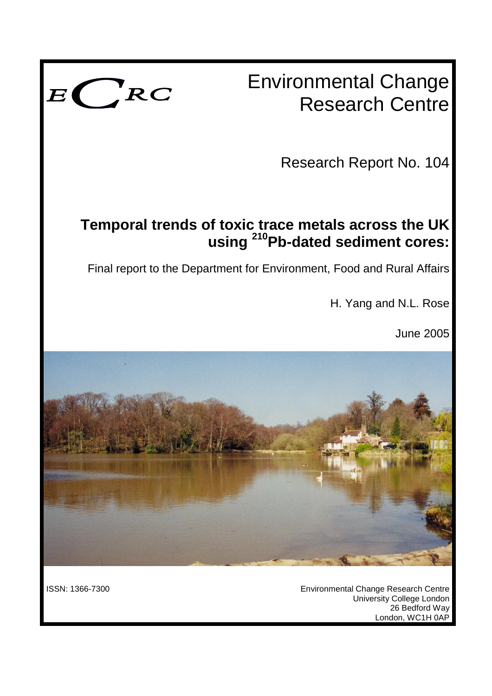Environmental Change Research Centre

Research Report No. 104

# **Temporal trends of toxic trace metals across the UK using <sup>210</sup>Pb-dated sediment cores:**

Final report to the Department for Environment, Food and Rural Affairs

H. Yang and N.L. Rose

June 2005



ISSN: 1366-7300 Environmental Change Research Centre University College London 26 Bedford Way London, WC1H 0AP

 $E\bigcap RC$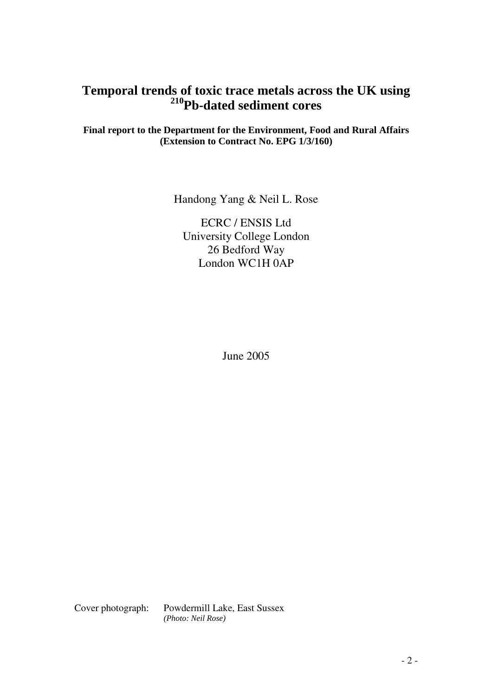# **Temporal trends of toxic trace metals across the UK using 210 Pb-dated sediment cores**

**Final report to the Department for the Environment, Food and Rural Affairs (Extension to Contract No. EPG 1/3/160)**

Handong Yang & Neil L. Rose

ECRC / ENSIS Ltd University College London 26 Bedford Way London WC1H 0AP

June 2005

Cover photograph: Powdermill Lake, East Sussex *(Photo: Neil Rose)*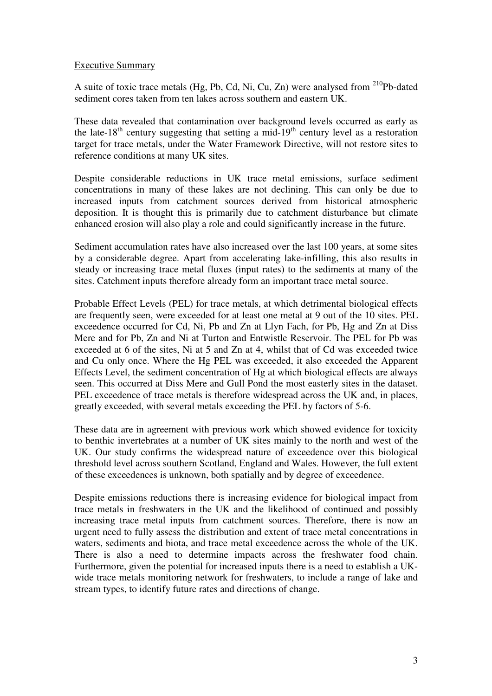#### Executive Summary

A suite of toxic trace metals (Hg, Pb, Cd, Ni, Cu, Zn) were analysed from <sup>210</sup>Pb-dated sediment cores taken from ten lakes across southern and eastern UK.

These data revealed that contamination over background levels occurred as early as the late-18<sup>th</sup> century suggesting that setting a mid-19<sup>th</sup> century level as a restoration target for trace metals, under the Water Framework Directive, will not restore sites to reference conditions at many UK sites.

Despite considerable reductions in UK trace metal emissions, surface sediment concentrations in many of these lakes are not declining. This can only be due to increased inputs from catchment sources derived from historical atmospheric deposition. It is thought this is primarily due to catchment disturbance but climate enhanced erosion will also play a role and could significantly increase in the future.

Sediment accumulation rates have also increased over the last 100 years, at some sites by a considerable degree. Apart from accelerating lake-infilling, this also results in steady or increasing trace metal fluxes (input rates) to the sediments at many of the sites. Catchment inputs therefore already form an important trace metal source.

Probable Effect Levels (PEL) for trace metals, at which detrimental biological effects are frequently seen, were exceeded for at least one metal at 9 out of the 10 sites. PEL exceedence occurred for Cd, Ni, Pb and Zn at Llyn Fach, for Pb, Hg and Zn at Diss Mere and for Pb, Zn and Ni at Turton and Entwistle Reservoir. The PEL for Pb was exceeded at 6 of the sites, Ni at 5 and Zn at 4, whilst that of Cd was exceeded twice and Cu only once. Where the Hg PEL was exceeded, it also exceeded the Apparent Effects Level, the sediment concentration of Hg at which biological effects are always seen. This occurred at Diss Mere and Gull Pond the most easterly sites in the dataset. PEL exceedence of trace metals is therefore widespread across the UK and, in places, greatly exceeded, with several metals exceeding the PEL by factors of 5-6.

These data are in agreement with previous work which showed evidence for toxicity to benthic invertebrates at a number of UK sites mainly to the north and west of the UK. Our study confirms the widespread nature of exceedence over this biological threshold level across southern Scotland, England and Wales. However, the full extent of these exceedences is unknown, both spatially and by degree of exceedence.

Despite emissions reductions there is increasing evidence for biological impact from trace metals in freshwaters in the UK and the likelihood of continued and possibly increasing trace metal inputs from catchment sources. Therefore, there is now an urgent need to fully assess the distribution and extent of trace metal concentrations in waters, sediments and biota, and trace metal exceedence across the whole of the UK. There is also a need to determine impacts across the freshwater food chain. Furthermore, given the potential for increased inputs there is a need to establish a UKwide trace metals monitoring network for freshwaters, to include a range of lake and stream types, to identify future rates and directions of change.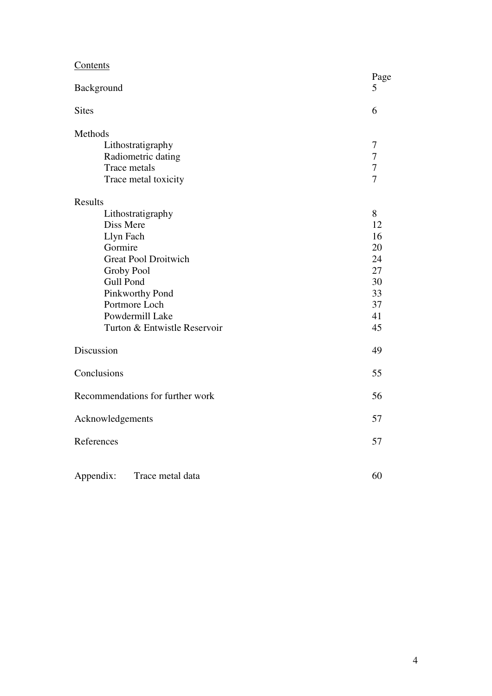| Contents |
|----------|
|----------|

| Background                       | Page<br>5      |
|----------------------------------|----------------|
| <b>Sites</b>                     | 6              |
| Methods                          |                |
| Lithostratigraphy                | 7              |
| Radiometric dating               | $\overline{7}$ |
| Trace metals                     | $\overline{7}$ |
| Trace metal toxicity             | $\overline{7}$ |
| Results                          |                |
| Lithostratigraphy                | 8              |
| Diss Mere                        | 12             |
| Llyn Fach                        | 16             |
| Gormire                          | 20             |
| <b>Great Pool Droitwich</b>      | 24             |
| <b>Groby Pool</b>                | 27             |
| <b>Gull Pond</b>                 | 30             |
| Pinkworthy Pond                  | 33             |
| Portmore Loch                    | 37             |
| Powdermill Lake                  | 41             |
| Turton & Entwistle Reservoir     | 45             |
| Discussion                       | 49             |
| Conclusions                      | 55             |
| Recommendations for further work | 56             |
| Acknowledgements                 | 57             |
| References                       | 57             |
| Appendix:<br>Trace metal data    | 60             |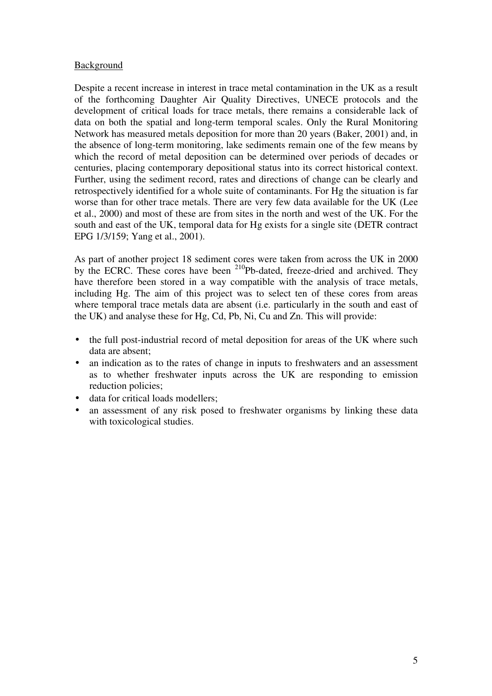# Background

Despite a recent increase in interest in trace metal contamination in the UK as a result of the forthcoming Daughter Air Quality Directives, UNECE protocols and the development of critical loads for trace metals, there remains a considerable lack of data on both the spatial and long-term temporal scales. Only the Rural Monitoring Network has measured metals deposition for more than 20 years (Baker, 2001) and, in the absence of long-term monitoring, lake sediments remain one of the few means by which the record of metal deposition can be determined over periods of decades or centuries, placing contemporary depositional status into its correct historical context. Further, using the sediment record, rates and directions of change can be clearly and retrospectively identified for a whole suite of contaminants. For Hg the situation is far worse than for other trace metals. There are very few data available for the UK (Lee et al., 2000) and most of these are from sites in the north and west of the UK. For the south and east of the UK, temporal data for Hg exists for a single site (DETR contract EPG 1/3/159; Yang et al., 2001).

As part of another project 18 sediment cores were taken from across the UK in 2000 by the ECRC. These cores have been <sup>210</sup>Pb-dated, freeze-dried and archived. They have therefore been stored in a way compatible with the analysis of trace metals, including Hg. The aim of this project was to select ten of these cores from areas where temporal trace metals data are absent *(i.e. particularly in the south and east of* the UK) and analyse these for Hg, Cd, Pb, Ni, Cu and Zn. This will provide:

- the full post-industrial record of metal deposition for areas of the UK where such data are absent;
- an indication as to the rates of change in inputs to freshwaters and an assessment as to whether freshwater inputs across the UK are responding to emission reduction policies;
- data for critical loads modellers;
- an assessment of any risk posed to freshwater organisms by linking these data with toxicological studies.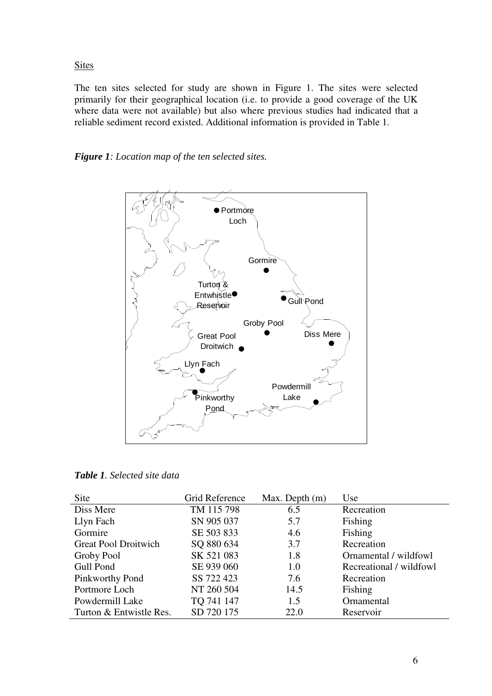#### **Sites**

The ten sites selected for study are shown in Figure 1. The sites were selected primarily for their geographical location (i.e. to provide a good coverage of the UK where data were not available) but also where previous studies had indicated that a reliable sediment record existed. Additional information is provided in Table 1.

# *Figure 1: Location map of the ten selected sites.*



*Table 1. Selected site data*

| <b>Site</b>                 | Grid Reference | Max. Depth $(m)$ | Use                     |
|-----------------------------|----------------|------------------|-------------------------|
| Diss Mere                   | TM 115 798     | 6.5              | Recreation              |
| Llyn Fach                   | SN 905 037     | 5.7              | Fishing                 |
| Gormire                     | SE 503 833     | 4.6              | Fishing                 |
| <b>Great Pool Droitwich</b> | SQ 880 634     | 3.7              | Recreation              |
| Groby Pool                  | SK 521 083     | 1.8              | Ornamental / wildfowl   |
| Gull Pond                   | SE 939 060     | 1.0              | Recreational / wildfowl |
| Pinkworthy Pond             | SS 722 423     | 7.6              | Recreation              |
| Portmore Loch               | NT 260 504     | 14.5             | Fishing                 |
| Powdermill Lake             | TQ 741 147     | 1.5              | Ornamental              |
| Turton & Entwistle Res.     | SD 720 175     | 22.0             | Reservoir               |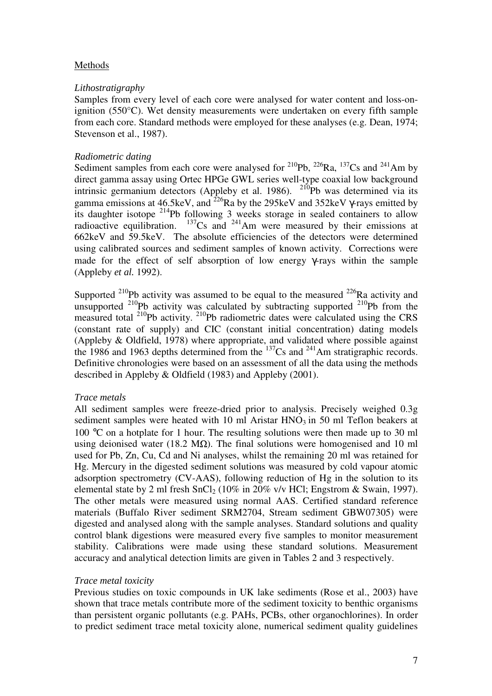#### Methods

#### *Lithostratigraphy*

Samples from every level of each core were analysed for water content and loss-onignition (550°C). Wet density measurements were undertaken on every fifth sample from each core. Standard methods were employed for these analyses (e.g. Dean, 1974; Stevenson et al., 1987).

### *Radiometric dating*

Sediment samples from each core were analysed for  $^{210}Pb$ ,  $^{226}Ra$ ,  $^{137}Cs$  and  $^{241}Am$  by direct gamma assay using Ortec HPGe GWL series well-type coaxial low background intrinsic germanium detectors (Appleby et al. 1986).  $^{210}Pb$  was determined via its gamma emissions at 46.5keV, and <sup>226</sup>Ra by the 295keV and 352keV γ-rays emitted by its daughter isotope <sup>214</sup>Pb following 3 weeks storage in sealed containers to allow radioactive equilibration.  $^{137}Cs$  and  $^{241}Am$  were measured by their emissions at 662keV and 59.5keV. The absolute efficiencies of the detectors were determined using calibrated sources and sediment samples of known activity. Corrections were made for the effect of self absorption of low energy γ-rays within the sample (Appleby *et al.* 1992).

Supported <sup>210</sup>Pb activity was assumed to be equal to the measured <sup>226</sup>Ra activity and unsupported  $^{210}$ Pb activity was calculated by subtracting supported  $^{210}$ Pb from the measured total <sup>210</sup>Pb activity. <sup>210</sup>Pb radiometric dates were calculated using the CRS (constant rate of supply) and CIC (constant initial concentration) dating models (Appleby & Oldfield, 1978) where appropriate, and validated where possible against the 1986 and 1963 depths determined from the <sup>137</sup>Cs and <sup>241</sup>Am stratigraphic records. Definitive chronologies were based on an assessment of all the data using the methods described in Appleby & Oldfield (1983) and Appleby (2001).

#### *Trace metals*

All sediment samples were freeze-dried prior to analysis. Precisely weighed 0.3g sediment samples were heated with 10 ml Aristar  $HNO<sub>3</sub>$  in 50 ml Teflon beakers at 100 °C on a hotplate for 1 hour. The resulting solutions were then made up to 30 ml using deionised water (18.2 M $\Omega$ ). The final solutions were homogenised and 10 ml used for Pb, Zn, Cu, Cd and Ni analyses, whilst the remaining 20 ml was retained for Hg. Mercury in the digested sediment solutions was measured by cold vapour atomic adsorption spectrometry (CV-AAS), following reduction of Hg in the solution to its elemental state by 2 ml fresh SnCl<sub>2</sub> (10% in 20% v/v HCl; Engstrom & Swain, 1997). The other metals were measured using normal AAS. Certified standard reference materials (Buffalo River sediment SRM2704, Stream sediment GBW07305) were digested and analysed along with the sample analyses. Standard solutions and quality control blank digestions were measured every five samples to monitor measurement stability. Calibrations were made using these standard solutions. Measurement accuracy and analytical detection limits are given in Tables 2 and 3 respectively.

#### *Trace metal toxicity*

Previous studies on toxic compounds in UK lake sediments (Rose et al., 2003) have shown that trace metals contribute more of the sediment toxicity to benthic organisms than persistent organic pollutants (e.g. PAHs, PCBs, other organochlorines). In order to predict sediment trace metal toxicity alone, numerical sediment quality guidelines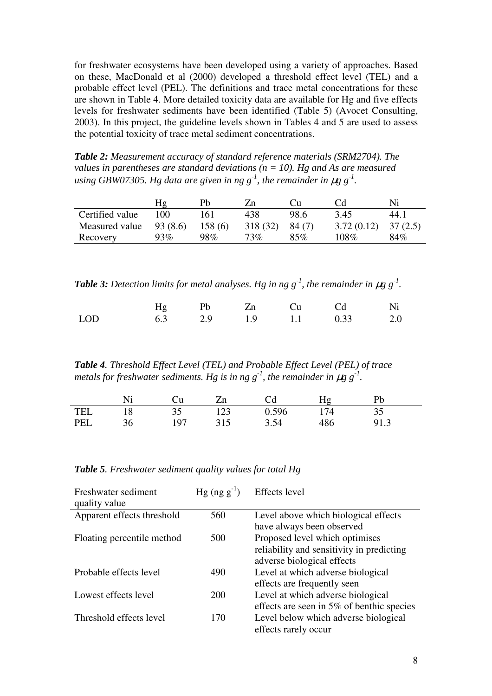for freshwater ecosystems have been developed using a variety of approaches. Based on these, MacDonald et al (2000) developed a threshold effect level (TEL) and a probable effect level (PEL). The definitions and trace metal concentrations for these are shown in Table 4. More detailed toxicity data are available for Hg and five effects levels for freshwater sediments have been identified (Table 5) (Avocet Consulting, 2003). In this project, the guideline levels shown in Tables 4 and 5 are used to assess the potential toxicity of trace metal sediment concentrations.

*Table 2: Measurement accuracy of standard reference materials (SRM2704). The values in parentheses are standard deviations (n = 10). Hg and As are measured using GBW07305. Hg data are given in ng g<sup>-1</sup>, the remainder in*  $\mu$ *g g<sup>-1</sup>.* 

|                 | Ηg       | Pb     | $\sqrt{n}$ | €π     | $\mathsf{C}^{\mathsf{A}}$ | Ni      |
|-----------------|----------|--------|------------|--------|---------------------------|---------|
| Certified value | 100      | 161    | 438        | 98.6   | 3.45                      | 44.1    |
| Measured value  | 93 (8.6) | 158(6) | 318 (32)   | 84 (7) | 3.72(0.12)                | 37(2.5) |
| Recovery        | 93%      | $98\%$ | $73\%$     | 85%    | $108\%$                   | 84%     |

**Table 3:** Detection limits for metal analyses. Hg in ng g<sup>-1</sup>, the remainder in  $\mu$ g g<sup>-1</sup>.

| - ~ | ◡.◡ | ີ<br>, . |  | . | $\overline{\phantom{m}}\cdot$ |
|-----|-----|----------|--|---|-------------------------------|

*Table 4. Threshold Effect Level (TEL) and Probable Effect Level (PEL) of trace metals* for freshwater sediments. Hg is in ng  $g^{-1}$ , the remainder in  $\mu$ g  $g^{-1}$ .

|            | Ni |     | ∠n  |       | $H\sigma$ | Pb         |  |
|------------|----|-----|-----|-------|-----------|------------|--|
| <b>TEL</b> | 18 | 35  | 123 | 0.596 |           | 35         |  |
| PEL        | 36 | 197 | 315 | 3.54  | 486       | Q12<br>, J |  |

*Table 5. Freshwater sediment quality values for total Hg*

| Freshwater sediment        | $Hg$ (ng $g^{-1}$ ) | <b>Effects</b> level                      |
|----------------------------|---------------------|-------------------------------------------|
| quality value              |                     |                                           |
| Apparent effects threshold | 560                 | Level above which biological effects      |
|                            |                     | have always been observed                 |
| Floating percentile method | 500                 | Proposed level which optimises            |
|                            |                     | reliability and sensitivity in predicting |
|                            |                     | adverse biological effects                |
| Probable effects level     | 490                 | Level at which adverse biological         |
|                            |                     | effects are frequently seen               |
| Lowest effects level       | 200                 | Level at which adverse biological         |
|                            |                     | effects are seen in 5% of benthic species |
| Threshold effects level    | 170                 | Level below which adverse biological      |
|                            |                     | effects rarely occur                      |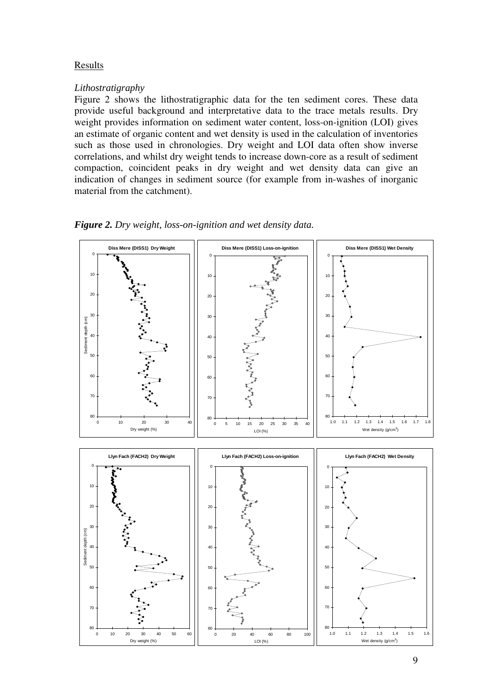#### Results

#### *Lithostratigraphy*

Figure 2 shows the lithostratigraphic data for the ten sediment cores. These data provide useful background and interpretative data to the trace metals results. Dry weight provides information on sediment water content, loss-on-ignition (LOI) gives an estimate of organic content and wet density is used in the calculation of inventories such as those used in chronologies. Dry weight and LOI data often show inverse correlations, and whilst dry weight tends to increase down-core as a result of sediment compaction, coincident peaks in dry weight and wet density data can give an indication of changes in sediment source (for example from in-washes of inorganic material from the catchment).



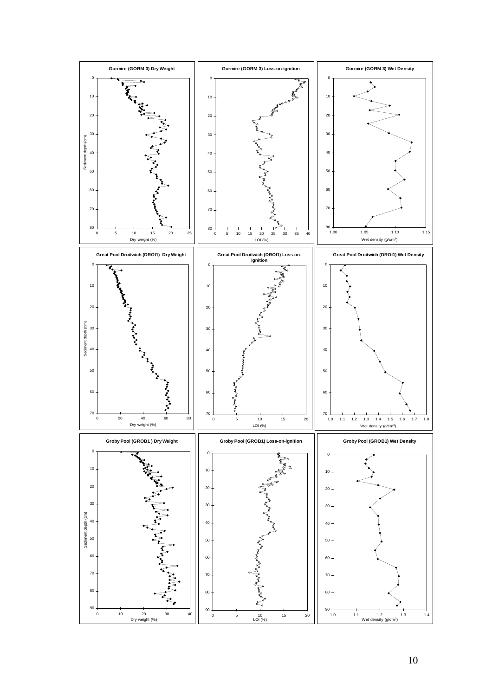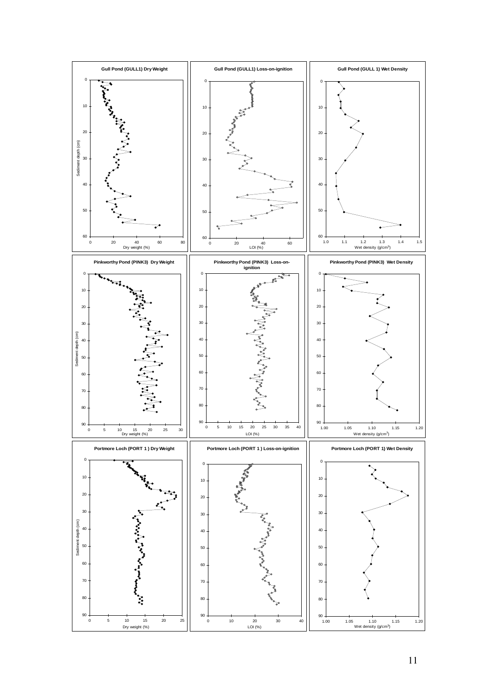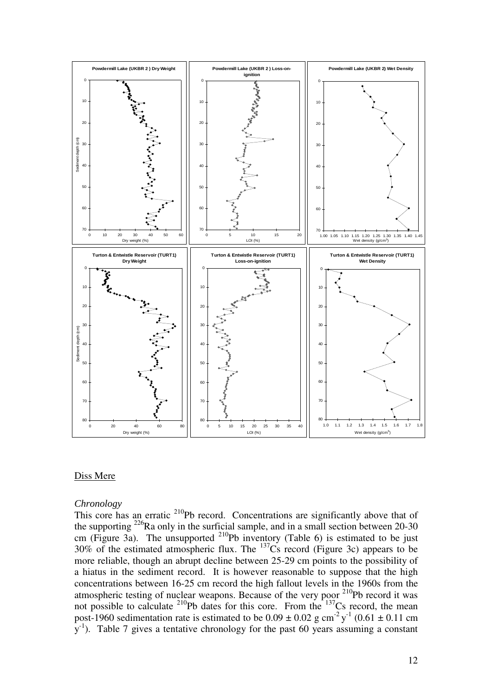

#### Diss Mere

#### *Chronology*

This core has an erratic <sup>210</sup>Pb record. Concentrations are significantly above that of the supporting Ra only in the surficial sample, and in a small section between 20-30 cm (Figure 3a). The unsupported  $^{210}$ Pb inventory (Table 6) is estimated to be just 30% of the estimated atmospheric flux. The Cs record (Figure 3c) appears to be more reliable, though an abrupt decline between 25-29 cm points to the possibility of a hiatus in the sediment record. It is however reasonable to suppose that the high concentrations between 16-25 cm record the high fallout levels in the 1960s from the atmospheric testing of nuclear weapons. Because of the very poor <sup>210</sup>Pb record it was not possible to calculate  $^{210}$ Pb dates for this core. From the  $^{137}$ Cs record, the mean post-1960 sedimentation rate is estimated to be  $0.09 \pm 0.02$  g cm<sup>-2</sup> y<sup>-1</sup> (0.61  $\pm$  0.11 cm  $(y<sup>-1</sup>)$ . Table 7 gives a tentative chronology for the past 60 years assuming a constant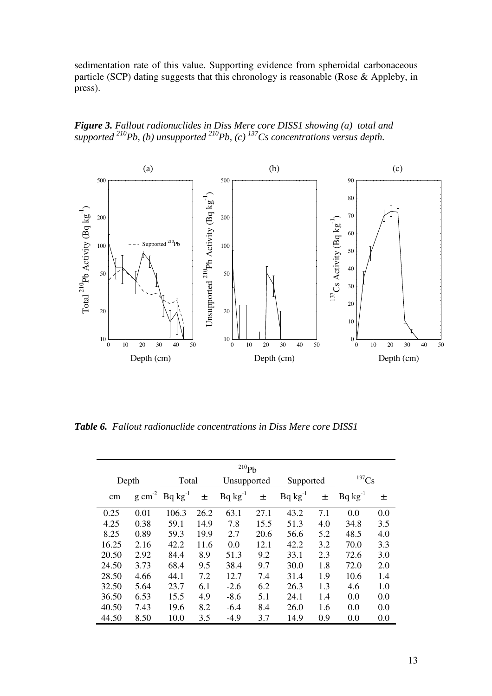sedimentation rate of this value. Supporting evidence from spheroidal carbonaceous particle (SCP) dating suggests that this chronology is reasonable (Rose & Appleby, in press).

*Figure 3. Fallout radionuclides in Diss Mere core DISS1 showing (a) total and supported 210 Pb, (b) unsupported 210 Pb, (c) <sup>137</sup>Cs concentrations versus depth.*

![](_page_12_Figure_2.jpeg)

*Table 6. Fallout radionuclide concentrations in Diss Mere core DISS1*

|       |      |                                         |       | $^{210}Pb$   |       |              |       |              |                     |  |
|-------|------|-----------------------------------------|-------|--------------|-------|--------------|-------|--------------|---------------------|--|
| Depth |      | Total                                   |       | Unsupported  |       | Supported    |       |              | $^{137}\mathrm{Cs}$ |  |
| cm    |      | $g \text{ cm}^{-2}$ Bq kg <sup>-1</sup> | $\pm$ | $Bq kg^{-1}$ | $\pm$ | $Bq kg^{-1}$ | $\pm$ | $Bq kg^{-1}$ | 土                   |  |
| 0.25  | 0.01 | 106.3                                   | 26.2  | 63.1         | 27.1  | 43.2         | 7.1   | 0.0          | 0.0                 |  |
| 4.25  | 0.38 | 59.1                                    | 14.9  | 7.8          | 15.5  | 51.3         | 4.0   | 34.8         | 3.5                 |  |
| 8.25  | 0.89 | 59.3                                    | 19.9  | 2.7          | 20.6  | 56.6         | 5.2   | 48.5         | 4.0                 |  |
| 16.25 | 2.16 | 42.2                                    | 11.6  | 0.0          | 12.1  | 42.2         | 3.2   | 70.0         | 3.3                 |  |
| 20.50 | 2.92 | 84.4                                    | 8.9   | 51.3         | 9.2   | 33.1         | 2.3   | 72.6         | 3.0                 |  |
| 24.50 | 3.73 | 68.4                                    | 9.5   | 38.4         | 9.7   | 30.0         | 1.8   | 72.0         | 2.0                 |  |
| 28.50 | 4.66 | 44.1                                    | 7.2   | 12.7         | 7.4   | 31.4         | 1.9   | 10.6         | 1.4                 |  |
| 32.50 | 5.64 | 23.7                                    | 6.1   | $-2.6$       | 6.2   | 26.3         | 1.3   | 4.6          | 1.0                 |  |
| 36.50 | 6.53 | 15.5                                    | 4.9   | $-8.6$       | 5.1   | 24.1         | 1.4   | 0.0          | 0.0                 |  |
| 40.50 | 7.43 | 19.6                                    | 8.2   | $-6.4$       | 8.4   | 26.0         | 1.6   | 0.0          | 0.0                 |  |
| 44.50 | 8.50 | 10.0                                    | 3.5   | $-4.9$       | 3.7   | 14.9         | 0.9   | 0.0          | 0.0                 |  |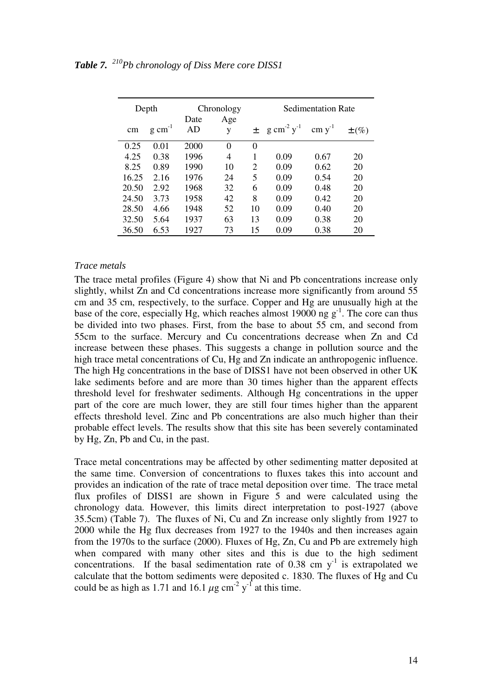|  |  | Table 7. <sup>210</sup> Pb chronology of Diss Mere core DISS1 |  |  |  |  |
|--|--|---------------------------------------------------------------|--|--|--|--|
|--|--|---------------------------------------------------------------|--|--|--|--|

|       | Depth               |            | Chronology |                | <b>Sedimentation Rate</b>          |          |           |
|-------|---------------------|------------|------------|----------------|------------------------------------|----------|-----------|
| cm    | $g \text{ cm}^{-1}$ | Date<br>AD | Age<br>y   | 土              | $g \text{ cm}^{-2} \text{ y}^{-1}$ | $cm y-1$ | $\pm$ (%) |
| 0.25  | 0.01                | 2000       | $\theta$   | $\overline{0}$ |                                    |          |           |
| 4.25  | 0.38                | 1996       | 4          | 1              | 0.09                               | 0.67     | 20        |
| 8.25  | 0.89                | 1990       | 10         | 2              | 0.09                               | 0.62     | 20        |
| 16.25 | 2.16                | 1976       | 24         | 5              | 0.09                               | 0.54     | 20        |
| 20.50 | 2.92                | 1968       | 32         | 6              | 0.09                               | 0.48     | 20        |
| 24.50 | 3.73                | 1958       | 42         | 8              | 0.09                               | 0.42     | 20        |
| 28.50 | 4.66                | 1948       | 52         | 10             | 0.09                               | 0.40     | 20        |
| 32.50 | 5.64                | 1937       | 63         | 13             | 0.09                               | 0.38     | 20        |
| 36.50 | 6.53                | 1927       | 73         | 15             | 0.09                               | 0.38     | 20        |

The trace metal profiles (Figure 4) show that Ni and Pb concentrations increase only slightly, whilst Zn and Cd concentrations increase more significantly from around 55 cm and 35 cm, respectively, to the surface. Copper and Hg are unusually high at the base of the core, especially Hg, which reaches almost 19000 ng  $g^{-1}$ . The core can thus be divided into two phases. First, from the base to about 55 cm, and second from 55cm to the surface. Mercury and Cu concentrations decrease when Zn and Cd increase between these phases. This suggests a change in pollution source and the high trace metal concentrations of Cu, Hg and Zn indicate an anthropogenic influence. The high Hg concentrations in the base of DISS1 have not been observed in other UK lake sediments before and are more than 30 times higher than the apparent effects threshold level for freshwater sediments. Although Hg concentrations in the upper part of the core are much lower, they are still four times higher than the apparent effects threshold level. Zinc and Pb concentrations are also much higher than their probable effect levels. The results show that this site has been severely contaminated by Hg, Zn, Pb and Cu, in the past.

Trace metal concentrations may be affected by other sedimenting matter deposited at the same time. Conversion of concentrations to fluxes takes this into account and provides an indication of the rate of trace metal deposition over time. The trace metal flux profiles of DISS1 are shown in Figure 5 and were calculated using the chronology data. However, this limits direct interpretation to post-1927 (above 35.5cm) (Table 7). The fluxes of Ni, Cu and Zn increase only slightly from 1927 to 2000 while the Hg flux decreases from 1927 to the 1940s and then increases again from the 1970s to the surface (2000). Fluxes of Hg, Zn, Cu and Pb are extremely high when compared with many other sites and this is due to the high sediment concentrations. If the basal sedimentation rate of  $0.38$  cm  $y<sup>-1</sup>$  is extrapolated we calculate that the bottom sediments were deposited c. 1830. The fluxes of Hg and Cu could be as high as 1.71 and 16.1  $\mu$ g cm<sup>-2</sup> y<sup>-f</sup> at this time.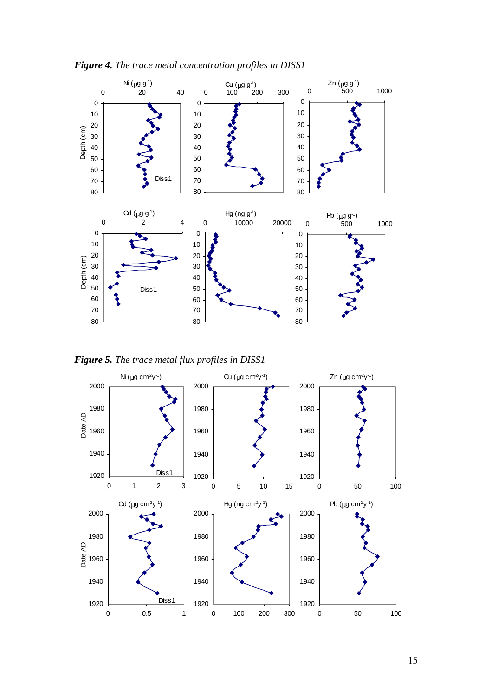![](_page_14_Figure_0.jpeg)

![](_page_14_Figure_1.jpeg)

![](_page_14_Figure_2.jpeg)

![](_page_14_Figure_3.jpeg)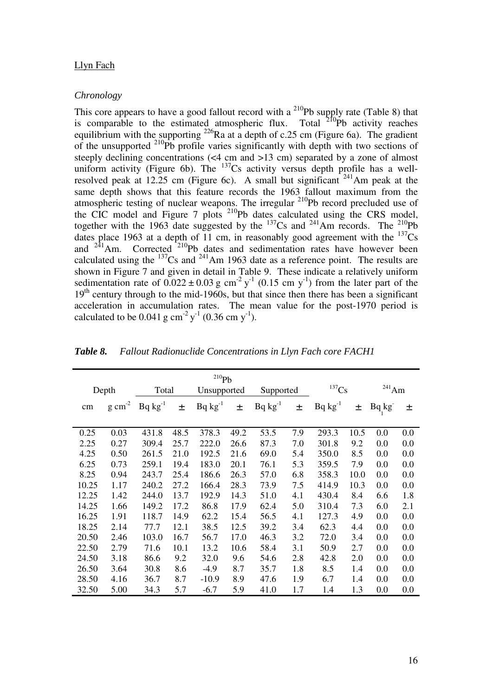# Llyn Fach

### *Chronology*

This core appears to have a good fallout record with a  $^{210}Pb$  supply rate (Table 8) that is comparable to the estimated atmospheric flux. Total  $2^{10}$ Pb activity reaches equilibrium with the supporting  $^{226}$ Ra at a depth of c.25 cm (Figure 6a). The gradient of the unsupported <sup>210</sup>Pb profile varies significantly with depth with two sections of steeply declining concentrations (<4 cm and >13 cm) separated by a zone of almost uniform activity (Figure 6b). The  $^{137}Cs$  activity versus depth profile has a wellresolved peak at 12.25 cm (Figure 6c). A small but significant  $241$ Am peak at the same depth shows that this feature records the 1963 fallout maximum from the atmospheric testing of nuclear weapons. The irregular <sup>210</sup>Pb record precluded use of the CIC model and Figure 7 plots <sup>210</sup>Pb dates calculated using the CRS model, together with the 1963 date suggested by the  $^{137}$ Cs and  $^{241}$ Am records. The  $^{210}$ Pb dates place 1963 at a depth of 11 cm, in reasonably good agreement with the  $^{137}Cs$ and  $241$ Am. Corrected  $210$ Pb dates and sedimentation rates have however been calculated using the  $^{137}Cs$  and  $^{241}Am$  1963 date as a reference point. The results are shown in Figure 7 and given in detail in Table 9. These indicate a relatively uniform sedimentation rate of  $0.022 \pm 0.03$  g cm<sup>-2</sup> y<sup>-1</sup> (0.15 cm y<sup>-1</sup>) from the later part of the 19<sup>th</sup> century through to the mid-1960s, but that since then there has been a significant acceleration in accumulation rates. The mean value for the post-1970 period is calculated to be 0.041 g cm<sup>-2</sup> y<sup>-1</sup> (0.36 cm y<sup>-1</sup>).

| $^{210}Pb$ |                     |              |       |              |       |              |       |              |       |             |       |
|------------|---------------------|--------------|-------|--------------|-------|--------------|-------|--------------|-------|-------------|-------|
|            | Depth               | Total        |       | Unsupported  |       | Supported    |       | $^{137}Cs$   |       | $^{241}$ Am |       |
| cm         | $g \text{ cm}^{-2}$ | $Bq kg^{-1}$ | $\pm$ | $Bq kg^{-1}$ | $\pm$ | $Bq kg^{-1}$ | $\pm$ | $Bq kg^{-1}$ | $\pm$ | Bq kg       | $\pm$ |
| 0.25       | 0.03                | 431.8        | 48.5  | 378.3        | 49.2  | 53.5         | 7.9   | 293.3        | 10.5  | 0.0         | 0.0   |
| 2.25       | 0.27                | 309.4        | 25.7  | 222.0        | 26.6  | 87.3         | 7.0   | 301.8        | 9.2   | 0.0         | 0.0   |
| 4.25       | 0.50                | 261.5        | 21.0  | 192.5        | 21.6  | 69.0         | 5.4   | 350.0        | 8.5   | 0.0         | 0.0   |
| 6.25       | 0.73                | 259.1        | 19.4  | 183.0        | 20.1  | 76.1         | 5.3   | 359.5        | 7.9   | 0.0         | 0.0   |
| 8.25       | 0.94                | 243.7        | 25.4  | 186.6        | 26.3  | 57.0         | 6.8   | 358.3        | 10.0  | 0.0         | 0.0   |
| 10.25      | 1.17                | 240.2        | 27.2  | 166.4        | 28.3  | 73.9         | 7.5   | 414.9        | 10.3  | 0.0         | 0.0   |
| 12.25      | 1.42                | 244.0        | 13.7  | 192.9        | 14.3  | 51.0         | 4.1   | 430.4        | 8.4   | 6.6         | 1.8   |
| 14.25      | 1.66                | 149.2        | 17.2  | 86.8         | 17.9  | 62.4         | 5.0   | 310.4        | 7.3   | 6.0         | 2.1   |
| 16.25      | 1.91                | 118.7        | 14.9  | 62.2         | 15.4  | 56.5         | 4.1   | 127.3        | 4.9   | 0.0         | 0.0   |
| 18.25      | 2.14                | 77.7         | 12.1  | 38.5         | 12.5  | 39.2         | 3.4   | 62.3         | 4.4   | 0.0         | 0.0   |
| 20.50      | 2.46                | 103.0        | 16.7  | 56.7         | 17.0  | 46.3         | 3.2   | 72.0         | 3.4   | 0.0         | 0.0   |
| 22.50      | 2.79                | 71.6         | 10.1  | 13.2         | 10.6  | 58.4         | 3.1   | 50.9         | 2.7   | 0.0         | 0.0   |
| 24.50      | 3.18                | 86.6         | 9.2   | 32.0         | 9.6   | 54.6         | 2.8   | 42.8         | 2.0   | 0.0         | 0.0   |
| 26.50      | 3.64                | 30.8         | 8.6   | $-4.9$       | 8.7   | 35.7         | 1.8   | 8.5          | 1.4   | 0.0         | 0.0   |
| 28.50      | 4.16                | 36.7         | 8.7   | $-10.9$      | 8.9   | 47.6         | 1.9   | 6.7          | 1.4   | 0.0         | 0.0   |
| 32.50      | 5.00                | 34.3         | 5.7   | $-6.7$       | 5.9   | 41.0         | 1.7   | 1.4          | 1.3   | 0.0         | 0.0   |

*Table 8. Fallout Radionuclide Concentrations in Llyn Fach core FACH1*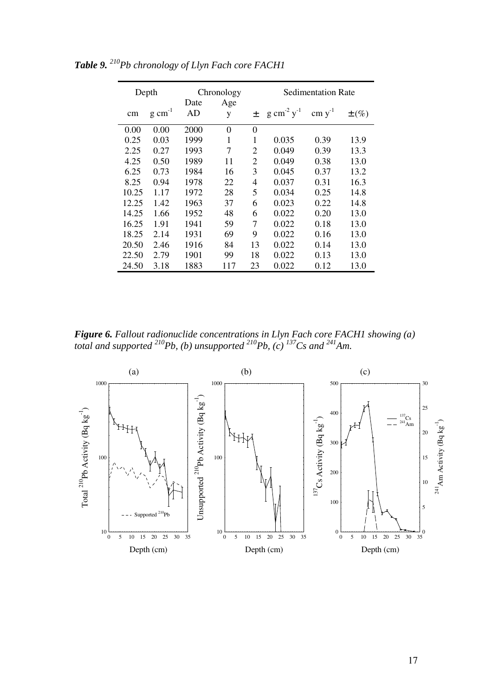|       | Depth               |            | Chronology |                | <b>Sedimentation Rate</b>          |                            |           |
|-------|---------------------|------------|------------|----------------|------------------------------------|----------------------------|-----------|
| cm    | $g \text{ cm}^{-1}$ | Date<br>AD | Age<br>y   | 土              | $g \text{ cm}^{-2} \text{ y}^{-1}$ | $\text{cm} \text{ y}^{-1}$ | $\pm$ (%) |
| 0.00  | 0.00                | 2000       | 0          | 0              |                                    |                            |           |
| 0.25  | 0.03                | 1999       | 1          | 1              | 0.035                              | 0.39                       | 13.9      |
| 2.25  | 0.27                | 1993       | 7          | $\overline{2}$ | 0.049                              | 0.39                       | 13.3      |
| 4.25  | 0.50                | 1989       | 11         | 2              | 0.049                              | 0.38                       | 13.0      |
| 6.25  | 0.73                | 1984       | 16         | 3              | 0.045                              | 0.37                       | 13.2      |
| 8.25  | 0.94                | 1978       | 22         | 4              | 0.037                              | 0.31                       | 16.3      |
| 10.25 | 1.17                | 1972       | 28         | 5              | 0.034                              | 0.25                       | 14.8      |
| 12.25 | 1.42                | 1963       | 37         | 6              | 0.023                              | 0.22                       | 14.8      |
| 14.25 | 1.66                | 1952       | 48         | 6              | 0.022                              | 0.20                       | 13.0      |
| 16.25 | 1.91                | 1941       | 59         | 7              | 0.022                              | 0.18                       | 13.0      |
| 18.25 | 2.14                | 1931       | 69         | 9              | 0.022                              | 0.16                       | 13.0      |
| 20.50 | 2.46                | 1916       | 84         | 13             | 0.022                              | 0.14                       | 13.0      |
| 22.50 | 2.79                | 1901       | 99         | 18             | 0.022                              | 0.13                       | 13.0      |
| 24.50 | 3.18                | 1883       | 117        | 23             | 0.022                              | 0.12                       | 13.0      |

*Table 9. 210 Pb chronology of Llyn Fach core FACH1*

*Figure 6. Fallout radionuclide concentrations in Llyn Fach core FACH1 showing (a) total and supported*  $^{210}Pb$ , *(b) unsupported*  $^{210}Pb$ , *(c)*  $^{137}Cs$  *and*  $^{241}Am$ .

![](_page_16_Figure_3.jpeg)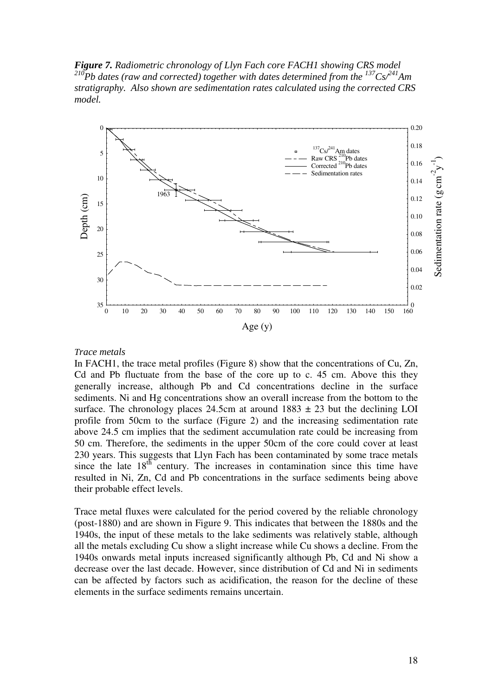*Figure 7. Radiometric chronology of Llyn Fach core FACH1 showing CRS model 210 Pb dates (raw and corrected) together with dates determined from the <sup>137</sup>Cs/ 241 Am stratigraphy. Also shown are sedimentation rates calculated using the corrected CRS model.*

![](_page_17_Figure_1.jpeg)

In FACH1, the trace metal profiles (Figure 8) show that the concentrations of Cu, Zn, Cd and Pb fluctuate from the base of the core up to c. 45 cm. Above this they generally increase, although Pb and Cd concentrations decline in the surface sediments. Ni and Hg concentrations show an overall increase from the bottom to the surface. The chronology places 24.5cm at around  $1883 \pm 23$  but the declining LOI profile from 50cm to the surface (Figure 2) and the increasing sedimentation rate above 24.5 cm implies that the sediment accumulation rate could be increasing from 50 cm. Therefore, the sediments in the upper 50cm of the core could cover at least 230 years. This suggests that Llyn Fach has been contaminated by some trace metals since the late  $18^{th}$  century. The increases in contamination since this time have resulted in Ni, Zn, Cd and Pb concentrations in the surface sediments being above their probable effect levels.

Trace metal fluxes were calculated for the period covered by the reliable chronology (post-1880) and are shown in Figure 9. This indicates that between the 1880s and the 1940s, the input of these metals to the lake sediments was relatively stable, although all the metals excluding Cu show a slight increase while Cu shows a decline. From the 1940s onwards metal inputs increased significantly although Pb, Cd and Ni show a decrease over the last decade. However, since distribution of Cd and Ni in sediments can be affected by factors such as acidification, the reason for the decline of these elements in the surface sediments remains uncertain.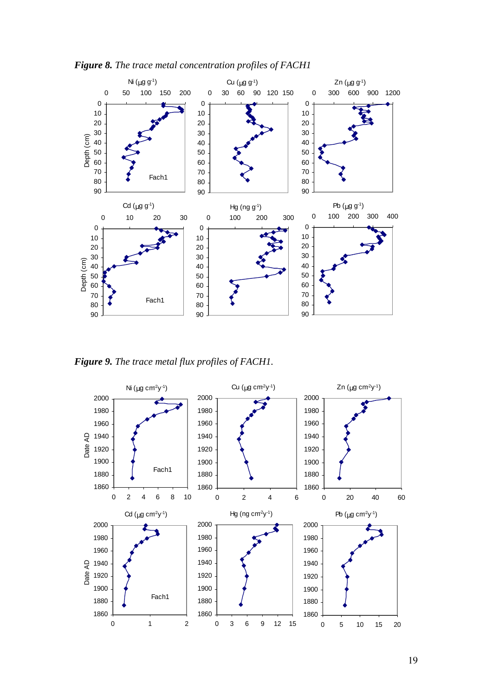*Figure 8. The trace metal concentration profiles of FACH1*

![](_page_18_Figure_1.jpeg)

*Figure 9. The trace metal flux profiles of FACH1.*

![](_page_18_Figure_3.jpeg)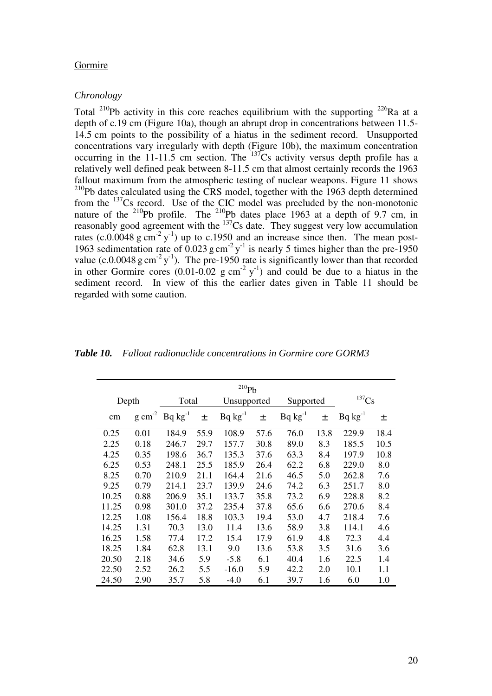#### Gormire

#### *Chronology*

Total  $^{210}$ Pb activity in this core reaches equilibrium with the supporting  $^{226}$ Ra at a depth of c.19 cm (Figure 10a), though an abrupt drop in concentrations between 11.5-14.5 cm points to the possibility of a hiatus in the sediment record. Unsupported concentrations vary irregularly with depth (Figure 10b), the maximum concentration occurring in the  $11-11.5$  cm section. The  $137$ Cs activity versus depth profile has a relatively well defined peak between 8-11.5 cm that almost certainly records the 1963 fallout maximum from the atmospheric testing of nuclear weapons. Figure 11 shows <sup>210</sup>Pb dates calculated using the CRS model, together with the 1963 depth determined from the <sup>137</sup>Cs record. Use of the CIC model was precluded by the non-monotonic nature of the  $^{210}$ Pb profile. The  $^{210}$ Pb dates place 1963 at a depth of 9.7 cm, in reasonably good agreement with the  $137$ Cs date. They suggest very low accumulation rates (c.0.0048 g cm<sup>-2</sup> y<sup>-1</sup>) up to c.1950 and an increase since then. The mean post-1963 sedimentation rate of  $0.023$  g cm<sup>-2</sup> y<sup>-1</sup> is nearly 5 times higher than the pre-1950 value (c.0.0048  $g \text{ cm}^{-2} \text{ y}^{-1}$ ). The pre-1950 rate is significantly lower than that recorded in other Gormire cores  $(0.01-0.02 \text{ g cm}^{-2} \text{ y}^{-1})$  and could be due to a hiatus in the sediment record. In view of this the earlier dates given in Table 11 should be regarded with some caution.

|       | $^{210}Pb$          |              |       |              |      |              |       |                     |      |  |  |  |
|-------|---------------------|--------------|-------|--------------|------|--------------|-------|---------------------|------|--|--|--|
|       | Depth               | Total        |       | Unsupported  |      | Supported    |       | $^{137}\mathrm{Cs}$ |      |  |  |  |
| cm    | $g \text{ cm}^{-2}$ | $Bq kg^{-1}$ | $\pm$ | $Bq kg^{-1}$ | 土    | $Bq kg^{-1}$ | $\pm$ | $Bq kg^{-1}$        | 土    |  |  |  |
| 0.25  | 0.01                | 184.9        | 55.9  | 108.9        | 57.6 | 76.0         | 13.8  | 229.9               | 18.4 |  |  |  |
| 2.25  | 0.18                | 246.7        | 29.7  | 157.7        | 30.8 | 89.0         | 8.3   | 185.5               | 10.5 |  |  |  |
| 4.25  | 0.35                | 198.6        | 36.7  | 135.3        | 37.6 | 63.3         | 8.4   | 197.9               | 10.8 |  |  |  |
| 6.25  | 0.53                | 248.1        | 25.5  | 185.9        | 26.4 | 62.2         | 6.8   | 229.0               | 8.0  |  |  |  |
| 8.25  | 0.70                | 210.9        | 21.1  | 164.4        | 21.6 | 46.5         | 5.0   | 262.8               | 7.6  |  |  |  |
| 9.25  | 0.79                | 214.1        | 23.7  | 139.9        | 24.6 | 74.2         | 6.3   | 251.7               | 8.0  |  |  |  |
| 10.25 | 0.88                | 206.9        | 35.1  | 133.7        | 35.8 | 73.2         | 6.9   | 228.8               | 8.2  |  |  |  |
| 11.25 | 0.98                | 301.0        | 37.2  | 235.4        | 37.8 | 65.6         | 6.6   | 270.6               | 8.4  |  |  |  |
| 12.25 | 1.08                | 156.4        | 18.8  | 103.3        | 19.4 | 53.0         | 4.7   | 218.4               | 7.6  |  |  |  |
| 14.25 | 1.31                | 70.3         | 13.0  | 11.4         | 13.6 | 58.9         | 3.8   | 114.1               | 4.6  |  |  |  |
| 16.25 | 1.58                | 77.4         | 17.2  | 15.4         | 17.9 | 61.9         | 4.8   | 72.3                | 4.4  |  |  |  |
| 18.25 | 1.84                | 62.8         | 13.1  | 9.0          | 13.6 | 53.8         | 3.5   | 31.6                | 3.6  |  |  |  |
| 20.50 | 2.18                | 34.6         | 5.9   | $-5.8$       | 6.1  | 40.4         | 1.6   | 22.5                | 1.4  |  |  |  |
| 22.50 | 2.52                | 26.2         | 5.5   | $-16.0$      | 5.9  | 42.2         | 2.0   | 10.1                | 1.1  |  |  |  |
| 24.50 | 2.90                | 35.7         | 5.8   | $-4.0$       | 6.1  | 39.7         | 1.6   | 6.0                 | 1.0  |  |  |  |

*Table 10. Fallout radionuclide concentrations in Gormire core GORM3*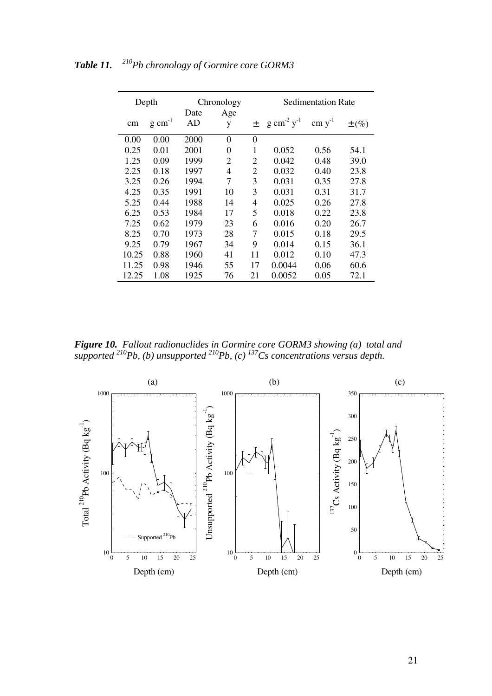|       | Depth               |            | Chronology |                  |                                    | <b>Sedimentation Rate</b>  |           |
|-------|---------------------|------------|------------|------------------|------------------------------------|----------------------------|-----------|
| cm    | $g \text{ cm}^{-1}$ | Date<br>AD | Age<br>y   | 土                | $g \text{ cm}^{-2} \text{ y}^{-1}$ | $\text{cm} \text{ y}^{-1}$ | $\pm$ (%) |
| 0.00  | 0.00                | 2000       | 0          | $\boldsymbol{0}$ |                                    |                            |           |
| 0.25  | 0.01                | 2001       | 0          | 1                | 0.052                              | 0.56                       | 54.1      |
| 1.25  | 0.09                | 1999       | 2          | 2                | 0.042                              | 0.48                       | 39.0      |
| 2.25  | 0.18                | 1997       | 4          | 2                | 0.032                              | 0.40                       | 23.8      |
| 3.25  | 0.26                | 1994       | 7          | 3                | 0.031                              | 0.35                       | 27.8      |
| 4.25  | 0.35                | 1991       | 10         | 3                | 0.031                              | 0.31                       | 31.7      |
| 5.25  | 0.44                | 1988       | 14         | 4                | 0.025                              | 0.26                       | 27.8      |
| 6.25  | 0.53                | 1984       | 17         | 5                | 0.018                              | 0.22                       | 23.8      |
| 7.25  | 0.62                | 1979       | 23         | 6                | 0.016                              | 0.20                       | 26.7      |
| 8.25  | 0.70                | 1973       | 28         | 7                | 0.015                              | 0.18                       | 29.5      |
| 9.25  | 0.79                | 1967       | 34         | 9                | 0.014                              | 0.15                       | 36.1      |
| 10.25 | 0.88                | 1960       | 41         | 11               | 0.012                              | 0.10                       | 47.3      |
| 11.25 | 0.98                | 1946       | 55         | 17               | 0.0044                             | 0.06                       | 60.6      |
| 12.25 | 1.08                | 1925       | 76         | 21               | 0.0052                             | 0.05                       | 72.1      |

*Table 11. 210 Pb chronology of Gormire core GORM3*

*Figure 10. Fallout radionuclides in Gormire core GORM3 showing (a) total and supported 210 Pb, (b) unsupported 210 Pb, (c) <sup>137</sup>Cs concentrations versus depth.*

![](_page_20_Figure_3.jpeg)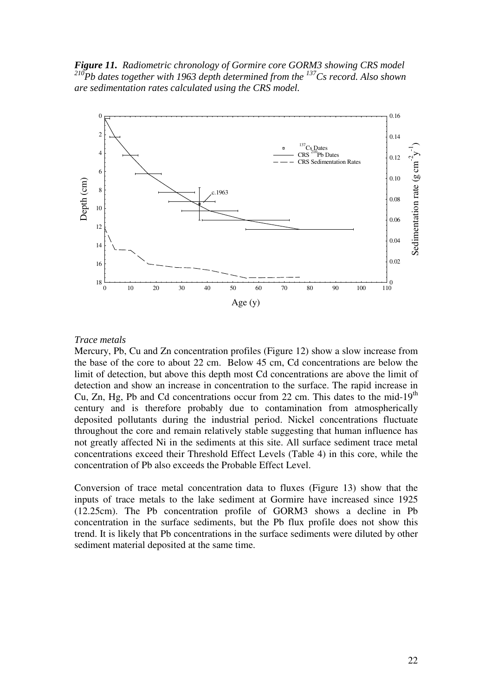*Figure 11. Radiometric chronology of Gormire core GORM3 showing CRS model 210 Pb dates together with 1963 depth determined from the <sup>137</sup>Cs record. Also shown are sedimentation rates calculated using the CRS model.*

![](_page_21_Figure_1.jpeg)

Mercury, Pb, Cu and Zn concentration profiles (Figure 12) show a slow increase from the base of the core to about 22 cm. Below 45 cm, Cd concentrations are below the limit of detection, but above this depth most Cd concentrations are above the limit of detection and show an increase in concentration to the surface. The rapid increase in Cu, Zn, Hg, Pb and Cd concentrations occur from 22 cm. This dates to the mid-19<sup>th</sup> century and is therefore probably due to contamination from atmospherically deposited pollutants during the industrial period. Nickel concentrations fluctuate throughout the core and remain relatively stable suggesting that human influence has not greatly affected Ni in the sediments at this site. All surface sediment trace metal concentrations exceed their Threshold Effect Levels (Table 4) in this core, while the concentration of Pb also exceeds the Probable Effect Level.

Conversion of trace metal concentration data to fluxes (Figure 13) show that the inputs of trace metals to the lake sediment at Gormire have increased since 1925 (12.25cm). The Pb concentration profile of GORM3 shows a decline in Pb concentration in the surface sediments, but the Pb flux profile does not show this trend. It is likely that Pb concentrations in the surface sediments were diluted by other sediment material deposited at the same time.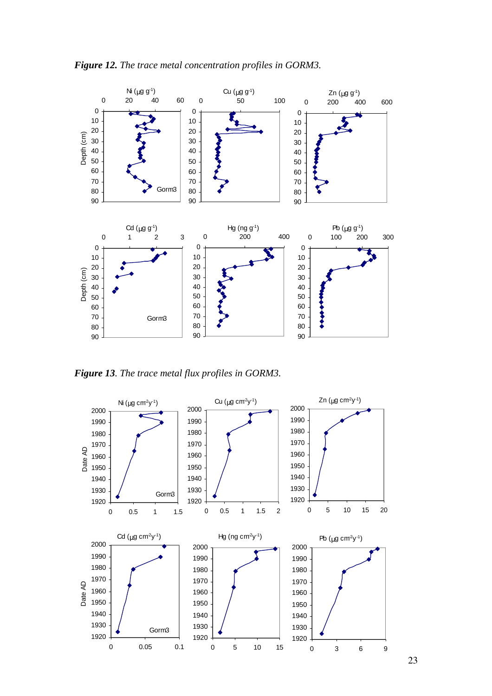![](_page_22_Figure_0.jpeg)

![](_page_22_Figure_1.jpeg)

*Figure 13. The trace metal flux profiles in GORM3.*

![](_page_22_Figure_3.jpeg)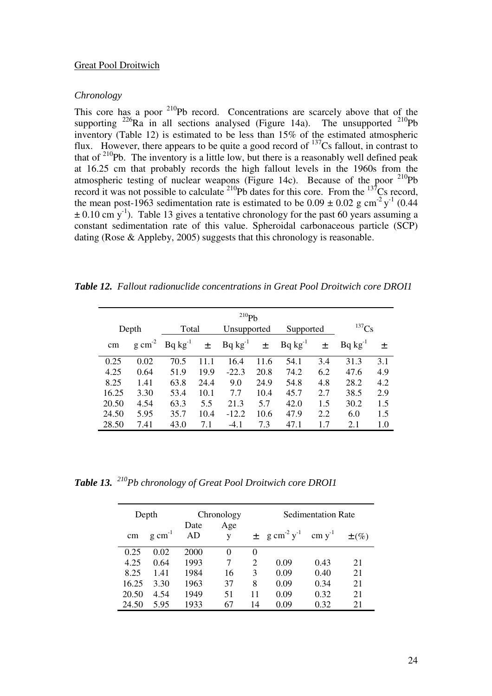#### Great Pool Droitwich

#### *Chronology*

This core has a poor  $2^{10}$ Pb record. Concentrations are scarcely above that of the supporting  $226$ Ra in all sections analysed (Figure 14a). The unsupported  $210$ Pb inventory (Table 12) is estimated to be less than 15% of the estimated atmospheric flux. However, there appears to be quite a good record of  $^{137}Cs$  fallout, in contrast to that of  $210$ Pb. The inventory is a little low, but there is a reasonably well defined peak at 16.25 cm that probably records the high fallout levels in the 1960s from the atmospheric testing of nuclear weapons (Figure 14c). Because of the poor  $^{210}Pb$ record it was not possible to calculate  $^{210}$ Pb dates for this core. From the  $^{137}$ Cs record, the mean post-1963 sedimentation rate is estimated to be  $0.09 \pm 0.02$  g cm<sup>-2</sup> y<sup>-1</sup> (0.44)  $\pm$  0.10 cm y<sup>-1</sup>). Table 13 gives a tentative chronology for the past 60 years assuming a constant sedimentation rate of this value. Spheroidal carbonaceous particle (SCP) dating (Rose & Appleby, 2005) suggests that this chronology is reasonable.

*Table 12. Fallout radionuclide concentrations in Great Pool Droitwich core DROI1*

|       |                     |              |       | $^{210}Ph$               |      |              |            |              |     |
|-------|---------------------|--------------|-------|--------------------------|------|--------------|------------|--------------|-----|
|       | Depth               | Total        |       | Supported<br>Unsupported |      |              | $^{137}Cs$ |              |     |
| cm    | $g \text{ cm}^{-2}$ | $Bq kg^{-1}$ | $\pm$ | $Bq kg^{-1}$             | 土    | $Bq kg^{-1}$ | 土          | $Bq kg^{-1}$ | 土   |
| 0.25  | 0.02                | 70.5         | 11.1  | 16.4                     | 11.6 | 54.1         | 3.4        | 31.3         | 3.1 |
| 4.25  | 0.64                | 51.9         | 19.9  | $-22.3$                  | 20.8 | 74.2         | 6.2        | 47.6         | 4.9 |
| 8.25  | 1.41                | 63.8         | 24.4  | 9.0                      | 24.9 | 54.8         | 4.8        | 28.2         | 4.2 |
| 16.25 | 3.30                | 53.4         | 10.1  | 7.7                      | 10.4 | 45.7         | 2.7        | 38.5         | 2.9 |
| 20.50 | 4.54                | 63.3         | 5.5   | 21.3                     | 5.7  | 42.0         | 1.5        | 30.2         | 1.5 |
| 24.50 | 5.95                | 35.7         | 10.4  | $-12.2$                  | 10.6 | 47.9         | 2.2        | 6.0          | 1.5 |
| 28.50 | 7.41                | 43.0         | 7.1   | $-4.1$                   | 7.3  | 47.1         | 1.7        | 2.1          | 1.0 |

*Table 13. 210 Pb chronology of Great Pool Droitwich core DROI1*

| Depth |                     |            | Chronology |    | <b>Sedimentation Rate</b>                                   |      |           |  |  |  |
|-------|---------------------|------------|------------|----|-------------------------------------------------------------|------|-----------|--|--|--|
| cm    | $g \text{ cm}^{-1}$ | Date<br>AD | Age<br>y   |    | $\pm$ g cm <sup>-2</sup> y <sup>-1</sup> cm y <sup>-1</sup> |      | $\pm$ (%) |  |  |  |
| 0.25  | 0.02                | 2000       | 0          | 0  |                                                             |      |           |  |  |  |
| 4.25  | 0.64                | 1993       | 7          | 2  | 0.09                                                        | 0.43 | 21        |  |  |  |
| 8.25  | 1.41                | 1984       | 16         | 3  | 0.09                                                        | 0.40 | 21        |  |  |  |
| 16.25 | 3.30                | 1963       | 37         | 8  | 0.09                                                        | 0.34 | 21        |  |  |  |
| 20.50 | 4.54                | 1949       | 51         | 11 | 0.09                                                        | 0.32 | 21        |  |  |  |
| 24.50 | 5.95                | 1933       | 67         | 14 | 0.09                                                        | 0.32 | 21        |  |  |  |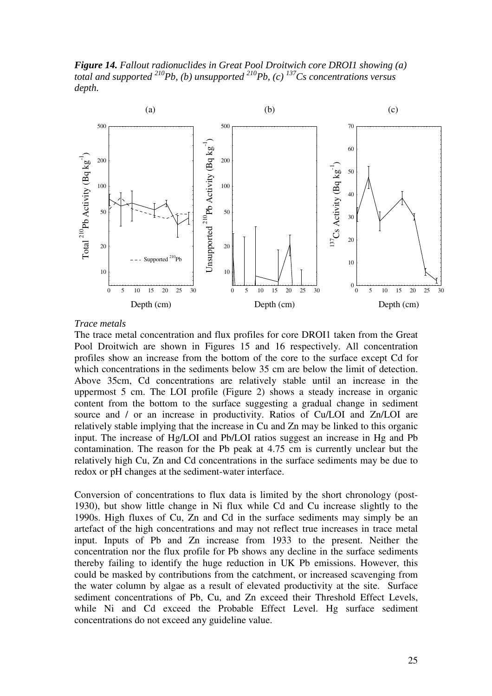*Figure 14. Fallout radionuclides in Great Pool Droitwich core DROI1 showing (a) total and supported 210 Pb, (b) unsupported 210 Pb, (c) <sup>137</sup>Cs concentrations versus depth.*

![](_page_24_Figure_1.jpeg)

The trace metal concentration and flux profiles for core DROI1 taken from the Great Pool Droitwich are shown in Figures 15 and 16 respectively. All concentration profiles show an increase from the bottom of the core to the surface except Cd for which concentrations in the sediments below 35 cm are below the limit of detection. Above 35cm, Cd concentrations are relatively stable until an increase in the uppermost 5 cm. The LOI profile (Figure 2) shows a steady increase in organic content from the bottom to the surface suggesting a gradual change in sediment source and / or an increase in productivity. Ratios of Cu/LOI and Zn/LOI are relatively stable implying that the increase in Cu and Zn may be linked to this organic input. The increase of Hg/LOI and Pb/LOI ratios suggest an increase in Hg and Pb contamination. The reason for the Pb peak at 4.75 cm is currently unclear but the relatively high Cu, Zn and Cd concentrations in the surface sediments may be due to redox or pH changes at the sediment-water interface.

Conversion of concentrations to flux data is limited by the short chronology (post-1930), but show little change in Ni flux while Cd and Cu increase slightly to the 1990s. High fluxes of Cu, Zn and Cd in the surface sediments may simply be an artefact of the high concentrations and may not reflect true increases in trace metal input. Inputs of Pb and Zn increase from 1933 to the present. Neither the concentration nor the flux profile for Pb shows any decline in the surface sediments thereby failing to identify the huge reduction in UK Pb emissions. However, this could be masked by contributions from the catchment, or increased scavenging from the water column by algae as a result of elevated productivity at the site. Surface sediment concentrations of Pb, Cu, and Zn exceed their Threshold Effect Levels, while Ni and Cd exceed the Probable Effect Level. Hg surface sediment concentrations do not exceed any guideline value.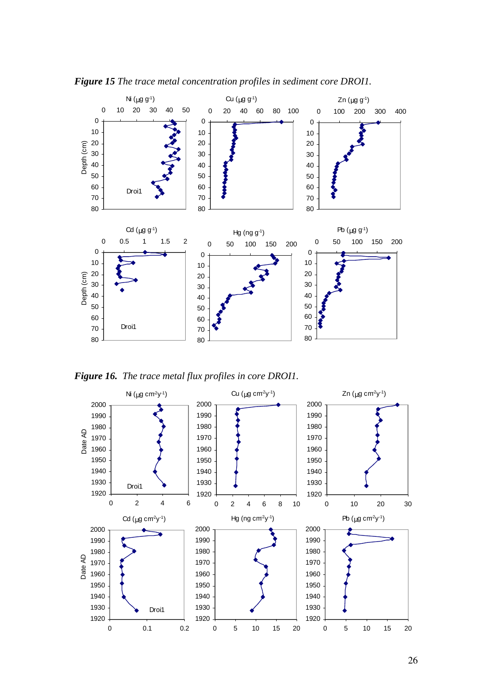![](_page_25_Figure_0.jpeg)

*Figure 15 The trace metal concentration profiles in sediment core DROI1.*

*Figure 16. The trace metal flux profiles in core DROI1.*

![](_page_25_Figure_3.jpeg)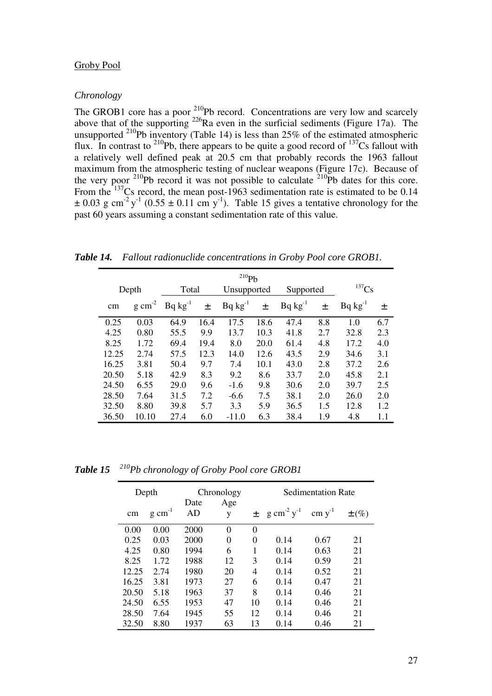#### Groby Pool

#### *Chronology*

The GROB1 core has a poor  $2^{10}Pb$  record. Concentrations are very low and scarcely above that of the supporting  $^{226}$ Ra even in the surficial sediments (Figure 17a). The unsupported  $^{210}$ Pb inventory (Table 14) is less than 25% of the estimated atmospheric flux. In contrast to <sup>210</sup>Pb, there appears to be quite a good record of  $137$ Cs fallout with a relatively well defined peak at 20.5 cm that probably records the 1963 fallout maximum from the atmospheric testing of nuclear weapons (Figure 17c). Because of the very poor  $^{210}$ Pb record it was not possible to calculate  $^{210}$ Pb dates for this core. From the  $137$ Cs record, the mean post-1963 sedimentation rate is estimated to be 0.14  $\pm$  0.03 g cm<sup>-2</sup> y<sup>-1</sup> (0.55  $\pm$  0.11 cm y<sup>-1</sup>). Table 15 gives a tentative chronology for the past 60 years assuming a constant sedimentation rate of this value.

|       |                     |              |       | $^{210}Pb$   |       |              |     |                       |     |
|-------|---------------------|--------------|-------|--------------|-------|--------------|-----|-----------------------|-----|
|       | Depth               | Total        |       | Unsupported  |       | Supported    |     | ${}^{137}\mathrm{Cs}$ |     |
| cm    | $g \text{ cm}^{-2}$ | $Bq kg^{-1}$ | $\pm$ | $Bq kg^{-1}$ | $\pm$ | $Bq kg^{-1}$ | 土   | $Bq kg^{-1}$          | 土   |
| 0.25  | 0.03                | 64.9         | 16.4  | 17.5         | 18.6  | 47.4         | 8.8 | 1.0                   | 6.7 |
| 4.25  | 0.80                | 55.5         | 9.9   | 13.7         | 10.3  | 41.8         | 2.7 | 32.8                  | 2.3 |
| 8.25  | 1.72                | 69.4         | 19.4  | 8.0          | 20.0  | 61.4         | 4.8 | 17.2                  | 4.0 |
| 12.25 | 2.74                | 57.5         | 12.3  | 14.0         | 12.6  | 43.5         | 2.9 | 34.6                  | 3.1 |
| 16.25 | 3.81                | 50.4         | 9.7   | 7.4          | 10.1  | 43.0         | 2.8 | 37.2                  | 2.6 |
| 20.50 | 5.18                | 42.9         | 8.3   | 9.2          | 8.6   | 33.7         | 2.0 | 45.8                  | 2.1 |
| 24.50 | 6.55                | 29.0         | 9.6   | $-1.6$       | 9.8   | 30.6         | 2.0 | 39.7                  | 2.5 |
| 28.50 | 7.64                | 31.5         | 7.2   | $-6.6$       | 7.5   | 38.1         | 2.0 | 26.0                  | 2.0 |
| 32.50 | 8.80                | 39.8         | 5.7   | 3.3          | 5.9   | 36.5         | 1.5 | 12.8                  | 1.2 |
| 36.50 | 10.10               | 27.4         | 6.0   | $-11.0$      | 6.3   | 38.4         | 1.9 | 4.8                   | 1.1 |

*Table 14. Fallout radionuclide concentrations in Groby Pool core GROB1.*

*Table 15 210 Pb chronology of Groby Pool core GROB1*

| Depth |                     |                        | Chronology |    | <b>Sedimentation Rate</b>          |                            |           |  |  |
|-------|---------------------|------------------------|------------|----|------------------------------------|----------------------------|-----------|--|--|
| cm    | $g \text{ cm}^{-1}$ | Age<br>Date<br>AD<br>у |            | 土  | $g \text{ cm}^{-2} \text{ y}^{-1}$ | $\text{cm} \text{ y}^{-1}$ | $\pm$ (%) |  |  |
| 0.00  | 0.00                | 2000                   | $\Omega$   | 0  |                                    |                            |           |  |  |
| 0.25  | 0.03                | 2000                   | 0          | 0  | 0.14                               | 0.67                       | 21        |  |  |
| 4.25  | 0.80                | 1994                   | 6          | 1  | 0.14                               | 0.63                       | 21        |  |  |
| 8.25  | 1.72                | 1988                   | 12         | 3  | 0.14                               | 0.59                       | 21        |  |  |
| 12.25 | 2.74                | 1980                   | 20         | 4  | 0.14                               | 0.52                       | 21        |  |  |
| 16.25 | 3.81                | 1973                   | 27         | 6  | 0.14                               | 0.47                       | 21        |  |  |
| 20.50 | 5.18                | 1963                   | 37         | 8  | 0.14                               | 0.46                       | 21        |  |  |
| 24.50 | 6.55                | 1953                   | 47         | 10 | 0.14                               | 0.46                       | 21        |  |  |
| 28.50 | 7.64                | 1945                   | 55         | 12 | 0.14                               | 0.46                       | 21        |  |  |
| 32.50 | 8.80                | 1937                   | 63         | 13 | 0.14                               | 0.46                       | 21        |  |  |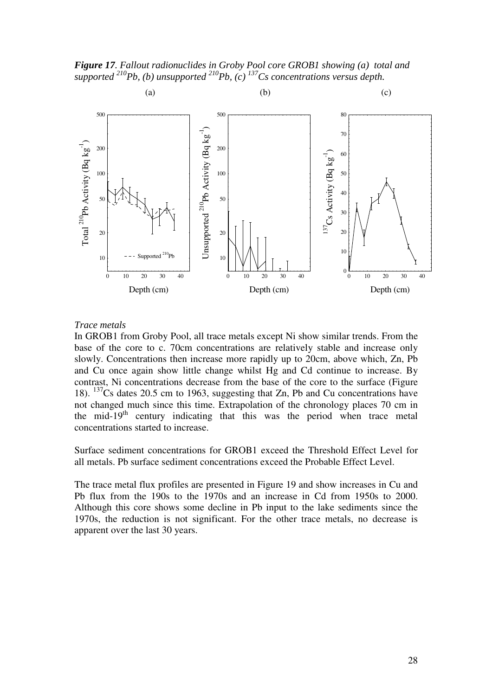*Figure 17. Fallout radionuclides in Groby Pool core GROB1 showing (a) total and supported 210 Pb, (b) unsupported 210 Pb, (c) <sup>137</sup>Cs concentrations versus depth.*

![](_page_27_Figure_1.jpeg)

In GROB1 from Groby Pool, all trace metals except Ni show similar trends. From the base of the core to c. 70cm concentrations are relatively stable and increase only slowly. Concentrations then increase more rapidly up to 20cm, above which, Zn, Pb and Cu once again show little change whilst Hg and Cd continue to increase. By contrast, Ni concentrations decrease from the base of the core to the surface (Figure 18). <sup>137</sup>Cs dates 20.5 cm to 1963, suggesting that Zn, Pb and Cu concentrations have not changed much since this time. Extrapolation of the chronology places 70 cm in the mid-19<sup>th</sup> century indicating that this was the period when trace metal concentrations started to increase.

Surface sediment concentrations for GROB1 exceed the Threshold Effect Level for all metals. Pb surface sediment concentrations exceed the Probable Effect Level.

The trace metal flux profiles are presented in Figure 19 and show increases in Cu and Pb flux from the 190s to the 1970s and an increase in Cd from 1950s to 2000. Although this core shows some decline in Pb input to the lake sediments since the 1970s, the reduction is not significant. For the other trace metals, no decrease is apparent over the last 30 years.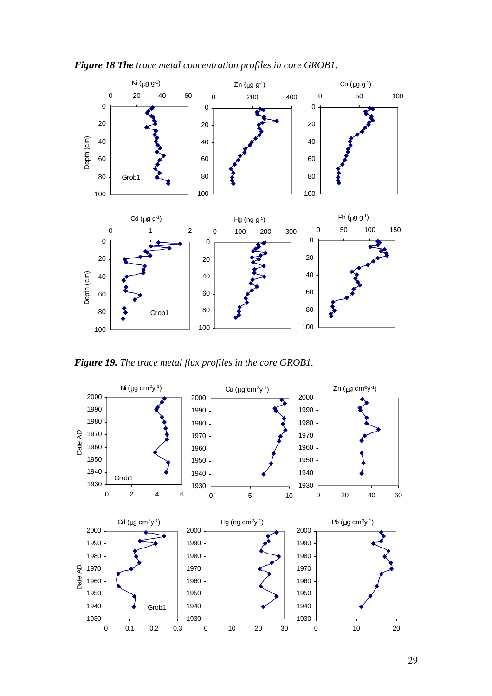![](_page_28_Figure_0.jpeg)

*Figure 18 The trace metal concentration profiles in core GROB1.*

*Figure 19. The trace metal flux profiles in the core GROB1.*

![](_page_28_Figure_3.jpeg)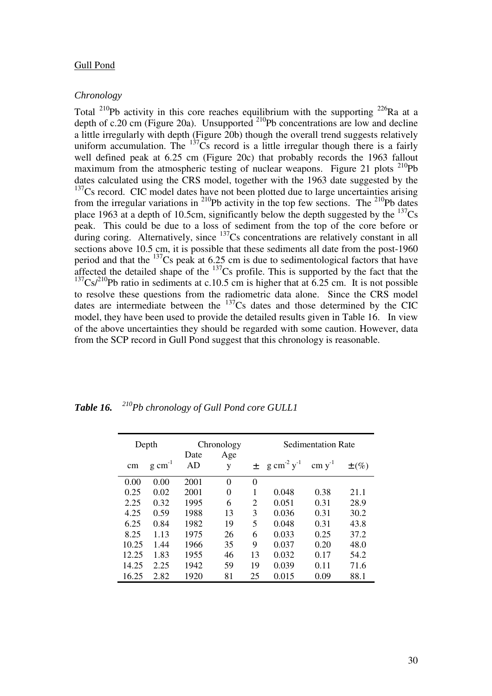#### Gull Pond

#### *Chronology*

Total  $^{210}$ Pb activity in this core reaches equilibrium with the supporting  $^{226}$ Ra at a depth of c.20 cm (Figure 20a). Unsupported 210 Pb concentrations are low and decline a little irregularly with depth (Figure 20b) though the overall trend suggests relatively uniform accumulation. The  $^{137}Cs$  record is a little irregular though there is a fairly well defined peak at 6.25 cm (Figure 20c) that probably records the 1963 fallout maximum from the atmospheric testing of nuclear weapons. Figure 21 plots <sup>210</sup>Pb dates calculated using the CRS model, together with the 1963 date suggested by the <sup>137</sup>Cs record. CIC model dates have not been plotted due to large uncertainties arising from the irregular variations in  $^{210}Pb$  activity in the top few sections. The  $^{210}Pb$  dates place 1963 at a depth of 10.5cm, significantly below the depth suggested by the  $^{137}Cs$ peak. This could be due to a loss of sediment from the top of the core before or during coring. Alternatively, since <sup>137</sup>Cs concentrations are relatively constant in all sections above 10.5 cm, it is possible that these sediments all date from the post-1960 period and that the  $^{137}Cs$  peak at 6.25 cm is due to sedimentological factors that have affected the detailed shape of the  $137$ Cs profile. This is supported by the fact that the  $137<sub>Cs</sub>/210<sub>Pb</sub>$  ratio in sediments at c.10.5 cm is higher that at 6.25 cm. It is not possible to resolve these questions from the radiometric data alone. Since the CRS model dates are intermediate between the  $137Cs$  dates and those determined by the CIC model, they have been used to provide the detailed results given in Table 16. In view of the above uncertainties they should be regarded with some caution. However, data from the SCP record in Gull Pond suggest that this chronology is reasonable.

|       | Depth               |            | Chronology |                  | <b>Sedimentation Rate</b>          |                            |           |  |  |
|-------|---------------------|------------|------------|------------------|------------------------------------|----------------------------|-----------|--|--|
| cm    | $g \text{ cm}^{-1}$ | Date<br>AD | Age<br>y   | 土                | $g \text{ cm}^{-2} \text{ y}^{-1}$ | $\text{cm} \text{ y}^{-1}$ | $\pm$ (%) |  |  |
| 0.00  | 0.00                | 2001       | $\Omega$   | $\boldsymbol{0}$ |                                    |                            |           |  |  |
| 0.25  | 0.02                | 2001       | 0          | 1                | 0.048                              | 0.38                       | 21.1      |  |  |
| 2.25  | 0.32                | 1995       | 6          | $\overline{2}$   | 0.051                              | 0.31                       | 28.9      |  |  |
| 4.25  | 0.59                | 1988       | 13         | 3                | 0.036                              | 0.31                       | 30.2      |  |  |
| 6.25  | 0.84                | 1982       | 19         | 5                | 0.048                              | 0.31                       | 43.8      |  |  |
| 8.25  | 1.13                | 1975       | 26         | 6                | 0.033                              | 0.25                       | 37.2      |  |  |
| 10.25 | 1.44                | 1966       | 35         | 9                | 0.037                              | 0.20                       | 48.0      |  |  |
| 12.25 | 1.83                | 1955       | 46         | 13               | 0.032                              | 0.17                       | 54.2      |  |  |
| 14.25 | 2.25                | 1942       | 59         | 19               | 0.039                              | 0.11                       | 71.6      |  |  |
| 16.25 | 2.82                | 1920       | 81         | 25               | 0.015                              | 0.09                       | 88.1      |  |  |

| Table 16. | <sup>210</sup> Pb chronology of Gull Pond core GULL1 |  |  |
|-----------|------------------------------------------------------|--|--|
|-----------|------------------------------------------------------|--|--|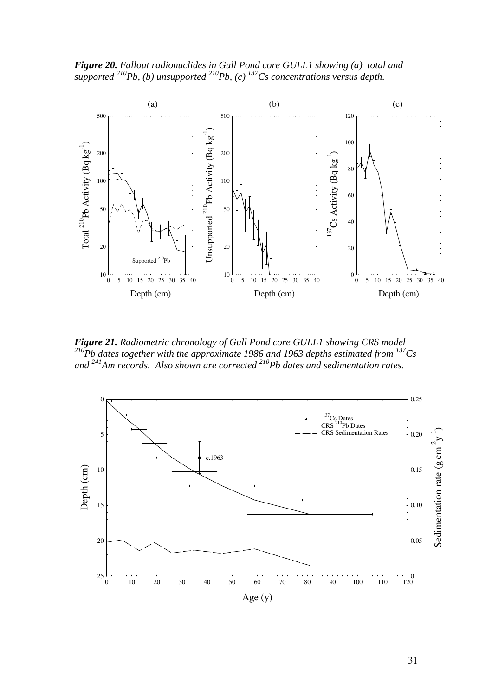*Figure 20. Fallout radionuclides in Gull Pond core GULL1 showing (a) total and supported 210 Pb, (b) unsupported 210 Pb, (c) <sup>137</sup>Cs concentrations versus depth.*

![](_page_30_Figure_1.jpeg)

*Figure 21. Radiometric chronology of Gull Pond core GULL1 showing CRS model 210 Pb dates together with the approximate 1986 and 1963 depths estimated from <sup>137</sup>Cs and 241 Am records. Also shown are corrected 210 Pb dates and sedimentation rates.*

![](_page_30_Figure_3.jpeg)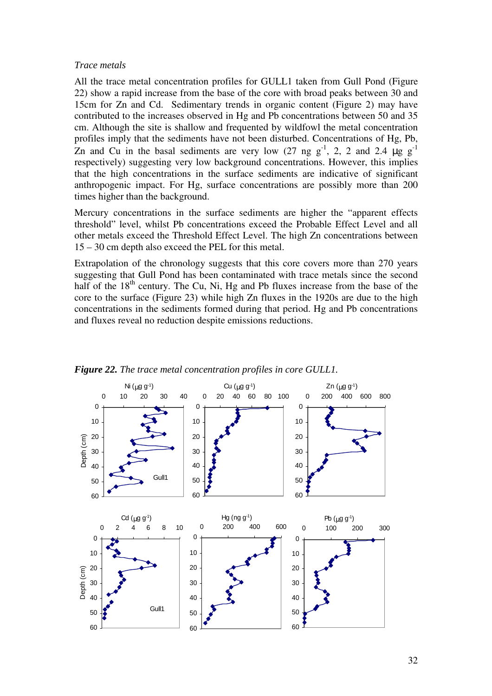All the trace metal concentration profiles for GULL1 taken from Gull Pond (Figure 22) show a rapid increase from the base of the core with broad peaks between 30 and 15cm for Zn and Cd. Sedimentary trends in organic content (Figure 2) may have contributed to the increases observed in Hg and Pb concentrations between 50 and 35 cm. Although the site is shallow and frequented by wildfowl the metal concentration profiles imply that the sediments have not been disturbed. Concentrations of Hg, Pb, Zn and Cu in the basal sediments are very low (27 ng  $g^{-1}$ , 2, 2 and 2.4  $\mu g g^{-1}$ respectively) suggesting very low background concentrations. However, this implies that the high concentrations in the surface sediments are indicative of significant anthropogenic impact. For Hg, surface concentrations are possibly more than 200 times higher than the background.

Mercury concentrations in the surface sediments are higher the "apparent effects threshold" level, whilst Pb concentrations exceed the Probable Effect Level and all other metals exceed the Threshold Effect Level. The high Zn concentrations between – 30 cm depth also exceed the PEL for this metal.

Extrapolation of the chronology suggests that this core covers more than 270 years suggesting that Gull Pond has been contaminated with trace metals since the second half of the  $18<sup>th</sup>$  century. The Cu, Ni, Hg and Pb fluxes increase from the base of the core to the surface (Figure 23) while high Zn fluxes in the 1920s are due to the high concentrations in the sediments formed during that period. Hg and Pb concentrations and fluxes reveal no reduction despite emissions reductions.

![](_page_31_Figure_4.jpeg)

*Figure 22. The trace metal concentration profiles in core GULL1.*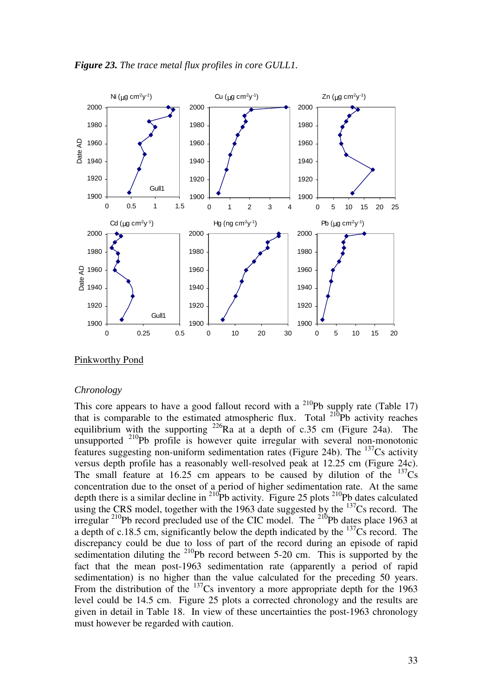![](_page_32_Figure_0.jpeg)

![](_page_32_Figure_1.jpeg)

Pinkworthy Pond

#### *Chronology*

This core appears to have a good fallout record with a  $^{210}Pb$  supply rate (Table 17) that is comparable to the estimated atmospheric flux. Total <sup>210</sup>Pb activity reaches equilibrium with the supporting  $^{226}$ Ra at a depth of c.35 cm (Figure 24a). The unsupported <sup>210</sup>Pb profile is however quite irregular with several non-monotonic features suggesting non-uniform sedimentation rates (Figure 24b). The <sup>137</sup>Cs activity versus depth profile has a reasonably well-resolved peak at 12.25 cm (Figure 24c). The small feature at  $16.25$  cm appears to be caused by dilution of the  $137Cs$ concentration due to the onset of a period of higher sedimentation rate. At the same depth there is a similar decline in  $^{210}Pb$  activity. Figure 25 plots  $^{210}Pb$  dates calculated using the CRS model, together with the 1963 date suggested by the  $137$ Cs record. The irregular  $^{210}$ Pb record precluded use of the CIC model. The  $^{210}$ Pb dates place 1963 at a depth of c.18.5 cm, significantly below the depth indicated by the  $^{137}Cs$  record. The discrepancy could be due to loss of part of the record during an episode of rapid sedimentation diluting the <sup>210</sup>Pb record between 5-20 cm. This is supported by the fact that the mean post-1963 sedimentation rate (apparently a period of rapid sedimentation) is no higher than the value calculated for the preceding 50 years. From the distribution of the  $^{137}Cs$  inventory a more appropriate depth for the 1963 level could be 14.5 cm. Figure 25 plots a corrected chronology and the results are given in detail in Table 18. In view of these uncertainties the post-1963 chronology must however be regarded with caution.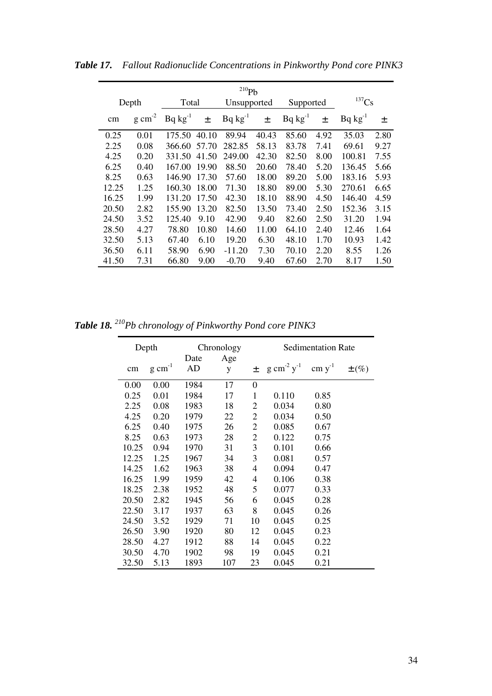|       | $\mathrm{^{210}Pb}$ |              |       |              |       |              |      |                     |      |  |  |  |
|-------|---------------------|--------------|-------|--------------|-------|--------------|------|---------------------|------|--|--|--|
|       | Depth               | Total        |       | Unsupported  |       | Supported    |      | $^{137}\mathrm{Cs}$ |      |  |  |  |
| cm    | $g \text{ cm}^{-2}$ | $Bq kg^{-1}$ | $\pm$ | $Bq kg^{-1}$ | 土     | $Bq kg^{-1}$ | 土    | $Bq kg^{-1}$        | 土    |  |  |  |
| 0.25  | 0.01                | 175.50       | 40.10 | 89.94        | 40.43 | 85.60        | 4.92 | 35.03               | 2.80 |  |  |  |
| 2.25  | 0.08                | 366.60       | 57.70 | 282.85       | 58.13 | 83.78        | 7.41 | 69.61               | 9.27 |  |  |  |
| 4.25  | 0.20                | 331.50       | 41.50 | 249.00       | 42.30 | 82.50        | 8.00 | 100.81              | 7.55 |  |  |  |
| 6.25  | 0.40                | 167.00       | 19.90 | 88.50        | 20.60 | 78.40        | 5.20 | 136.45              | 5.66 |  |  |  |
| 8.25  | 0.63                | 146.90       | 17.30 | 57.60        | 18.00 | 89.20        | 5.00 | 183.16              | 5.93 |  |  |  |
| 12.25 | 1.25                | 160.30       | 18.00 | 71.30        | 18.80 | 89.00        | 5.30 | 270.61              | 6.65 |  |  |  |
| 16.25 | 1.99                | 131.20       | 17.50 | 42.30        | 18.10 | 88.90        | 4.50 | 146.40              | 4.59 |  |  |  |
| 20.50 | 2.82                | 155.90       | 13.20 | 82.50        | 13.50 | 73.40        | 2.50 | 152.36              | 3.15 |  |  |  |
| 24.50 | 3.52                | 125.40       | 9.10  | 42.90        | 9.40  | 82.60        | 2.50 | 31.20               | 1.94 |  |  |  |
| 28.50 | 4.27                | 78.80        | 10.80 | 14.60        | 11.00 | 64.10        | 2.40 | 12.46               | 1.64 |  |  |  |
| 32.50 | 5.13                | 67.40        | 6.10  | 19.20        | 6.30  | 48.10        | 1.70 | 10.93               | 1.42 |  |  |  |
| 36.50 | 6.11                | 58.90        | 6.90  | $-11.20$     | 7.30  | 70.10        | 2.20 | 8.55                | 1.26 |  |  |  |
| 41.50 | 7.31                | 66.80        | 9.00  | $-0.70$      | 9.40  | 67.60        | 2.70 | 8.17                | 1.50 |  |  |  |

*Table 17. Fallout Radionuclide Concentrations in Pinkworthy Pond core PINK3*

*Table 18. 210 Pb chronology of Pinkworthy Pond core PINK3*

|       | Depth               |      | Chronology |                |                                    | <b>Sedimentation Rate</b> |           |
|-------|---------------------|------|------------|----------------|------------------------------------|---------------------------|-----------|
|       |                     | Date | Age        |                |                                    |                           |           |
| cm    | $g \text{ cm}^{-1}$ | AD   | y          | $\pm$          | $g \text{ cm}^{-2} \text{ y}^{-1}$ | $\text{cm y}^{-1}$        | $\pm$ (%) |
| 0.00  | 0.00                | 1984 | 17         | $\theta$       |                                    |                           |           |
| 0.25  | 0.01                | 1984 | 17         | 1              | 0.110                              | 0.85                      |           |
| 2.25  | 0.08                | 1983 | 18         | 2              | 0.034                              | 0.80                      |           |
| 4.25  | 0.20                | 1979 | 22         | $\overline{2}$ | 0.034                              | 0.50                      |           |
| 6.25  | 0.40                | 1975 | 26         | 2              | 0.085                              | 0.67                      |           |
| 8.25  | 0.63                | 1973 | 28         | $\overline{c}$ | 0.122                              | 0.75                      |           |
| 10.25 | 0.94                | 1970 | 31         | 3              | 0.101                              | 0.66                      |           |
| 12.25 | 1.25                | 1967 | 34         | 3              | 0.081                              | 0.57                      |           |
| 14.25 | 1.62                | 1963 | 38         | $\overline{4}$ | 0.094                              | 0.47                      |           |
| 16.25 | 1.99                | 1959 | 42         | 4              | 0.106                              | 0.38                      |           |
| 18.25 | 2.38                | 1952 | 48         | 5              | 0.077                              | 0.33                      |           |
| 20.50 | 2.82                | 1945 | 56         | 6              | 0.045                              | 0.28                      |           |
| 22.50 | 3.17                | 1937 | 63         | 8              | 0.045                              | 0.26                      |           |
| 24.50 | 3.52                | 1929 | 71         | 10             | 0.045                              | 0.25                      |           |
| 26.50 | 3.90                | 1920 | 80         | 12             | 0.045                              | 0.23                      |           |
| 28.50 | 4.27                | 1912 | 88         | 14             | 0.045                              | 0.22                      |           |
| 30.50 | 4.70                | 1902 | 98         | 19             | 0.045                              | 0.21                      |           |
| 32.50 | 5.13                | 1893 | 107        | 23             | 0.045                              | 0.21                      |           |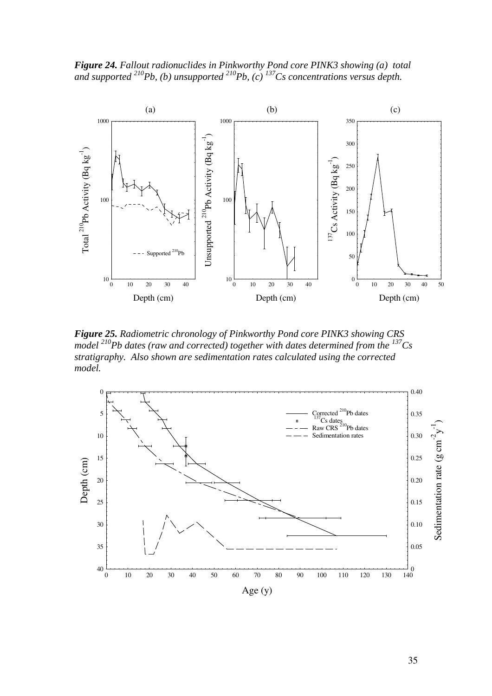*Figure 24. Fallout radionuclides in Pinkworthy Pond core PINK3 showing (a) total and supported 210 Pb, (b) unsupported 210 Pb, (c) <sup>137</sup>Cs concentrations versus depth.*

![](_page_34_Figure_1.jpeg)

*Figure 25. Radiometric chronology of Pinkworthy Pond core PINK3 showing CRS model 210 Pb dates (raw and corrected) together with dates determined from the <sup>137</sup>Cs stratigraphy. Also shown are sedimentation rates calculated using the corrected model.*

![](_page_34_Figure_3.jpeg)

35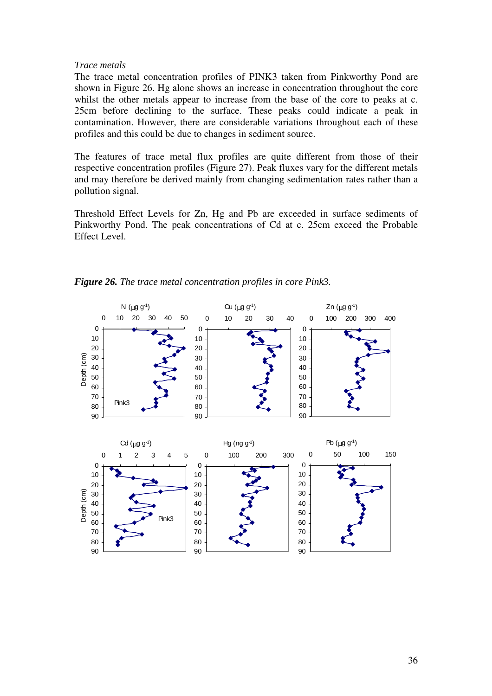The trace metal concentration profiles of PINK3 taken from Pinkworthy Pond are shown in Figure 26. Hg alone shows an increase in concentration throughout the core whilst the other metals appear to increase from the base of the core to peaks at c. 25cm before declining to the surface. These peaks could indicate a peak in contamination. However, there are considerable variations throughout each of these profiles and this could be due to changes in sediment source.

The features of trace metal flux profiles are quite different from those of their respective concentration profiles (Figure 27). Peak fluxes vary for the different metals and may therefore be derived mainly from changing sedimentation rates rather than a pollution signal.

Threshold Effect Levels for Zn, Hg and Pb are exceeded in surface sediments of Pinkworthy Pond. The peak concentrations of Cd at c. 25cm exceed the Probable Effect Level.

![](_page_35_Figure_4.jpeg)

*Figure 26. The trace metal concentration profiles in core Pink3.*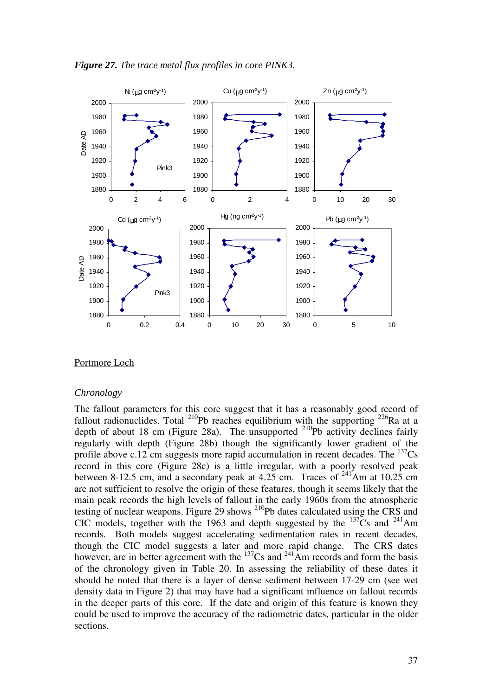![](_page_36_Figure_0.jpeg)

![](_page_36_Figure_1.jpeg)

#### Portmore Loch

#### *Chronology*

The fallout parameters for this core suggest that it has a reasonably good record of fallout radionuclides. Total  $^{210}$ Pb reaches equilibrium with the supporting  $^{226}$ Ra at a depth of about 18 cm (Figure 28a). The unsupported  $^{210}$ Pb activity declines fairly regularly with depth (Figure 28b) though the significantly lower gradient of the profile above c.12 cm suggests more rapid accumulation in recent decades. The <sup>137</sup>Cs record in this core (Figure 28c) is a little irregular, with a poorly resolved peak between 8-12.5 cm, and a secondary peak at 4.25 cm. Traces of  $^{241}$ Am at 10.25 cm are not sufficient to resolve the origin of these features, though it seems likely that the main peak records the high levels of fallout in the early 1960s from the atmospheric testing of nuclear weapons. Figure 29 shows <sup>210</sup>Pb dates calculated using the CRS and CIC models, together with the 1963 and depth suggested by the  $^{137}$ Cs and  $^{241}$ Am records. Both models suggest accelerating sedimentation rates in recent decades, though the CIC model suggests a later and more rapid change. The CRS dates however, are in better agreement with the  $^{137}Cs$  and  $^{241}Am$  records and form the basis of the chronology given in Table 20. In assessing the reliability of these dates it should be noted that there is a layer of dense sediment between 17-29 cm (see wet density data in Figure 2) that may have had a significant influence on fallout records in the deeper parts of this core. If the date and origin of this feature is known they could be used to improve the accuracy of the radiometric dates, particular in the older sections.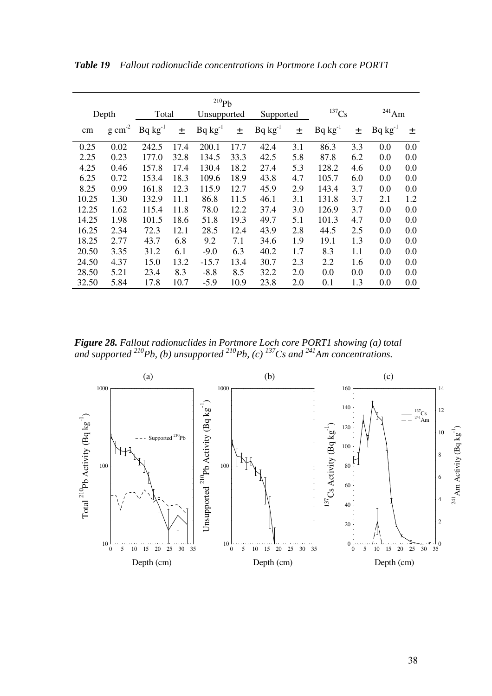| <b>Table 19</b> Fallout radionuclide concentrations in Portmore Loch core PORT1 |  |  |  |  |  |  |  |  |  |  |  |
|---------------------------------------------------------------------------------|--|--|--|--|--|--|--|--|--|--|--|
|---------------------------------------------------------------------------------|--|--|--|--|--|--|--|--|--|--|--|

|       |                     |              |      | $^{210}Pb$   |       |              |       |              |                                                                                                                                                                                                   |     |         |
|-------|---------------------|--------------|------|--------------|-------|--------------|-------|--------------|---------------------------------------------------------------------------------------------------------------------------------------------------------------------------------------------------|-----|---------|
|       | Depth               | Total        |      | Unsupported  |       | Supported    |       |              | $^{137}\mathrm{Cs}$<br>$^{241}\mathrm{Am}$<br>$Bq kg^{-1}$<br>$\pm$<br>3.3<br>0.0<br>6.2<br>0.0<br>4.6<br>0.0<br>6.0<br>0.0<br>3.7<br>0.0<br>3.7<br>2.1<br>3.7<br>0.0<br>4.7<br>0.0<br>2.5<br>0.0 |     |         |
| cm    | $g \text{ cm}^{-2}$ | $Bq kg^{-1}$ | 土    | $Bq kg^{-1}$ | $\pm$ | $Bq kg^{-1}$ | $\pm$ | $Bq kg^{-1}$ |                                                                                                                                                                                                   |     | 土       |
| 0.25  | 0.02                | 242.5        | 17.4 | 200.1        | 17.7  | 42.4         | 3.1   | 86.3         |                                                                                                                                                                                                   |     | 0.0     |
| 2.25  | 0.23                | 177.0        | 32.8 | 134.5        | 33.3  | 42.5         | 5.8   | 87.8         |                                                                                                                                                                                                   |     | 0.0     |
| 4.25  | 0.46                | 157.8        | 17.4 | 130.4        | 18.2  | 27.4         | 5.3   | 128.2        |                                                                                                                                                                                                   |     | 0.0     |
| 6.25  | 0.72                | 153.4        | 18.3 | 109.6        | 18.9  | 43.8         | 4.7   | 105.7        |                                                                                                                                                                                                   |     | 0.0     |
| 8.25  | 0.99                | 161.8        | 12.3 | 115.9        | 12.7  | 45.9         | 2.9   | 143.4        |                                                                                                                                                                                                   |     | 0.0     |
| 10.25 | 1.30                | 132.9        | 11.1 | 86.8         | 11.5  | 46.1         | 3.1   | 131.8        |                                                                                                                                                                                                   |     | 1.2     |
| 12.25 | 1.62                | 115.4        | 11.8 | 78.0         | 12.2  | 37.4         | 3.0   | 126.9        |                                                                                                                                                                                                   |     | 0.0     |
| 14.25 | 1.98                | 101.5        | 18.6 | 51.8         | 19.3  | 49.7         | 5.1   | 101.3        |                                                                                                                                                                                                   |     | 0.0     |
| 16.25 | 2.34                | 72.3         | 12.1 | 28.5         | 12.4  | 43.9         | 2.8   | 44.5         |                                                                                                                                                                                                   |     | 0.0     |
| 18.25 | 2.77                | 43.7         | 6.8  | 9.2          | 7.1   | 34.6         | 1.9   | 19.1         | 1.3                                                                                                                                                                                               | 0.0 | 0.0     |
| 20.50 | 3.35                | 31.2         | 6.1  | $-9.0$       | 6.3   | 40.2         | 1.7   | 8.3          | 1.1                                                                                                                                                                                               | 0.0 | 0.0     |
| 24.50 | 4.37                | 15.0         | 13.2 | $-15.7$      | 13.4  | 30.7         | 2.3   | 2.2          | 1.6                                                                                                                                                                                               | 0.0 | 0.0     |
| 28.50 | 5.21                | 23.4         | 8.3  | $-8.8$       | 8.5   | 32.2         | 2.0   | 0.0          | 0.0                                                                                                                                                                                               | 0.0 | 0.0     |
| 32.50 | 5.84                | 17.8         | 10.7 | $-5.9$       | 10.9  | 23.8         | 2.0   | 0.1          | 1.3                                                                                                                                                                                               | 0.0 | $0.0\,$ |

*Figure 28. Fallout radionuclides in Portmore Loch core PORT1 showing (a) total and supported 210 Pb, (b) unsupported 210 Pb, (c) <sup>137</sup>Cs and 241 Am concentrations.*

![](_page_37_Figure_3.jpeg)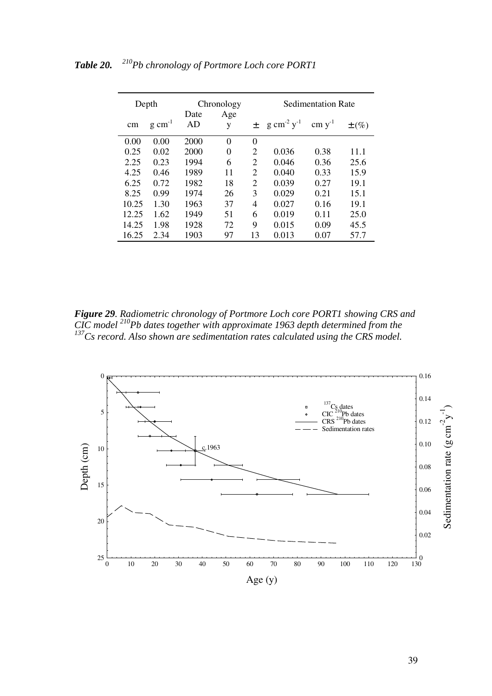|       | Depth               |            | Chronology |                  | <b>Sedimentation Rate</b>          |                            |           |  |  |
|-------|---------------------|------------|------------|------------------|------------------------------------|----------------------------|-----------|--|--|
| cm    | $g \text{ cm}^{-1}$ | Date<br>AD | Age<br>y   | 土                | $g \text{ cm}^{-2} \text{ y}^{-1}$ | $\text{cm} \text{ y}^{-1}$ | $\pm$ (%) |  |  |
| 0.00  | 0.00                | 2000       | $\Omega$   | $\boldsymbol{0}$ |                                    |                            |           |  |  |
| 0.25  | 0.02                | 2000       | $\theta$   | 2                | 0.036                              | 0.38                       | 11.1      |  |  |
| 2.25  | 0.23                | 1994       | 6          | 2                | 0.046                              | 0.36                       | 25.6      |  |  |
| 4.25  | 0.46                | 1989       | 11         | $\overline{2}$   | 0.040                              | 0.33                       | 15.9      |  |  |
| 6.25  | 0.72                | 1982       | 18         | 2                | 0.039                              | 0.27                       | 19.1      |  |  |
| 8.25  | 0.99                | 1974       | 26         | 3                | 0.029                              | 0.21                       | 15.1      |  |  |
| 10.25 | 1.30                | 1963       | 37         | 4                | 0.027                              | 0.16                       | 19.1      |  |  |
| 12.25 | 1.62                | 1949       | 51         | 6                | 0.019                              | 0.11                       | 25.0      |  |  |
| 14.25 | 1.98                | 1928       | 72         | 9                | 0.015                              | 0.09                       | 45.5      |  |  |
| 16.25 | 2.34                | 1903       | 97         | 13               | 0.013                              | 0.07                       | 57.7      |  |  |

*Table 20. 210 Pb chronology of Portmore Loch core PORT1*

*Figure 29. Radiometric chronology of Portmore Loch core PORT1 showing CRS and CIC model 210 Pb dates together with approximate 1963 depth determined from the <sup>137</sup>Cs record. Also shown are sedimentation rates calculated using the CRS model.*

![](_page_38_Figure_3.jpeg)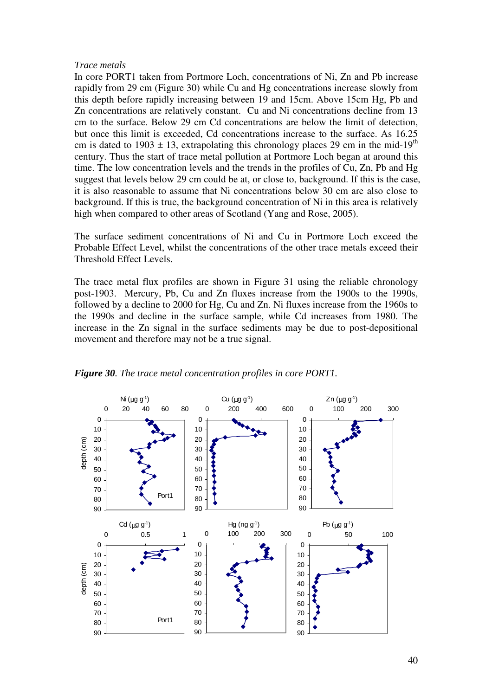In core PORT1 taken from Portmore Loch, concentrations of Ni, Zn and Pb increase rapidly from 29 cm (Figure 30) while Cu and Hg concentrations increase slowly from this depth before rapidly increasing between 19 and 15cm. Above 15cm Hg, Pb and Zn concentrations are relatively constant. Cu and Ni concentrations decline from 13 cm to the surface. Below 29 cm Cd concentrations are below the limit of detection, but once this limit is exceeded, Cd concentrations increase to the surface. As 16.25 cm is dated to 1903  $\pm$  13, extrapolating this chronology places 29 cm in the mid-19<sup>th</sup> century. Thus the start of trace metal pollution at Portmore Loch began at around this time. The low concentration levels and the trends in the profiles of Cu, Zn, Pb and Hg suggest that levels below 29 cm could be at, or close to, background. If this is the case, it is also reasonable to assume that Ni concentrations below 30 cm are also close to background. If this is true, the background concentration of Ni in this area is relatively high when compared to other areas of Scotland (Yang and Rose, 2005).

The surface sediment concentrations of Ni and Cu in Portmore Loch exceed the Probable Effect Level, whilst the concentrations of the other trace metals exceed their Threshold Effect Levels.

The trace metal flux profiles are shown in Figure 31 using the reliable chronology post-1903. Mercury, Pb, Cu and Zn fluxes increase from the 1900s to the 1990s, followed by a decline to 2000 for Hg, Cu and Zn. Ni fluxes increase from the 1960s to the 1990s and decline in the surface sample, while Cd increases from 1980. The increase in the Zn signal in the surface sediments may be due to post-depositional movement and therefore may not be a true signal.

![](_page_39_Figure_4.jpeg)

*Figure 30. The trace metal concentration profiles in core PORT1.*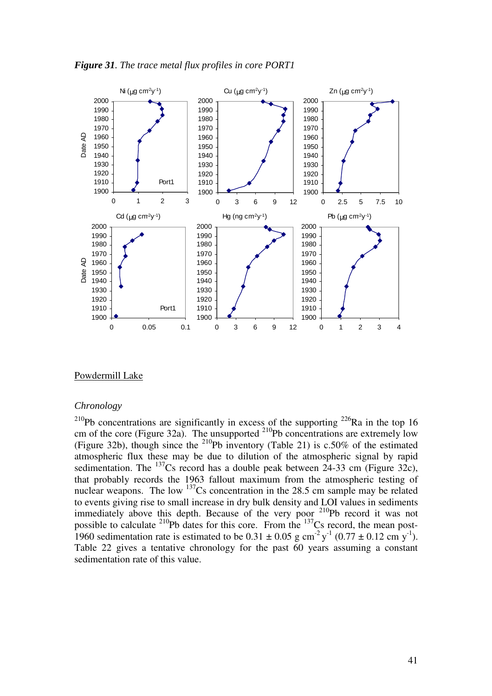![](_page_40_Figure_0.jpeg)

![](_page_40_Figure_1.jpeg)

#### Powdermill Lake

### *Chronology*

<sup>210</sup>Pb concentrations are significantly in excess of the supporting  $^{226}$ Ra in the top 16 cm of the core (Figure 32a). The unsupported  $^{210}$ Pb concentrations are extremely low (Figure 32b), though since the  $^{210}$ Pb inventory (Table 21) is c.50% of the estimated atmospheric flux these may be due to dilution of the atmospheric signal by rapid sedimentation. The  $^{137}$ Cs record has a double peak between 24-33 cm (Figure 32c), that probably records the 1963 fallout maximum from the atmospheric testing of nuclear weapons. The low  $^{137}Cs$  concentration in the 28.5 cm sample may be related to events giving rise to small increase in dry bulk density and LOI values in sediments immediately above this depth. Because of the very poor <sup>210</sup>Pb record it was not possible to calculate <sup>210</sup>Pb dates for this core. From the <sup>137</sup>Cs record, the mean post-1960 sedimentation rate is estimated to be  $0.31 \pm 0.05$  g cm<sup>-2</sup> y<sup>-1</sup> (0.77  $\pm$  0.12 cm y<sup>-1</sup>). Table 22 gives a tentative chronology for the past 60 years assuming a constant sedimentation rate of this value.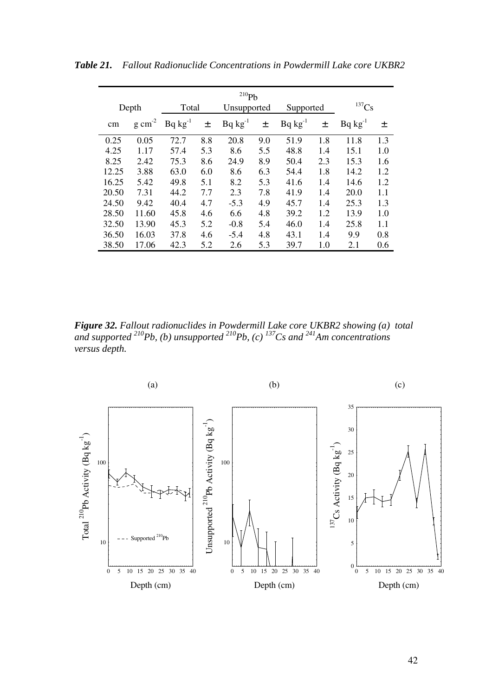|       |                     |              |     | $^{210}Pb$   |           |              |        |                     |     |
|-------|---------------------|--------------|-----|--------------|-----------|--------------|--------|---------------------|-----|
|       | Depth               | Total        |     | Unsupported  | Supported |              |        | $^{137}\mathrm{Cs}$ |     |
| cm    | $g \text{ cm}^{-2}$ | $Bq kg^{-1}$ | 土   | $Bq kg^{-1}$ | $\pm$     | $Bq kg^{-1}$ | $^{+}$ | $Bq kg^{-1}$        | 土   |
| 0.25  | 0.05                | 72.7         | 8.8 | 20.8         | 9.0       | 51.9         | 1.8    | 11.8                | 1.3 |
| 4.25  | 1.17                | 57.4         | 5.3 | 8.6          | 5.5       | 48.8         | 1.4    | 15.1                | 1.0 |
| 8.25  | 2.42                | 75.3         | 8.6 | 24.9         | 8.9       | 50.4         | 2.3    | 15.3                | 1.6 |
| 12.25 | 3.88                | 63.0         | 6.0 | 8.6          | 6.3       | 54.4         | 1.8    | 14.2                | 1.2 |
| 16.25 | 5.42                | 49.8         | 5.1 | 8.2          | 5.3       | 41.6         | 1.4    | 14.6                | 1.2 |
| 20.50 | 7.31                | 44.2         | 7.7 | 2.3          | 7.8       | 41.9         | 1.4    | 20.0                | 1.1 |
| 24.50 | 9.42                | 40.4         | 4.7 | $-5.3$       | 4.9       | 45.7         | 1.4    | 25.3                | 1.3 |
| 28.50 | 11.60               | 45.8         | 4.6 | 6.6          | 4.8       | 39.2         | 1.2    | 13.9                | 1.0 |
| 32.50 | 13.90               | 45.3         | 5.2 | $-0.8$       | 5.4       | 46.0         | 1.4    | 25.8                | 1.1 |
| 36.50 | 16.03               | 37.8         | 4.6 | $-5.4$       | 4.8       | 43.1         | 1.4    | 9.9                 | 0.8 |
| 38.50 | 17.06               | 42.3         | 5.2 | 2.6          | 5.3       | 39.7         | 1.0    | 2.1                 | 0.6 |

*Table 21. Fallout Radionuclide Concentrations in Powdermill Lake core UKBR2*

*Figure 32. Fallout radionuclides in Powdermill Lake core UKBR2 showing (a) total and supported 210 Pb, (b) unsupported 210 Pb, (c) <sup>137</sup>Cs and 241 Am concentrations versus depth.*

![](_page_41_Figure_3.jpeg)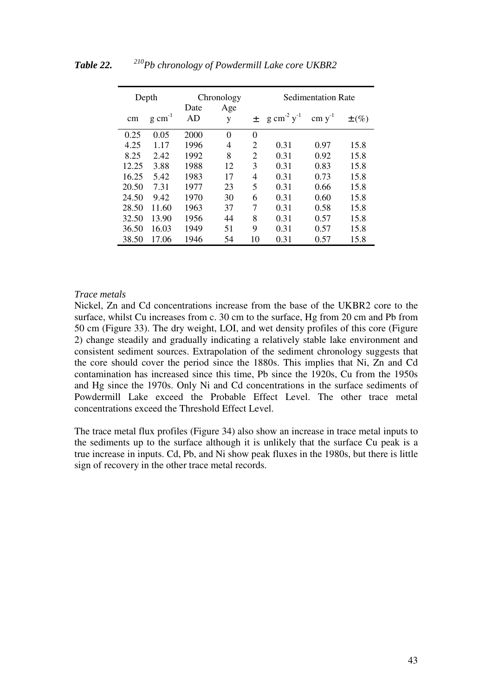|       | Depth               |            | Chronology |          |                            | <b>Sedimentation Rate</b>  |           |
|-------|---------------------|------------|------------|----------|----------------------------|----------------------------|-----------|
| cm    | $g \text{ cm}^{-1}$ | Date<br>AD | Age<br>y   | 土        | $g \text{ cm}^{-2} y^{-1}$ | $\text{cm} \text{ y}^{-1}$ | $\pm$ (%) |
| 0.25  | 0.05                | 2000       | $\theta$   | $\theta$ |                            |                            |           |
| 4.25  | 1.17                | 1996       | 4          | 2        | 0.31                       | 0.97                       | 15.8      |
| 8.25  | 2.42                | 1992       | 8          | 2        | 0.31                       | 0.92                       | 15.8      |
| 12.25 | 3.88                | 1988       | 12         | 3        | 0.31                       | 0.83                       | 15.8      |
| 16.25 | 5.42                | 1983       | 17         | 4        | 0.31                       | 0.73                       | 15.8      |
| 20.50 | 7.31                | 1977       | 23         | 5        | 0.31                       | 0.66                       | 15.8      |
| 24.50 | 9.42                | 1970       | 30         | 6        | 0.31                       | 0.60                       | 15.8      |
| 28.50 | 11.60               | 1963       | 37         | 7        | 0.31                       | 0.58                       | 15.8      |
| 32.50 | 13.90               | 1956       | 44         | 8        | 0.31                       | 0.57                       | 15.8      |
| 36.50 | 16.03               | 1949       | 51         | 9        | 0.31                       | 0.57                       | 15.8      |
| 38.50 | 17.06               | 1946       | 54         | 10       | 0.31                       | 0.57                       | 15.8      |

#### *Table 22. 210 Pb chronology of Powdermill Lake core UKBR2*

#### *Trace metals*

Nickel, Zn and Cd concentrations increase from the base of the UKBR2 core to the surface, whilst Cu increases from c. 30 cm to the surface, Hg from 20 cm and Pb from 50 cm (Figure 33). The dry weight, LOI, and wet density profiles of this core (Figure 2) change steadily and gradually indicating a relatively stable lake environment and consistent sediment sources. Extrapolation of the sediment chronology suggests that the core should cover the period since the 1880s. This implies that Ni, Zn and Cd contamination has increased since this time, Pb since the 1920s, Cu from the 1950s and Hg since the 1970s. Only Ni and Cd concentrations in the surface sediments of Powdermill Lake exceed the Probable Effect Level. The other trace metal concentrations exceed the Threshold Effect Level.

The trace metal flux profiles (Figure 34) also show an increase in trace metal inputs to the sediments up to the surface although it is unlikely that the surface Cu peak is a true increase in inputs. Cd, Pb, and Ni show peak fluxes in the 1980s, but there is little sign of recovery in the other trace metal records.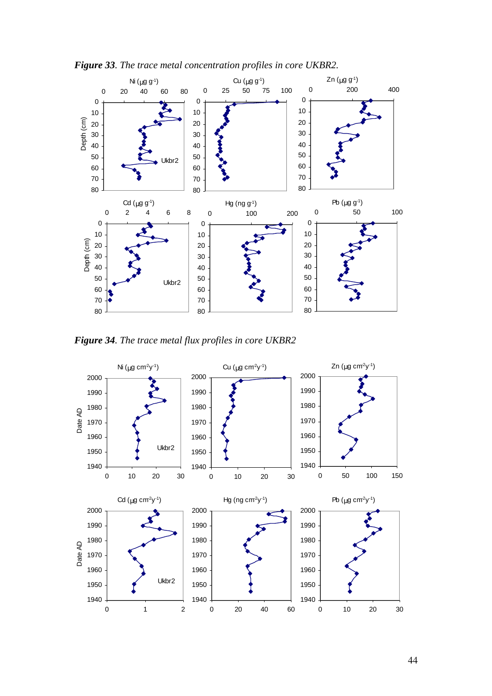![](_page_43_Figure_0.jpeg)

*Figure 33. The trace metal concentration profiles in core UKBR2.*

*Figure 34. The trace metal flux profiles in core UKBR2*

![](_page_43_Figure_3.jpeg)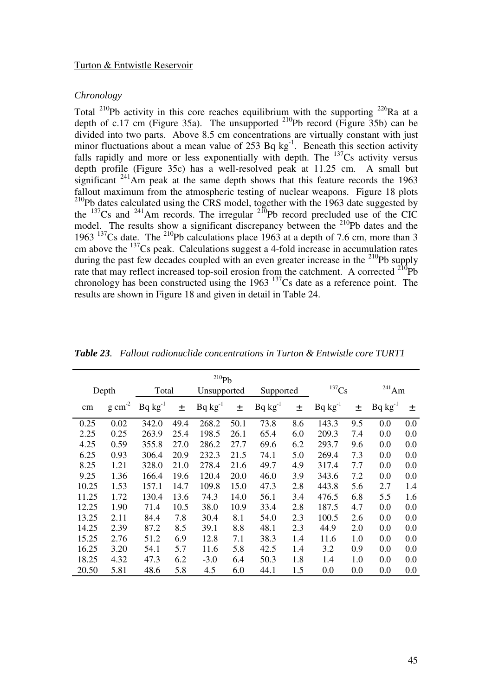#### Turton & Entwistle Reservoir

#### *Chronology*

Total  $^{210}$ Pb activity in this core reaches equilibrium with the supporting  $^{226}$ Ra at a depth of c.17 cm (Figure 35a). The unsupported  $^{210}$ Pb record (Figure 35b) can be divided into two parts. Above 8.5 cm concentrations are virtually constant with just minor fluctuations about a mean value of 253 Bq  $kg^{-1}$ . Beneath this section activity falls rapidly and more or less exponentially with depth. The  $137$ Cs activity versus depth profile (Figure 35c) has a well-resolved peak at 11.25 cm. A small but significant <sup>241</sup>Am peak at the same depth shows that this feature records the 1963 fallout maximum from the atmospheric testing of nuclear weapons. Figure 18 plots <sup>210</sup>Pb dates calculated using the CRS model, together with the 1963 date suggested by the  $^{137}$ Cs and  $^{241}$ Am records. The irregular  $^{210}$ Pb record precluded use of the CIC model. The results show a significant discrepancy between the <sup>210</sup>Pb dates and the 1963<sup>137</sup>Cs date. The <sup>210</sup>Pb calculations place 1963 at a depth of 7.6 cm, more than 3 cm above the  $^{137}$ Cs peak. Calculations suggest a 4-fold increase in accumulation rates during the past few decades coupled with an even greater increase in the  $^{210}Pb$  supply rate that may reflect increased top-soil erosion from the catchment. A corrected  $^{210}Pb$ chronology has been constructed using the  $1963$   $137$ Cs date as a reference point. The results are shown in Figure 18 and given in detail in Table 24.

| $^{210}Pb$ |                     |              |       |              |       |              |       |                     |       |                     |       |
|------------|---------------------|--------------|-------|--------------|-------|--------------|-------|---------------------|-------|---------------------|-------|
|            | Depth               | Total        |       | Unsupported  |       | Supported    |       | $^{137}\mathrm{Cs}$ |       | $^{241}\mathrm{Am}$ |       |
| cm         | $g \text{ cm}^{-2}$ | $Bq kg^{-1}$ | $\pm$ | $Bq kg^{-1}$ | $\pm$ | $Bq kg^{-1}$ | $\pm$ | $Bq kg^{-1}$        | $\pm$ | $Bq kg^{-1}$        | $\pm$ |
| 0.25       | 0.02                | 342.0        | 49.4  | 268.2        | 50.1  | 73.8         | 8.6   | 143.3               | 9.5   | 0.0                 | 0.0   |
| 2.25       | 0.25                | 263.9        | 25.4  | 198.5        | 26.1  | 65.4         | 6.0   | 209.3               | 7.4   | 0.0                 | 0.0   |
| 4.25       | 0.59                | 355.8        | 27.0  | 286.2        | 27.7  | 69.6         | 6.2   | 293.7               | 9.6   | 0.0                 | 0.0   |
| 6.25       | 0.93                | 306.4        | 20.9  | 232.3        | 21.5  | 74.1         | 5.0   | 269.4               | 7.3   | 0.0                 | 0.0   |
| 8.25       | 1.21                | 328.0        | 21.0  | 278.4        | 21.6  | 49.7         | 4.9   | 317.4               | 7.7   | 0.0                 | 0.0   |
| 9.25       | 1.36                | 166.4        | 19.6  | 120.4        | 20.0  | 46.0         | 3.9   | 343.6               | 7.2   | 0.0                 | 0.0   |
| 10.25      | 1.53                | 157.1        | 14.7  | 109.8        | 15.0  | 47.3         | 2.8   | 443.8               | 5.6   | 2.7                 | 1.4   |
| 11.25      | 1.72                | 130.4        | 13.6  | 74.3         | 14.0  | 56.1         | 3.4   | 476.5               | 6.8   | 5.5                 | 1.6   |
| 12.25      | 1.90                | 71.4         | 10.5  | 38.0         | 10.9  | 33.4         | 2.8   | 187.5               | 4.7   | 0.0                 | 0.0   |
| 13.25      | 2.11                | 84.4         | 7.8   | 30.4         | 8.1   | 54.0         | 2.3   | 100.5               | 2.6   | 0.0                 | 0.0   |
| 14.25      | 2.39                | 87.2         | 8.5   | 39.1         | 8.8   | 48.1         | 2.3   | 44.9                | 2.0   | 0.0                 | 0.0   |
| 15.25      | 2.76                | 51.2         | 6.9   | 12.8         | 7.1   | 38.3         | 1.4   | 11.6                | 1.0   | 0.0                 | 0.0   |
| 16.25      | 3.20                | 54.1         | 5.7   | 11.6         | 5.8   | 42.5         | 1.4   | 3.2                 | 0.9   | 0.0                 | 0.0   |
| 18.25      | 4.32                | 47.3         | 6.2   | $-3.0$       | 6.4   | 50.3         | 1.8   | 1.4                 | 1.0   | 0.0                 | 0.0   |
| 20.50      | 5.81                | 48.6         | 5.8   | 4.5          | 6.0   | 44.1         | 1.5   | 0.0                 | 0.0   | 0.0                 | 0.0   |

*Table 23. Fallout radionuclide concentrations in Turton & Entwistle core TURT1*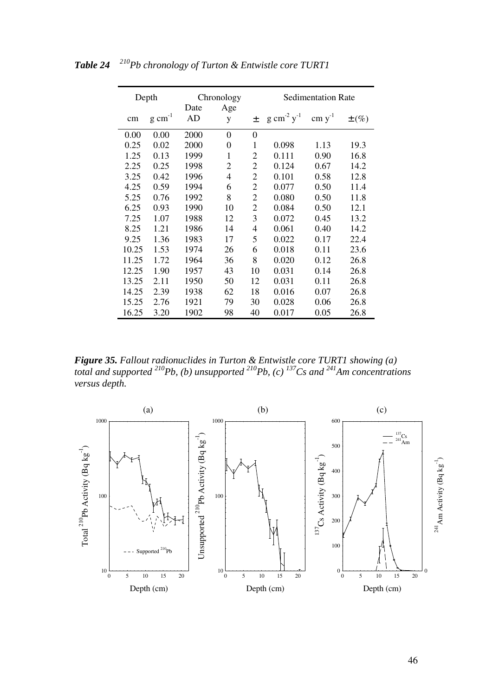|       | Depth               |            | Chronology     |                | <b>Sedimentation Rate</b> |                            |           |  |  |
|-------|---------------------|------------|----------------|----------------|---------------------------|----------------------------|-----------|--|--|
| cm    | $g \text{ cm}^{-1}$ | Date<br>AD | Age<br>y       | 土              | $\rm g \ cm^2 \ y^{-1}$   | $\text{cm} \text{ y}^{-1}$ | $\pm$ (%) |  |  |
| 0.00  | 0.00                | 2000       | $\theta$       | $\overline{0}$ |                           |                            |           |  |  |
| 0.25  | 0.02                | 2000       | 0              | $\mathbf{1}$   | 0.098                     | 1.13                       | 19.3      |  |  |
| 1.25  | 0.13                | 1999       | 1              | $\overline{2}$ | 0.111                     | 0.90                       | 16.8      |  |  |
| 2.25  | 0.25                | 1998       | $\overline{c}$ | $\overline{2}$ | 0.124                     | 0.67                       | 14.2      |  |  |
| 3.25  | 0.42                | 1996       | 4              | $\overline{2}$ | 0.101                     | 0.58                       | 12.8      |  |  |
| 4.25  | 0.59                | 1994       | 6              | $\overline{2}$ | 0.077                     | 0.50                       | 11.4      |  |  |
| 5.25  | 0.76                | 1992       | 8              | $\overline{2}$ | 0.080                     | 0.50                       | 11.8      |  |  |
| 6.25  | 0.93                | 1990       | 10             | $\overline{2}$ | 0.084                     | 0.50                       | 12.1      |  |  |
| 7.25  | 1.07                | 1988       | 12             | 3              | 0.072                     | 0.45                       | 13.2      |  |  |
| 8.25  | 1.21                | 1986       | 14             | 4              | 0.061                     | 0.40                       | 14.2      |  |  |
| 9.25  | 1.36                | 1983       | 17             | 5              | 0.022                     | 0.17                       | 22.4      |  |  |
| 10.25 | 1.53                | 1974       | 26             | 6              | 0.018                     | 0.11                       | 23.6      |  |  |
| 11.25 | 1.72                | 1964       | 36             | 8              | 0.020                     | 0.12                       | 26.8      |  |  |
| 12.25 | 1.90                | 1957       | 43             | 10             | 0.031                     | 0.14                       | 26.8      |  |  |
| 13.25 | 2.11                | 1950       | 50             | 12             | 0.031                     | 0.11                       | 26.8      |  |  |
| 14.25 | 2.39                | 1938       | 62             | 18             | 0.016                     | 0.07                       | 26.8      |  |  |
| 15.25 | 2.76                | 1921       | 79             | 30             | 0.028                     | 0.06                       | 26.8      |  |  |
| 16.25 | 3.20                | 1902       | 98             | 40             | 0.017                     | 0.05                       | 26.8      |  |  |

*Table 24 210 Pb chronology of Turton & Entwistle core TURT1*

*Figure 35. Fallout radionuclides in Turton & Entwistle core TURT1 showing (a) total and supported 210 Pb, (b) unsupported 210 Pb, (c) <sup>137</sup>Cs and 241 Am concentrations versus depth.*

![](_page_45_Figure_3.jpeg)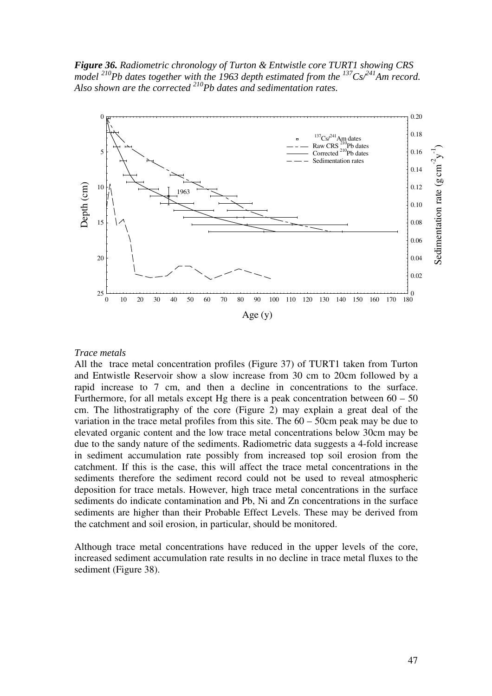*Figure 36. Radiometric chronology of Turton & Entwistle core TURT1 showing CRS model 210 Pb dates together with the 1963 depth estimated from the <sup>137</sup>Cs/ 241 Am record. Also shown are the corrected 210 Pb dates and sedimentation rates.*

![](_page_46_Figure_1.jpeg)

All the trace metal concentration profiles (Figure 37) of TURT1 taken from Turton and Entwistle Reservoir show a slow increase from 30 cm to 20cm followed by a rapid increase to 7 cm, and then a decline in concentrations to the surface. Furthermore, for all metals except Hg there is a peak concentration between  $60 - 50$ cm. The lithostratigraphy of the core (Figure 2) may explain a great deal of the variation in the trace metal profiles from this site. The 60 – 50cm peak may be due to elevated organic content and the low trace metal concentrations below 30cm may be due to the sandy nature of the sediments. Radiometric data suggests a 4-fold increase in sediment accumulation rate possibly from increased top soil erosion from the catchment. If this is the case, this will affect the trace metal concentrations in the sediments therefore the sediment record could not be used to reveal atmospheric deposition for trace metals. However, high trace metal concentrations in the surface sediments do indicate contamination and Pb, Ni and Zn concentrations in the surface sediments are higher than their Probable Effect Levels. These may be derived from the catchment and soil erosion, in particular, should be monitored.

Although trace metal concentrations have reduced in the upper levels of the core, increased sediment accumulation rate results in no decline in trace metal fluxes to the sediment (Figure 38).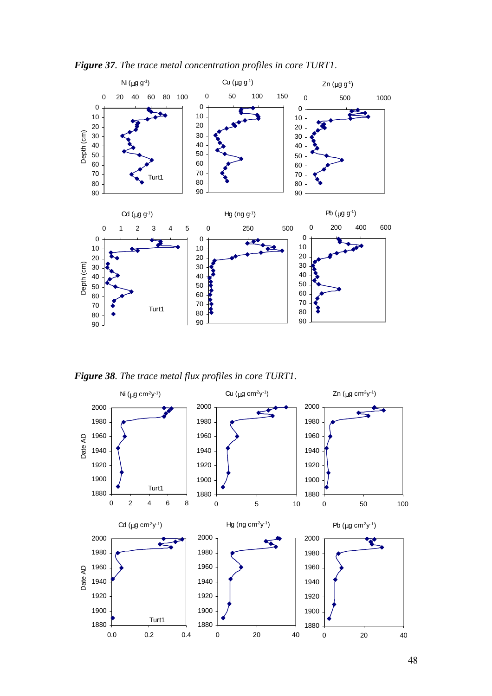![](_page_47_Figure_0.jpeg)

![](_page_47_Figure_1.jpeg)

*Figure 38. The trace metal flux profiles in core TURT1.*

![](_page_47_Figure_3.jpeg)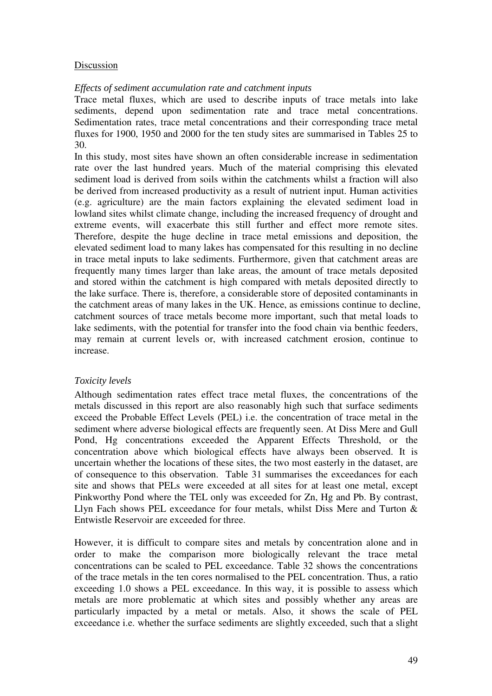### Discussion

# *Effects of sediment accumulation rate and catchment inputs*

Trace metal fluxes, which are used to describe inputs of trace metals into lake sediments, depend upon sedimentation rate and trace metal concentrations. Sedimentation rates, trace metal concentrations and their corresponding trace metal fluxes for 1900, 1950 and 2000 for the ten study sites are summarised in Tables 25 to 30.

In this study, most sites have shown an often considerable increase in sedimentation rate over the last hundred years. Much of the material comprising this elevated sediment load is derived from soils within the catchments whilst a fraction will also be derived from increased productivity as a result of nutrient input. Human activities (e.g. agriculture) are the main factors explaining the elevated sediment load in lowland sites whilst climate change, including the increased frequency of drought and extreme events, will exacerbate this still further and effect more remote sites. Therefore, despite the huge decline in trace metal emissions and deposition, the elevated sediment load to many lakes has compensated for this resulting in no decline in trace metal inputs to lake sediments. Furthermore, given that catchment areas are frequently many times larger than lake areas, the amount of trace metals deposited and stored within the catchment is high compared with metals deposited directly to the lake surface. There is, therefore, a considerable store of deposited contaminants in the catchment areas of many lakes in the UK. Hence, as emissions continue to decline, catchment sources of trace metals become more important, such that metal loads to lake sediments, with the potential for transfer into the food chain via benthic feeders, may remain at current levels or, with increased catchment erosion, continue to increase.

# *Toxicity levels*

Although sedimentation rates effect trace metal fluxes, the concentrations of the metals discussed in this report are also reasonably high such that surface sediments exceed the Probable Effect Levels (PEL) i.e. the concentration of trace metal in the sediment where adverse biological effects are frequently seen. At Diss Mere and Gull Pond, Hg concentrations exceeded the Apparent Effects Threshold, or the concentration above which biological effects have always been observed. It is uncertain whether the locations of these sites, the two most easterly in the dataset, are of consequence to this observation. Table 31 summarises the exceedances for each site and shows that PELs were exceeded at all sites for at least one metal, except Pinkworthy Pond where the TEL only was exceeded for Zn, Hg and Pb. By contrast, Llyn Fach shows PEL exceedance for four metals, whilst Diss Mere and Turton  $\&$ Entwistle Reservoir are exceeded for three.

However, it is difficult to compare sites and metals by concentration alone and in order to make the comparison more biologically relevant the trace metal concentrations can be scaled to PEL exceedance. Table 32 shows the concentrations of the trace metals in the ten cores normalised to the PEL concentration. Thus, a ratio exceeding 1.0 shows a PEL exceedance. In this way, it is possible to assess which metals are more problematic at which sites and possibly whether any areas are particularly impacted by a metal or metals. Also, it shows the scale of PEL exceedance i.e. whether the surface sediments are slightly exceeded, such that a slight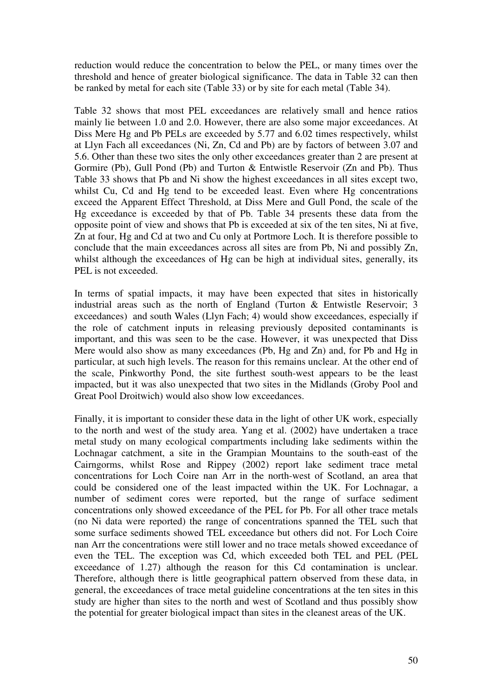reduction would reduce the concentration to below the PEL, or many times over the threshold and hence of greater biological significance. The data in Table 32 can then be ranked by metal for each site (Table 33) or by site for each metal (Table 34).

Table 32 shows that most PEL exceedances are relatively small and hence ratios mainly lie between 1.0 and 2.0. However, there are also some major exceedances. At Diss Mere Hg and Pb PELs are exceeded by 5.77 and 6.02 times respectively, whilst at Llyn Fach all exceedances (Ni, Zn, Cd and Pb) are by factors of between 3.07 and 5.6. Other than these two sites the only other exceedances greater than 2 are present at Gormire (Pb), Gull Pond (Pb) and Turton & Entwistle Reservoir (Zn and Pb). Thus Table 33 shows that Pb and Ni show the highest exceedances in all sites except two, whilst Cu, Cd and Hg tend to be exceeded least. Even where Hg concentrations exceed the Apparent Effect Threshold, at Diss Mere and Gull Pond, the scale of the Hg exceedance is exceeded by that of Pb. Table 34 presents these data from the opposite point of view and shows that Pb is exceeded at six of the ten sites, Ni at five, Zn at four, Hg and Cd at two and Cu only at Portmore Loch. It is therefore possible to conclude that the main exceedances across all sites are from Pb, Ni and possibly Zn, whilst although the exceedances of Hg can be high at individual sites, generally, its PEL is not exceeded.

In terms of spatial impacts, it may have been expected that sites in historically industrial areas such as the north of England (Turton & Entwistle Reservoir; 3 exceedances) and south Wales (Llyn Fach; 4) would show exceedances, especially if the role of catchment inputs in releasing previously deposited contaminants is important, and this was seen to be the case. However, it was unexpected that Diss Mere would also show as many exceedances (Pb, Hg and Zn) and, for Pb and Hg in particular, at such high levels. The reason for this remains unclear. At the other end of the scale, Pinkworthy Pond, the site furthest south-west appears to be the least impacted, but it was also unexpected that two sites in the Midlands (Groby Pool and Great Pool Droitwich) would also show low exceedances.

Finally, it is important to consider these data in the light of other UK work, especially to the north and west of the study area. Yang et al. (2002) have undertaken a trace metal study on many ecological compartments including lake sediments within the Lochnagar catchment, a site in the Grampian Mountains to the south-east of the Cairngorms, whilst Rose and Rippey (2002) report lake sediment trace metal concentrations for Loch Coire nan Arr in the north-west of Scotland, an area that could be considered one of the least impacted within the UK. For Lochnagar, a number of sediment cores were reported, but the range of surface sediment concentrations only showed exceedance of the PEL for Pb. For all other trace metals (no Ni data were reported) the range of concentrations spanned the TEL such that some surface sediments showed TEL exceedance but others did not. For Loch Coire nan Arr the concentrations were still lower and no trace metals showed exceedance of even the TEL. The exception was Cd, which exceeded both TEL and PEL (PEL exceedance of 1.27) although the reason for this Cd contamination is unclear. Therefore, although there is little geographical pattern observed from these data, in general, the exceedances of trace metal guideline concentrations at the ten sites in this study are higher than sites to the north and west of Scotland and thus possibly show the potential for greater biological impact than sites in the cleanest areas of the UK.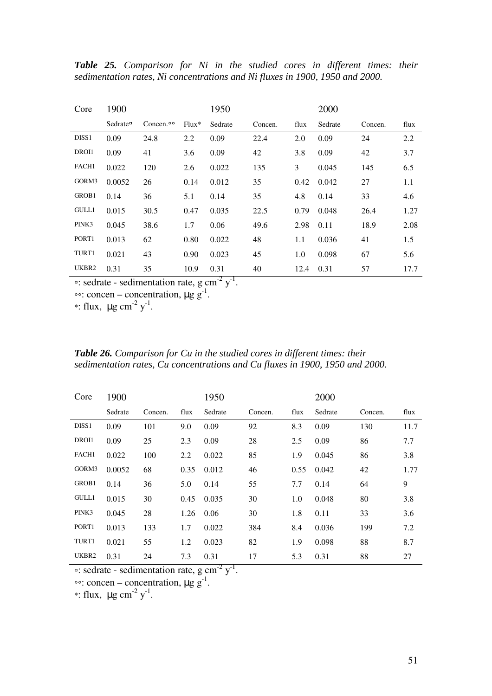*Table 25. Comparison for Ni in the studied cores in different times: their sedimentation rates, Ni concentrations and Ni fluxes in 1900, 1950 and 2000.*

| Core              | 1900                 |                       |         | 1950    |         |      | 2000    |         |      |
|-------------------|----------------------|-----------------------|---------|---------|---------|------|---------|---------|------|
|                   | Sedrate <sup>o</sup> | Concen. $\circ \circ$ | $Flux*$ | Sedrate | Concen. | flux | Sedrate | Concen. | flux |
| DISS <sub>1</sub> | 0.09                 | 24.8                  | 2.2     | 0.09    | 22.4    | 2.0  | 0.09    | 24      | 2.2  |
| DROI1             | 0.09                 | 41                    | 3.6     | 0.09    | 42      | 3.8  | 0.09    | 42      | 3.7  |
| FACH1             | 0.022                | 120                   | 2.6     | 0.022   | 135     | 3    | 0.045   | 145     | 6.5  |
| GORM3             | 0.0052               | 26                    | 0.14    | 0.012   | 35      | 0.42 | 0.042   | 27      | 1.1  |
| GROB1             | 0.14                 | 36                    | 5.1     | 0.14    | 35      | 4.8  | 0.14    | 33      | 4.6  |
| GULL1             | 0.015                | 30.5                  | 0.47    | 0.035   | 22.5    | 0.79 | 0.048   | 26.4    | 1.27 |
| PINK3             | 0.045                | 38.6                  | 1.7     | 0.06    | 49.6    | 2.98 | 0.11    | 18.9    | 2.08 |
| PORT1             | 0.013                | 62                    | 0.80    | 0.022   | 48      | 1.1  | 0.036   | 41      | 1.5  |
| TURT1             | 0.021                | 43                    | 0.90    | 0.023   | 45      | 1.0  | 0.098   | 67      | 5.6  |
| UKBR2             | 0.31                 | 35                    | 10.9    | 0.31    | 40      | 12.4 | 0.31    | 57      | 17.7 |

 $\therefore$  sedrate - sedimentation rate, g cm<sup>-2</sup> y<sup>-1</sup>.

: concen – concentration,  $\mu$ g g<sup>-1</sup>.

\*: flux,  $\mu$ g cm<sup>-2</sup> y<sup>-1</sup>.

*Table 26. Comparison for Cu in the studied cores in different times: their sedimentation rates, Cu concentrations and Cu fluxes in 1900, 1950 and 2000.*

| Core              | 1900    |         |      | 1950    |         |      | 2000    |         |      |
|-------------------|---------|---------|------|---------|---------|------|---------|---------|------|
|                   | Sedrate | Concen. | flux | Sedrate | Concen. | flux | Sedrate | Concen. | flux |
| DISS <sub>1</sub> | 0.09    | 101     | 9.0  | 0.09    | 92      | 8.3  | 0.09    | 130     | 11.7 |
| DROI1             | 0.09    | 25      | 2.3  | 0.09    | 28      | 2.5  | 0.09    | 86      | 7.7  |
| FACH1             | 0.022   | 100     | 2.2  | 0.022   | 85      | 1.9  | 0.045   | 86      | 3.8  |
| GORM3             | 0.0052  | 68      | 0.35 | 0.012   | 46      | 0.55 | 0.042   | 42      | 1.77 |
| GROB1             | 0.14    | 36      | 5.0  | 0.14    | 55      | 7.7  | 0.14    | 64      | 9    |
| GULL1             | 0.015   | 30      | 0.45 | 0.035   | 30      | 1.0  | 0.048   | 80      | 3.8  |
| PINK3             | 0.045   | 28      | 1.26 | 0.06    | 30      | 1.8  | 0.11    | 33      | 3.6  |
| PORT1             | 0.013   | 133     | 1.7  | 0.022   | 384     | 8.4  | 0.036   | 199     | 7.2  |
| TURT1             | 0.021   | 55      | 1.2  | 0.023   | 82      | 1.9  | 0.098   | 88      | 8.7  |
| UKBR2             | 0.31    | 24      | 7.3  | 0.31    | 17      | 5.3  | 0.31    | 88      | 27   |

 $\therefore$  sedrate - sedimentation rate, g cm<sup>-2</sup> y<sup>-1</sup>.

: concen – concentration,  $\mu$ g g<sup>-1</sup>.

\*: flux,  $\mu$ g cm<sup>-2</sup> y<sup>-1</sup>.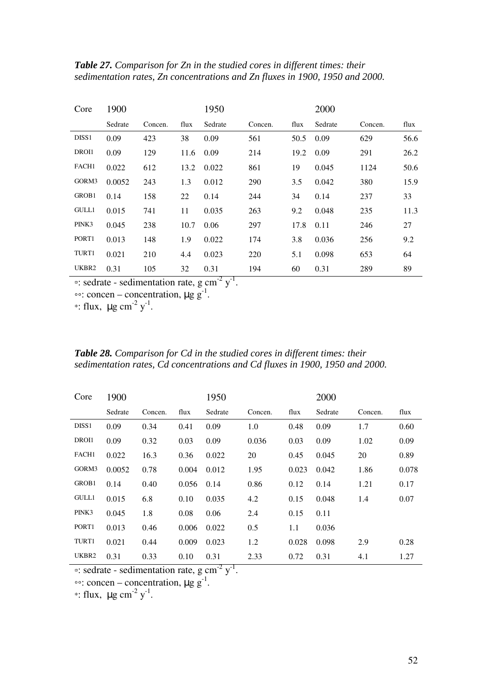*Table 27. Comparison for Zn in the studied cores in different times: their sedimentation rates, Zn concentrations and Zn fluxes in 1900, 1950 and 2000.*

| Core              | 1900    |         |      | 1950    |         |      | 2000    |         |      |
|-------------------|---------|---------|------|---------|---------|------|---------|---------|------|
|                   | Sedrate | Concen. | flux | Sedrate | Concen. | flux | Sedrate | Concen. | flux |
| DISS <sub>1</sub> | 0.09    | 423     | 38   | 0.09    | 561     | 50.5 | 0.09    | 629     | 56.6 |
| DROI1             | 0.09    | 129     | 11.6 | 0.09    | 214     | 19.2 | 0.09    | 291     | 26.2 |
| FACH1             | 0.022   | 612     | 13.2 | 0.022   | 861     | 19   | 0.045   | 1124    | 50.6 |
| GORM3             | 0.0052  | 243     | 1.3  | 0.012   | 290     | 3.5  | 0.042   | 380     | 15.9 |
| GROB1             | 0.14    | 158     | 22   | 0.14    | 244     | 34   | 0.14    | 237     | 33   |
| GULL1             | 0.015   | 741     | 11   | 0.035   | 263     | 9.2  | 0.048   | 235     | 11.3 |
| PINK3             | 0.045   | 238     | 10.7 | 0.06    | 297     | 17.8 | 0.11    | 246     | 27   |
| PORT1             | 0.013   | 148     | 1.9  | 0.022   | 174     | 3.8  | 0.036   | 256     | 9.2  |
| TURT1             | 0.021   | 210     | 4.4  | 0.023   | 220     | 5.1  | 0.098   | 653     | 64   |
| UKBR2             | 0.31    | 105     | 32   | 0.31    | 194     | 60   | 0.31    | 289     | 89   |

 $\therefore$  sedrate - sedimentation rate, g cm<sup>-2</sup> y<sup>-1</sup>.

: concen – concentration,  $\mu$ g g<sup>-1</sup>.

\*: flux,  $\mu$ g cm<sup>-2</sup> y<sup>-1</sup>.

*Table 28. Comparison for Cd in the studied cores in different times: their sedimentation rates, Cd concentrations and Cd fluxes in 1900, 1950 and 2000.*

| Core              | 1900    |         |       | 1950    |         |       | 2000    |         |       |
|-------------------|---------|---------|-------|---------|---------|-------|---------|---------|-------|
|                   | Sedrate | Concen. | flux  | Sedrate | Concen. | flux  | Sedrate | Concen. | flux  |
| DISS <sub>1</sub> | 0.09    | 0.34    | 0.41  | 0.09    | 1.0     | 0.48  | 0.09    | 1.7     | 0.60  |
| DROI1             | 0.09    | 0.32    | 0.03  | 0.09    | 0.036   | 0.03  | 0.09    | 1.02    | 0.09  |
| FACH1             | 0.022   | 16.3    | 0.36  | 0.022   | 20      | 0.45  | 0.045   | 20      | 0.89  |
| GORM3             | 0.0052  | 0.78    | 0.004 | 0.012   | 1.95    | 0.023 | 0.042   | 1.86    | 0.078 |
| GROB1             | 0.14    | 0.40    | 0.056 | 0.14    | 0.86    | 0.12  | 0.14    | 1.21    | 0.17  |
| GULL1             | 0.015   | 6.8     | 0.10  | 0.035   | 4.2     | 0.15  | 0.048   | 1.4     | 0.07  |
| PINK3             | 0.045   | 1.8     | 0.08  | 0.06    | 2.4     | 0.15  | 0.11    |         |       |
| PORT1             | 0.013   | 0.46    | 0.006 | 0.022   | 0.5     | 1.1   | 0.036   |         |       |
| TURT1             | 0.021   | 0.44    | 0.009 | 0.023   | 1.2     | 0.028 | 0.098   | 2.9     | 0.28  |
| UKBR2             | 0.31    | 0.33    | 0.10  | 0.31    | 2.33    | 0.72  | 0.31    | 4.1     | 1.27  |

 $\therefore$  sedrate - sedimentation rate, g cm<sup>-2</sup> y<sup>-1</sup>.

: concen – concentration,  $\mu$ g g<sup>-1</sup>.

\*: flux,  $\mu$ g cm<sup>-2</sup> y<sup>-1</sup>.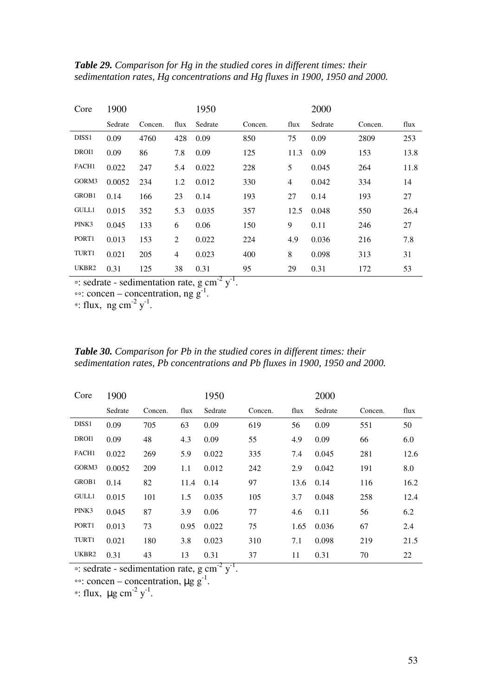*Table 29. Comparison for Hg in the studied cores in different times: their sedimentation rates, Hg concentrations and Hg fluxes in 1900, 1950 and 2000.*

| Core              | 1900    |         |      | 1950    |         |                | 2000    |         |      |
|-------------------|---------|---------|------|---------|---------|----------------|---------|---------|------|
|                   | Sedrate | Concen. | flux | Sedrate | Concen. | flux           | Sedrate | Concen. | flux |
| DISS <sub>1</sub> | 0.09    | 4760    | 428  | 0.09    | 850     | 75             | 0.09    | 2809    | 253  |
| DROI1             | 0.09    | 86      | 7.8  | 0.09    | 125     | 11.3           | 0.09    | 153     | 13.8 |
| FACH1             | 0.022   | 247     | 5.4  | 0.022   | 228     | 5              | 0.045   | 264     | 11.8 |
| GORM3             | 0.0052  | 234     | 1.2  | 0.012   | 330     | $\overline{4}$ | 0.042   | 334     | 14   |
| GROB1             | 0.14    | 166     | 23   | 0.14    | 193     | 27             | 0.14    | 193     | 27   |
| GULL1             | 0.015   | 352     | 5.3  | 0.035   | 357     | 12.5           | 0.048   | 550     | 26.4 |
| PINK3             | 0.045   | 133     | 6    | 0.06    | 150     | 9              | 0.11    | 246     | 27   |
| PORT1             | 0.013   | 153     | 2    | 0.022   | 224     | 4.9            | 0.036   | 216     | 7.8  |
| TURT1             | 0.021   | 205     | 4    | 0.023   | 400     | 8              | 0.098   | 313     | 31   |
| UKBR2             | 0.31    | 125     | 38   | 0.31    | 95      | 29             | 0.31    | 172     | 53   |

 $\therefore$  sedrate - sedimentation rate, g cm<sup>-2</sup> y<sup>-1</sup>.

: concen – concentration, ng  $g^{-1}$ .

\*: flux, ng cm<sup>-2</sup> y<sup>-1</sup>.

*Table 30. Comparison for Pb in the studied cores in different times: their sedimentation rates, Pb concentrations and Pb fluxes in 1900, 1950 and 2000.*

| Core              | 1900    |         |      | 1950    |         |      | 2000    |         |      |
|-------------------|---------|---------|------|---------|---------|------|---------|---------|------|
|                   | Sedrate | Concen. | flux | Sedrate | Concen. | flux | Sedrate | Concen. | flux |
| DISS <sub>1</sub> | 0.09    | 705     | 63   | 0.09    | 619     | 56   | 0.09    | 551     | 50   |
| DROI1             | 0.09    | 48      | 4.3  | 0.09    | 55      | 4.9  | 0.09    | 66      | 6.0  |
| FACH1             | 0.022   | 269     | 5.9  | 0.022   | 335     | 7.4  | 0.045   | 281     | 12.6 |
| GORM3             | 0.0052  | 209     | 1.1  | 0.012   | 242     | 2.9  | 0.042   | 191     | 8.0  |
| GROB1             | 0.14    | 82      | 11.4 | 0.14    | 97      | 13.6 | 0.14    | 116     | 16.2 |
| GULL1             | 0.015   | 101     | 1.5  | 0.035   | 105     | 3.7  | 0.048   | 258     | 12.4 |
| PINK3             | 0.045   | 87      | 3.9  | 0.06    | 77      | 4.6  | 0.11    | 56      | 6.2  |
| PORT1             | 0.013   | 73      | 0.95 | 0.022   | 75      | 1.65 | 0.036   | 67      | 2.4  |
| TURT1             | 0.021   | 180     | 3.8  | 0.023   | 310     | 7.1  | 0.098   | 219     | 21.5 |
| UKBR2             | 0.31    | 43      | 13   | 0.31    | 37      | 11   | 0.31    | 70      | 22   |

 $\therefore$  sedrate - sedimentation rate, g cm<sup>-2</sup> y<sup>-1</sup>.

: concen – concentration,  $\mu$ g g<sup>-1</sup>.

\*: flux,  $\mu$ g cm<sup>-2</sup> y<sup>-1</sup>.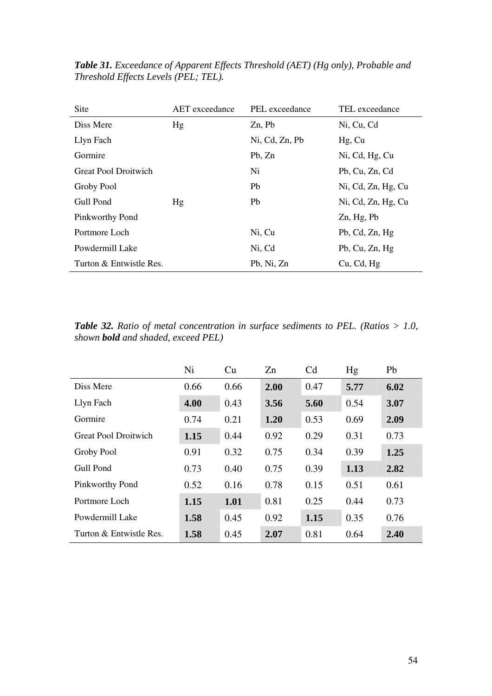| Site                        | AET exceedance | PEL exceedance | TEL exceedance     |
|-----------------------------|----------------|----------------|--------------------|
| Diss Mere                   | Hg             | Zn, Pb         | Ni, Cu, Cd         |
| Llyn Fach                   |                | Ni, Cd, Zn, Pb | Hg, Cu             |
| Gormire                     |                | Pb, Zn         | Ni, Cd, Hg, Cu     |
| <b>Great Pool Droitwich</b> |                | Ni             | Pb, Cu, Zn, Cd     |
| Groby Pool                  |                | Pb             | Ni, Cd, Zn, Hg, Cu |
| <b>Gull Pond</b>            | Hg             | Pb             | Ni, Cd, Zn, Hg, Cu |
| Pinkworthy Pond             |                |                | $Zn$ , Hg, Pb      |
| Portmore Loch               |                | Ni, Cu         | Pb, Cd, Zn, Hg     |
| Powdermill Lake             |                | Ni, Cd         | Pb, Cu, Zn, Hg     |
| Turton & Entwistle Res.     |                | Pb, Ni, Zn     | Cu, Cd, Hg         |

*Table 31. Exceedance of Apparent Effects Threshold (AET) (Hg only), Probable and Threshold Effects Levels (PEL; TEL).*

*Table 32. Ratio of metal concentration in surface sediments to PEL. (Ratios > 1.0, shown bold and shaded, exceed PEL)*

|                             | Ni   | Cu   | Zn   | C <sub>d</sub> | Hg   | Pb   |
|-----------------------------|------|------|------|----------------|------|------|
| Diss Mere                   | 0.66 | 0.66 | 2.00 | 0.47           | 5.77 | 6.02 |
| Llyn Fach                   | 4.00 | 0.43 | 3.56 | 5.60           | 0.54 | 3.07 |
| Gormire                     | 0.74 | 0.21 | 1.20 | 0.53           | 0.69 | 2.09 |
| <b>Great Pool Droitwich</b> | 1.15 | 0.44 | 0.92 | 0.29           | 0.31 | 0.73 |
| Groby Pool                  | 0.91 | 0.32 | 0.75 | 0.34           | 0.39 | 1.25 |
| <b>Gull Pond</b>            | 0.73 | 0.40 | 0.75 | 0.39           | 1.13 | 2.82 |
| Pinkworthy Pond             | 0.52 | 0.16 | 0.78 | 0.15           | 0.51 | 0.61 |
| Portmore Loch               | 1.15 | 1.01 | 0.81 | 0.25           | 0.44 | 0.73 |
| Powdermill Lake             | 1.58 | 0.45 | 0.92 | 1.15           | 0.35 | 0.76 |
| Turton & Entwistle Res.     | 1.58 | 0.45 | 2.07 | 0.81           | 0.64 | 2.40 |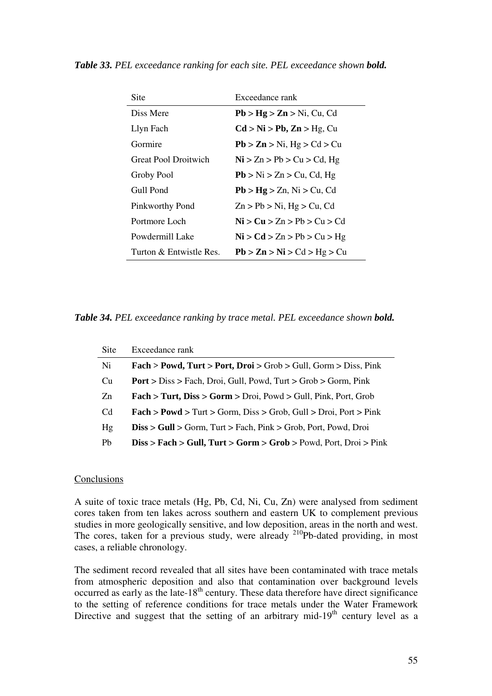| Site                        | Exceedance rank                 |
|-----------------------------|---------------------------------|
| Diss Mere                   | $Pb > Hg > Zn > Ni$ , Cu, Cd    |
| Llyn Fach                   | Cd > Ni > Pb, Zn > Hg, Cu       |
| Gormire                     | $Pb > Zn > Ni$ , Hg $> Cd > Cu$ |
| <b>Great Pool Droitwich</b> | $Ni > Zn > Pb > Cu > Cd$ , Hg   |
| Groby Pool                  | $Pb > Ni > Zn > Cu$ , Cd, Hg    |
| Gull Pond                   | $Pb > Hg > Zn$ , Ni $> Cu$ , Cd |
| Pinkworthy Pond             | $Zn > Pb > Ni$ , $Hg > Cu$ , Cd |
| Portmore Loch               | Ni > Cu > Zn > Pb > Cu > Cd     |
| Powdermill Lake             | Ni > Cd > Zn > Pb > Cu > Hg     |
| Turton & Entwistle Res.     | Pb > Zn > Ni > Cd > Hg > Cu     |

*Table 33. PEL exceedance ranking for each site. PEL exceedance shown bold.*

*Table 34. PEL exceedance ranking by trace metal. PEL exceedance shown bold.*

| <b>Site</b>    | Exceedance rank                                                                                                                         |
|----------------|-----------------------------------------------------------------------------------------------------------------------------------------|
| Ni             | $\text{Each} > \text{Powd}, \text{Turt} > \text{Port}, \text{Droi} > \text{Grob} > \text{Gull}, \text{Gorm} > \text{Diss}, \text{Pink}$ |
| Cu             | $Port > Diss > Fach$ , Droi, Gull, Powd, Turt > Grob > Gorm, Pink                                                                       |
| Zn             | $\text{Each} > \text{Turt}, \text{Diss} > \text{Gorm} > \text{Droi}, \text{Powd} > \text{Gull}, \text{Pink}, \text{Port}, \text{Grob}$  |
| Cd             | <b>Fach &gt; Powd &gt; Turt &gt; Gorm, Diss &gt; Grob, Gull &gt; Droi, Port &gt; Pink</b>                                               |
| Hg             | $Diss > Gull > Gorm$ , Turt > Fach, Pink > Grob, Port, Powd, Droi                                                                       |
| P <sub>b</sub> | $Diss > Fach > Gull$ , $Turt > Gorm > Grob > \text{Powd}$ , $Port$ , $Droi > \text{Pink}$                                               |

#### **Conclusions**

A suite of toxic trace metals (Hg, Pb, Cd, Ni, Cu, Zn) were analysed from sediment cores taken from ten lakes across southern and eastern UK to complement previous studies in more geologically sensitive, and low deposition, areas in the north and west. The cores, taken for a previous study, were already <sup>210</sup>Pb-dated providing, in most cases, a reliable chronology.

The sediment record revealed that all sites have been contaminated with trace metals from atmospheric deposition and also that contamination over background levels occurred as early as the late-18<sup>th</sup> century. These data therefore have direct significance to the setting of reference conditions for trace metals under the Water Framework Directive and suggest that the setting of an arbitrary mid-19<sup>th</sup> century level as a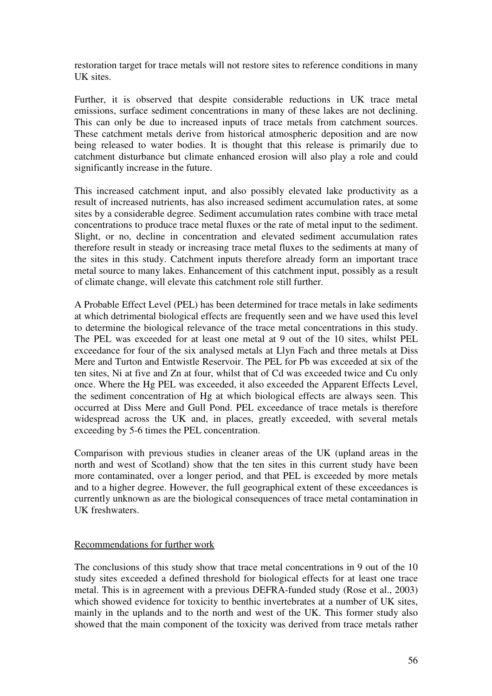restoration target for trace metals will not restore sites to reference conditions in many UK sites.

Further, it is observed that despite considerable reductions in UK trace metal emissions, surface sediment concentrations in many of these lakes are not declining. This can only be due to increased inputs of trace metals from catchment sources. These catchment metals derive from historical atmospheric deposition and are now being released to water bodies. It is thought that this release is primarily due to catchment disturbance but climate enhanced erosion will also play a role and could significantly increase in the future.

This increased catchment input, and also possibly elevated lake productivity as a result of increased nutrients, has also increased sediment accumulation rates, at some sites by a considerable degree. Sediment accumulation rates combine with trace metal concentrations to produce trace metal fluxes or the rate of metal input to the sediment. Slight, or no, decline in concentration and elevated sediment accumulation rates therefore result in steady or increasing trace metal fluxes to the sediments at many of the sites in this study. Catchment inputs therefore already form an important trace metal source to many lakes. Enhancement of this catchment input, possibly as a result of climate change, will elevate this catchment role still further.

A Probable Effect Level (PEL) has been determined for trace metals in lake sediments at which detrimental biological effects are frequently seen and we have used this level to determine the biological relevance of the trace metal concentrations in this study. The PEL was exceeded for at least one metal at 9 out of the 10 sites, whilst PEL exceedance for four of the six analysed metals at Llyn Fach and three metals at Diss Mere and Turton and Entwistle Reservoir. The PEL for Pb was exceeded at six of the ten sites, Ni at five and Zn at four, whilst that of Cd was exceeded twice and Cu only once. Where the Hg PEL was exceeded, it also exceeded the Apparent Effects Level, the sediment concentration of Hg at which biological effects are always seen. This occurred at Diss Mere and Gull Pond. PEL exceedance of trace metals is therefore widespread across the UK and, in places, greatly exceeded, with several metals exceeding by 5-6 times the PEL concentration.

Comparison with previous studies in cleaner areas of the UK (upland areas in the north and west of Scotland) show that the ten sites in this current study have been more contaminated, over a longer period, and that PEL is exceeded by more metals and to a higher degree. However, the full geographical extent of these exceedances is currently unknown as are the biological consequences of trace metal contamination in UK freshwaters.

### Recommendations for further work

The conclusions of this study show that trace metal concentrations in 9 out of the 10 study sites exceeded a defined threshold for biological effects for at least one trace metal. This is in agreement with a previous DEFRA-funded study (Rose et al., 2003) which showed evidence for toxicity to benthic invertebrates at a number of UK sites, mainly in the uplands and to the north and west of the UK. This former study also showed that the main component of the toxicity was derived from trace metals rather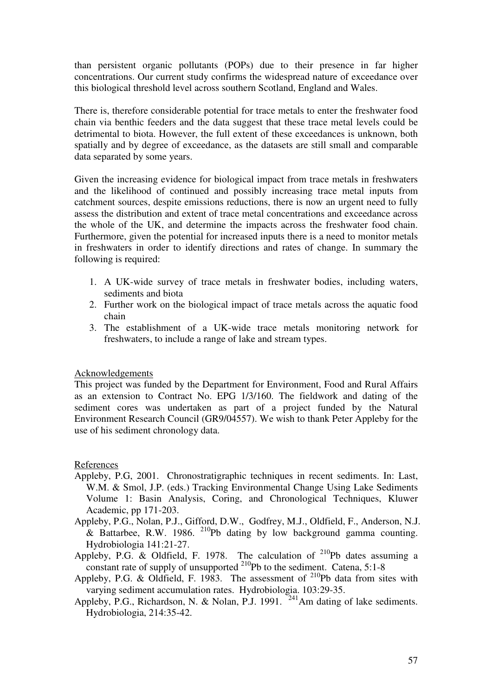than persistent organic pollutants (POPs) due to their presence in far higher concentrations. Our current study confirms the widespread nature of exceedance over this biological threshold level across southern Scotland, England and Wales.

There is, therefore considerable potential for trace metals to enter the freshwater food chain via benthic feeders and the data suggest that these trace metal levels could be detrimental to biota. However, the full extent of these exceedances is unknown, both spatially and by degree of exceedance, as the datasets are still small and comparable data separated by some years.

Given the increasing evidence for biological impact from trace metals in freshwaters and the likelihood of continued and possibly increasing trace metal inputs from catchment sources, despite emissions reductions, there is now an urgent need to fully assess the distribution and extent of trace metal concentrations and exceedance across the whole of the UK, and determine the impacts across the freshwater food chain. Furthermore, given the potential for increased inputs there is a need to monitor metals in freshwaters in order to identify directions and rates of change. In summary the following is required:

- 1. A UK-wide survey of trace metals in freshwater bodies, including waters, sediments and biota
- 2. Further work on the biological impact of trace metals across the aquatic food chain
- 3. The establishment of a UK-wide trace metals monitoring network for freshwaters, to include a range of lake and stream types.

### Acknowledgements

This project was funded by the Department for Environment, Food and Rural Affairs as an extension to Contract No. EPG 1/3/160. The fieldwork and dating of the sediment cores was undertaken as part of a project funded by the Natural Environment Research Council (GR9/04557). We wish to thank Peter Appleby for the use of his sediment chronology data.

### References

- Appleby, P.G, 2001. Chronostratigraphic techniques in recent sediments. In: Last, W.M. & Smol, J.P. (eds.) Tracking Environmental Change Using Lake Sediments Volume 1: Basin Analysis, Coring, and Chronological Techniques, Kluwer Academic, pp 171-203.
- Appleby, P.G., Nolan, P.J., Gifford, D.W., Godfrey, M.J., Oldfield, F., Anderson, N.J.  $\&$  Battarbee, R.W. 1986. <sup>210</sup>Pb dating by low background gamma counting. Hydrobiologia 141:21-27.
- Appleby, P.G. & Oldfield, F. 1978. The calculation of  $^{210}$ Pb dates assuming a constant rate of supply of unsupported  $^{210}$ Pb to the sediment. Catena, 5:1-8
- Appleby, P.G. & Oldfield, F. 1983. The assessment of  $^{210}$ Pb data from sites with varying sediment accumulation rates. Hydrobiologia. 103:29-35.
- Appleby, P.G., Richardson, N. & Nolan, P.J. 1991.  $241$ Am dating of lake sediments. Hydrobiologia, 214:35-42.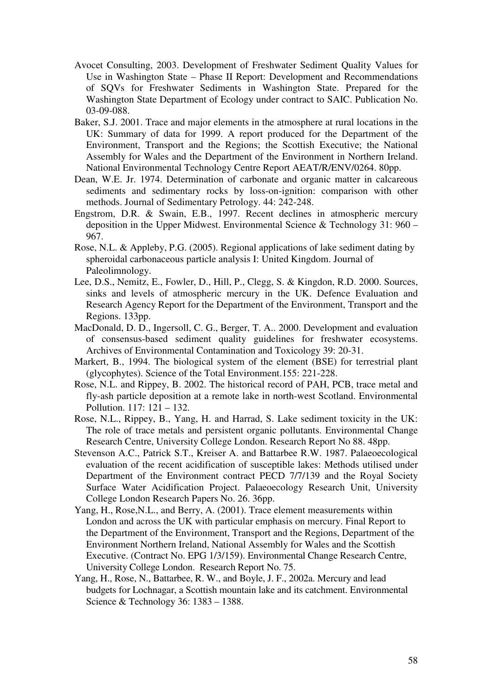- Avocet Consulting, 2003. Development of Freshwater Sediment Quality Values for Use in Washington State – Phase II Report: Development and Recommendations of SQVs for Freshwater Sediments in Washington State. Prepared for the Washington State Department of Ecology under contract to SAIC. Publication No. 03-09-088.
- Baker, S.J. 2001. Trace and major elements in the atmosphere at rural locations in the UK: Summary of data for 1999. A report produced for the Department of the Environment, Transport and the Regions; the Scottish Executive; the National Assembly for Wales and the Department of the Environment in Northern Ireland. National Environmental Technology Centre Report AEAT/R/ENV/0264. 80pp.
- Dean, W.E. Jr. 1974. Determination of carbonate and organic matter in calcareous sediments and sedimentary rocks by loss-on-ignition: comparison with other methods. Journal of Sedimentary Petrology. 44: 242-248.
- Engstrom, D.R. & Swain, E.B., 1997. Recent declines in atmospheric mercury deposition in the Upper Midwest. Environmental Science & Technology 31:  $960 -$ 967.
- Rose, N.L. & Appleby, P.G. (2005). Regional applications of lake sediment dating by spheroidal carbonaceous particle analysis I: United Kingdom. Journal of Paleolimnology.
- Lee, D.S., Nemitz, E., Fowler, D., Hill, P., Clegg, S. & Kingdon, R.D. 2000. Sources, sinks and levels of atmospheric mercury in the UK. Defence Evaluation and Research Agency Report for the Department of the Environment, Transport and the Regions. 133pp.
- MacDonald, D. D., Ingersoll, C. G., Berger, T. A.. 2000. Development and evaluation of consensus-based sediment quality guidelines for freshwater ecosystems. Archives of Environmental Contamination and Toxicology 39: 20-31.
- Markert, B., 1994. The biological system of the element (BSE) for terrestrial plant (glycophytes). Science of the Total Environment.155: 221-228.
- Rose, N.L. and Rippey, B. 2002. The historical record of PAH, PCB, trace metal and fly-ash particle deposition at a remote lake in north-west Scotland. Environmental Pollution. 117: 121 – 132.
- Rose, N.L., Rippey, B., Yang, H. and Harrad, S. Lake sediment toxicity in the UK: The role of trace metals and persistent organic pollutants. Environmental Change Research Centre, University College London. Research Report No 88. 48pp.
- Stevenson A.C., Patrick S.T., Kreiser A. and Battarbee R.W. 1987. Palaeoecological evaluation of the recent acidification of susceptible lakes: Methods utilised under Department of the Environment contract PECD 7/7/139 and the Royal Society Surface Water Acidification Project. Palaeoecology Research Unit, University College London Research Papers No. 26. 36pp.
- Yang, H., Rose,N.L., and Berry, A. (2001). Trace element measurements within London and across the UK with particular emphasis on mercury. Final Report to the Department of the Environment, Transport and the Regions, Department of the Environment Northern Ireland, National Assembly for Wales and the Scottish Executive. (Contract No. EPG 1/3/159). Environmental Change Research Centre, University College London. Research Report No. 75.
- Yang, H., Rose, N., Battarbee, R. W., and Boyle, J. F., 2002a. Mercury and lead budgets for Lochnagar, a Scottish mountain lake and its catchment. Environmental Science & Technology 36: 1383 – 1388.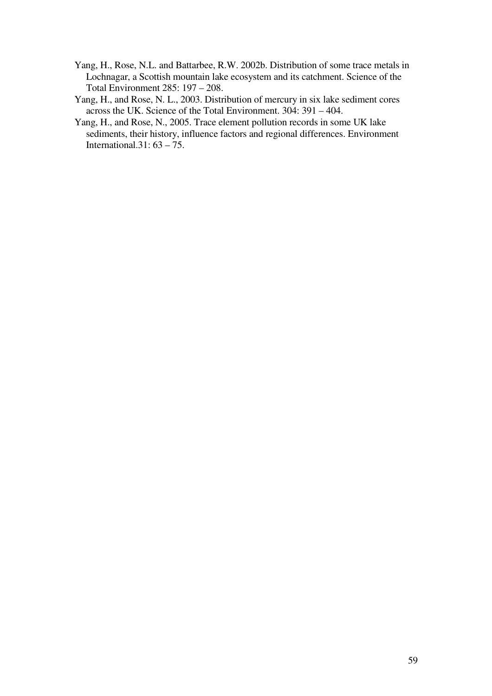- Yang, H., Rose, N.L. and Battarbee, R.W. 2002b. Distribution of some trace metals in Lochnagar, a Scottish mountain lake ecosystem and its catchment. Science of the Total Environment 285: 197 – 208.
- Yang, H., and Rose, N. L., 2003. Distribution of mercury in six lake sediment cores across the UK. Science of the Total Environment. 304: 391 – 404.
- Yang, H., and Rose, N., 2005. Trace element pollution records in some UK lake sediments, their history, influence factors and regional differences. Environment International.31:  $63 - 75$ .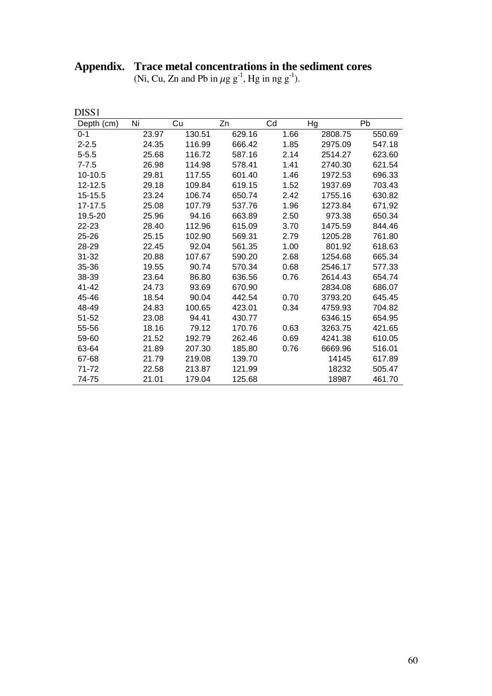# **Appendix. Trace metal concentrations in the sediment cores**

(Ni, Cu, Zn and Pb in  $\mu$ g g<sup>-1</sup>, Hg in ng g<sup>-1</sup>).

| DISS <sub>1</sub> |       |        |        |      |         |        |
|-------------------|-------|--------|--------|------|---------|--------|
| Depth (cm)        | Ni    | Cu     | Zn     | Cd   | Hg      | Pb     |
| $0 - 1$           | 23.97 | 130.51 | 629.16 | 1.66 | 2808.75 | 550.69 |
| $2 - 2.5$         | 24.35 | 116.99 | 666.42 | 1.85 | 2975.09 | 547.18 |
| $5 - 5.5$         | 25.68 | 116.72 | 587.16 | 2.14 | 2514.27 | 623.60 |
| $7 - 7.5$         | 26.98 | 114.98 | 578.41 | 1.41 | 2740.30 | 621.54 |
| 10-10.5           | 29.81 | 117.55 | 601.40 | 1.46 | 1972.53 | 696.33 |
| 12-12.5           | 29.18 | 109.84 | 619.15 | 1.52 | 1937.69 | 703.43 |
| 15-15.5           | 23.24 | 106.74 | 650.74 | 2.42 | 1755.16 | 630.82 |
| 17-17.5           | 25.08 | 107.79 | 537.76 | 1.96 | 1273.84 | 671.92 |
| 19.5-20           | 25.96 | 94.16  | 663.89 | 2.50 | 973.38  | 650.34 |
| 22-23             | 28.40 | 112.96 | 615.09 | 3.70 | 1475.59 | 844.46 |
| $25 - 26$         | 25.15 | 102.90 | 569.31 | 2.79 | 1205.28 | 761.80 |
| 28-29             | 22.45 | 92.04  | 561.35 | 1.00 | 801.92  | 618.63 |
| $31 - 32$         | 20.88 | 107.67 | 590.20 | 2.68 | 1254.68 | 665.34 |
| 35-36             | 19.55 | 90.74  | 570.34 | 0.68 | 2546.17 | 577.33 |
| 38-39             | 23.64 | 86.80  | 636.56 | 0.76 | 2614.43 | 654.74 |
| 41-42             | 24.73 | 93.69  | 670.90 |      | 2834.08 | 686.07 |
| 45-46             | 18.54 | 90.04  | 442.54 | 0.70 | 3793.20 | 645.45 |
| 48-49             | 24.83 | 100.65 | 423.01 | 0.34 | 4759.93 | 704.82 |
| 51-52             | 23.08 | 94.41  | 430.77 |      | 6346.15 | 654.95 |
| 55-56             | 18.16 | 79.12  | 170.76 | 0.63 | 3263.75 | 421.65 |
| 59-60             | 21.52 | 192.79 | 262.46 | 0.69 | 4241.38 | 610.05 |
| 63-64             | 21.89 | 207.30 | 185.80 | 0.76 | 6669.96 | 516.01 |
| 67-68             | 21.79 | 219.08 | 139.70 |      | 14145   | 617.89 |
| 71-72             | 22.58 | 213.87 | 121.99 |      | 18232   | 505.47 |
| 74-75             | 21.01 | 179.04 | 125.68 |      | 18987   | 461.70 |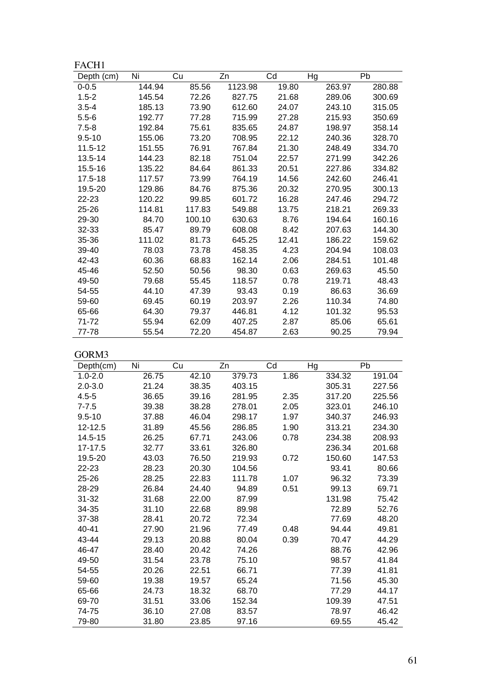| FACH1       |        |        |         |       |        |        |
|-------------|--------|--------|---------|-------|--------|--------|
| Depth (cm)  | Ni     | Cu     | Zn      | Cd    | Hg     | Pb     |
| $0 - 0.5$   | 144.94 | 85.56  | 1123.98 | 19.80 | 263.97 | 280.88 |
| $1.5 - 2$   | 145.54 | 72.26  | 827.75  | 21.68 | 289.06 | 300.69 |
| $3.5 - 4$   | 185.13 | 73.90  | 612.60  | 24.07 | 243.10 | 315.05 |
| $5.5 - 6$   | 192.77 | 77.28  | 715.99  | 27.28 | 215.93 | 350.69 |
| $7.5 - 8$   | 192.84 | 75.61  | 835.65  | 24.87 | 198.97 | 358.14 |
| $9.5 - 10$  | 155.06 | 73.20  | 708.95  | 22.12 | 240.36 | 328.70 |
| $11.5 - 12$ | 151.55 | 76.91  | 767.84  | 21.30 | 248.49 | 334.70 |
| 13.5-14     | 144.23 | 82.18  | 751.04  | 22.57 | 271.99 | 342.26 |
| 15.5-16     | 135.22 | 84.64  | 861.33  | 20.51 | 227.86 | 334.82 |
| 17.5-18     | 117.57 | 73.99  | 764.19  | 14.56 | 242.60 | 246.41 |
| 19.5-20     | 129.86 | 84.76  | 875.36  | 20.32 | 270.95 | 300.13 |
| 22-23       | 120.22 | 99.85  | 601.72  | 16.28 | 247.46 | 294.72 |
| $25 - 26$   | 114.81 | 117.83 | 549.88  | 13.75 | 218.21 | 269.33 |
| 29-30       | 84.70  | 100.10 | 630.63  | 8.76  | 194.64 | 160.16 |
| 32-33       | 85.47  | 89.79  | 608.08  | 8.42  | 207.63 | 144.30 |
| 35-36       | 111.02 | 81.73  | 645.25  | 12.41 | 186.22 | 159.62 |
| 39-40       | 78.03  | 73.78  | 458.35  | 4.23  | 204.94 | 108.03 |
| 42-43       | 60.36  | 68.83  | 162.14  | 2.06  | 284.51 | 101.48 |
| 45-46       | 52.50  | 50.56  | 98.30   | 0.63  | 269.63 | 45.50  |
| 49-50       | 79.68  | 55.45  | 118.57  | 0.78  | 219.71 | 48.43  |
| 54-55       | 44.10  | 47.39  | 93.43   | 0.19  | 86.63  | 36.69  |
| 59-60       | 69.45  | 60.19  | 203.97  | 2.26  | 110.34 | 74.80  |
| 65-66       | 64.30  | 79.37  | 446.81  | 4.12  | 101.32 | 95.53  |
| 71-72       | 55.94  | 62.09  | 407.25  | 2.87  | 85.06  | 65.61  |
| 77-78       | 55.54  | 72.20  | 454.87  | 2.63  | 90.25  | 79.94  |

# GORM3

| Depth(cm)   | Ni    | Cu    | $\overline{Zn}$ | Cd   | Hg     | Pb     |
|-------------|-------|-------|-----------------|------|--------|--------|
| $1.0 - 2.0$ | 26.75 | 42.10 | 379.73          | 1.86 | 334.32 | 191.04 |
| $2.0 - 3.0$ | 21.24 | 38.35 | 403.15          |      | 305.31 | 227.56 |
| $4.5 - 5$   | 36.65 | 39.16 | 281.95          | 2.35 | 317.20 | 225.56 |
| $7 - 7.5$   | 39.38 | 38.28 | 278.01          | 2.05 | 323.01 | 246.10 |
| $9.5 - 10$  | 37.88 | 46.04 | 298.17          | 1.97 | 340.37 | 246.93 |
| 12-12.5     | 31.89 | 45.56 | 286.85          | 1.90 | 313.21 | 234.30 |
| 14.5-15     | 26.25 | 67.71 | 243.06          | 0.78 | 234.38 | 208.93 |
| 17-17.5     | 32.77 | 33.61 | 326.80          |      | 236.34 | 201.68 |
| 19.5-20     | 43.03 | 76.50 | 219.93          | 0.72 | 150.60 | 147.53 |
| 22-23       | 28.23 | 20.30 | 104.56          |      | 93.41  | 80.66  |
| $25 - 26$   | 28.25 | 22.83 | 111.78          | 1.07 | 96.32  | 73.39  |
| 28-29       | 26.84 | 24.40 | 94.89           | 0.51 | 99.13  | 69.71  |
| 31-32       | 31.68 | 22.00 | 87.99           |      | 131.98 | 75.42  |
| 34-35       | 31.10 | 22.68 | 89.98           |      | 72.89  | 52.76  |
| 37-38       | 28.41 | 20.72 | 72.34           |      | 77.69  | 48.20  |
| $40 - 41$   | 27.90 | 21.96 | 77.49           | 0.48 | 94.44  | 49.81  |
| 43-44       | 29.13 | 20.88 | 80.04           | 0.39 | 70.47  | 44.29  |
| 46-47       | 28.40 | 20.42 | 74.26           |      | 88.76  | 42.96  |
| 49-50       | 31.54 | 23.78 | 75.10           |      | 98.57  | 41.84  |
| 54-55       | 20.26 | 22.51 | 66.71           |      | 77.39  | 41.81  |
| 59-60       | 19.38 | 19.57 | 65.24           |      | 71.56  | 45.30  |
| 65-66       | 24.73 | 18.32 | 68.70           |      | 77.29  | 44.17  |
| 69-70       | 31.51 | 33.06 | 152.34          |      | 109.39 | 47.51  |
| 74-75       | 36.10 | 27.08 | 83.57           |      | 78.97  | 46.42  |
| 79-80       | 31.80 | 23.85 | 97.16           |      | 69.55  | 45.42  |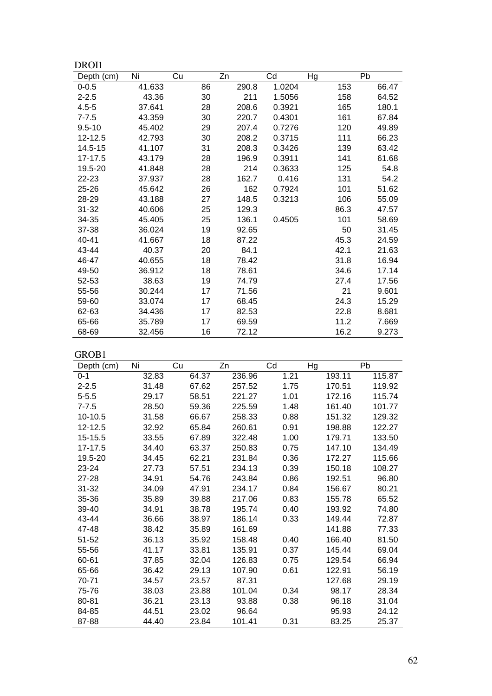| DROI1      |        |    |                 |        |           |       |
|------------|--------|----|-----------------|--------|-----------|-------|
| Depth (cm) | Ni     | Cu | $\overline{Zn}$ | Cd     | <b>Hg</b> | Pb    |
| $0 - 0.5$  | 41.633 | 86 | 290.8           | 1.0204 | 153       | 66.47 |
| $2 - 2.5$  | 43.36  | 30 | 211             | 1.5056 | 158       | 64.52 |
| $4.5 - 5$  | 37.641 | 28 | 208.6           | 0.3921 | 165       | 180.1 |
| $7 - 7.5$  | 43.359 | 30 | 220.7           | 0.4301 | 161       | 67.84 |
| $9.5 - 10$ | 45.402 | 29 | 207.4           | 0.7276 | 120       | 49.89 |
| 12-12.5    | 42.793 | 30 | 208.2           | 0.3715 | 111       | 66.23 |
| 14.5-15    | 41.107 | 31 | 208.3           | 0.3426 | 139       | 63.42 |
| 17-17.5    | 43.179 | 28 | 196.9           | 0.3911 | 141       | 61.68 |
| 19.5-20    | 41.848 | 28 | 214             | 0.3633 | 125       | 54.8  |
| 22-23      | 37.937 | 28 | 162.7           | 0.416  | 131       | 54.2  |
| $25 - 26$  | 45.642 | 26 | 162             | 0.7924 | 101       | 51.62 |
| 28-29      | 43.188 | 27 | 148.5           | 0.3213 | 106       | 55.09 |
| 31-32      | 40.606 | 25 | 129.3           |        | 86.3      | 47.57 |
| 34-35      | 45.405 | 25 | 136.1           | 0.4505 | 101       | 58.69 |
| 37-38      | 36.024 | 19 | 92.65           |        | 50        | 31.45 |
| $40 - 41$  | 41.667 | 18 | 87.22           |        | 45.3      | 24.59 |
| 43-44      | 40.37  | 20 | 84.1            |        | 42.1      | 21.63 |
| 46-47      | 40.655 | 18 | 78.42           |        | 31.8      | 16.94 |
| 49-50      | 36.912 | 18 | 78.61           |        | 34.6      | 17.14 |
| 52-53      | 38.63  | 19 | 74.79           |        | 27.4      | 17.56 |
| 55-56      | 30.244 | 17 | 71.56           |        | 21        | 9.601 |
| 59-60      | 33.074 | 17 | 68.45           |        | 24.3      | 15.29 |
| 62-63      | 34.436 | 17 | 82.53           |        | 22.8      | 8.681 |
| 65-66      | 35.789 | 17 | 69.59           |        | 11.2      | 7.669 |
| 68-69      | 32.456 | 16 | 72.12           |        | 16.2      | 9.273 |

GROB1

| Depth (cm) | Ni    | Cu    | Zn     | Cd   | Hg     | Pb     |
|------------|-------|-------|--------|------|--------|--------|
| $0 - 1$    | 32.83 | 64.37 | 236.96 | 1.21 | 193.11 | 115.87 |
| $2 - 2.5$  | 31.48 | 67.62 | 257.52 | 1.75 | 170.51 | 119.92 |
| $5 - 5.5$  | 29.17 | 58.51 | 221.27 | 1.01 | 172.16 | 115.74 |
| $7 - 7.5$  | 28.50 | 59.36 | 225.59 | 1.48 | 161.40 | 101.77 |
| $10-10.5$  | 31.58 | 66.67 | 258.33 | 0.88 | 151.32 | 129.32 |
| 12-12.5    | 32.92 | 65.84 | 260.61 | 0.91 | 198.88 | 122.27 |
| 15-15.5    | 33.55 | 67.89 | 322.48 | 1.00 | 179.71 | 133.50 |
| 17-17.5    | 34.40 | 63.37 | 250.83 | 0.75 | 147.10 | 134.49 |
| 19.5-20    | 34.45 | 62.21 | 231.84 | 0.36 | 172.27 | 115.66 |
| 23-24      | 27.73 | 57.51 | 234.13 | 0.39 | 150.18 | 108.27 |
| 27-28      | 34.91 | 54.76 | 243.84 | 0.86 | 192.51 | 96.80  |
| $31 - 32$  | 34.09 | 47.91 | 234.17 | 0.84 | 156.67 | 80.21  |
| 35-36      | 35.89 | 39.88 | 217.06 | 0.83 | 155.78 | 65.52  |
| 39-40      | 34.91 | 38.78 | 195.74 | 0.40 | 193.92 | 74.80  |
| 43-44      | 36.66 | 38.97 | 186.14 | 0.33 | 149.44 | 72.87  |
| 47-48      | 38.42 | 35.89 | 161.69 |      | 141.88 | 77.33  |
| 51-52      | 36.13 | 35.92 | 158.48 | 0.40 | 166.40 | 81.50  |
| 55-56      | 41.17 | 33.81 | 135.91 | 0.37 | 145.44 | 69.04  |
| 60-61      | 37.85 | 32.04 | 126.83 | 0.75 | 129.54 | 66.94  |
| 65-66      | 36.42 | 29.13 | 107.90 | 0.61 | 122.91 | 56.19  |
| 70-71      | 34.57 | 23.57 | 87.31  |      | 127.68 | 29.19  |
| 75-76      | 38.03 | 23.88 | 101.04 | 0.34 | 98.17  | 28.34  |
| 80-81      | 36.21 | 23.13 | 93.88  | 0.38 | 96.18  | 31.04  |
| 84-85      | 44.51 | 23.02 | 96.64  |      | 95.93  | 24.12  |
| 87-88      | 44.40 | 23.84 | 101.41 | 0.31 | 83.25  | 25.37  |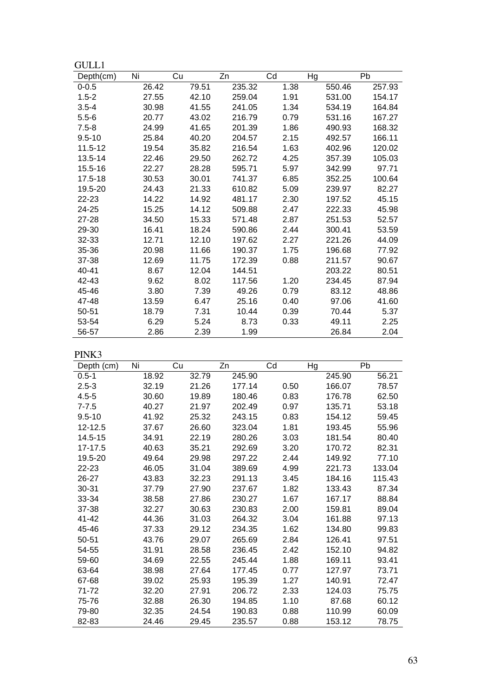| <b>GULL1</b> |       |       |        |      |        |        |
|--------------|-------|-------|--------|------|--------|--------|
| Depth(cm)    | Ni    | Cu    | Zn     | Cd   | Hg     | Pb     |
| $0 - 0.5$    | 26.42 | 79.51 | 235.32 | 1.38 | 550.46 | 257.93 |
| $1.5 - 2$    | 27.55 | 42.10 | 259.04 | 1.91 | 531.00 | 154.17 |
| $3.5 - 4$    | 30.98 | 41.55 | 241.05 | 1.34 | 534.19 | 164.84 |
| $5.5 - 6$    | 20.77 | 43.02 | 216.79 | 0.79 | 531.16 | 167.27 |
| $7.5 - 8$    | 24.99 | 41.65 | 201.39 | 1.86 | 490.93 | 168.32 |
| $9.5 - 10$   | 25.84 | 40.20 | 204.57 | 2.15 | 492.57 | 166.11 |
| $11.5 - 12$  | 19.54 | 35.82 | 216.54 | 1.63 | 402.96 | 120.02 |
| 13.5-14      | 22.46 | 29.50 | 262.72 | 4.25 | 357.39 | 105.03 |
| 15.5-16      | 22.27 | 28.28 | 595.71 | 5.97 | 342.99 | 97.71  |
| 17.5-18      | 30.53 | 30.01 | 741.37 | 6.85 | 352.25 | 100.64 |
| 19.5-20      | 24.43 | 21.33 | 610.82 | 5.09 | 239.97 | 82.27  |
| 22-23        | 14.22 | 14.92 | 481.17 | 2.30 | 197.52 | 45.15  |
| 24-25        | 15.25 | 14.12 | 509.88 | 2.47 | 222.33 | 45.98  |
| 27-28        | 34.50 | 15.33 | 571.48 | 2.87 | 251.53 | 52.57  |
| 29-30        | 16.41 | 18.24 | 590.86 | 2.44 | 300.41 | 53.59  |
| 32-33        | 12.71 | 12.10 | 197.62 | 2.27 | 221.26 | 44.09  |
| 35-36        | 20.98 | 11.66 | 190.37 | 1.75 | 196.68 | 77.92  |
| 37-38        | 12.69 | 11.75 | 172.39 | 0.88 | 211.57 | 90.67  |
| 40-41        | 8.67  | 12.04 | 144.51 |      | 203.22 | 80.51  |
| 42-43        | 9.62  | 8.02  | 117.56 | 1.20 | 234.45 | 87.94  |
| 45-46        | 3.80  | 7.39  | 49.26  | 0.79 | 83.12  | 48.86  |
| 47-48        | 13.59 | 6.47  | 25.16  | 0.40 | 97.06  | 41.60  |
| 50-51        | 18.79 | 7.31  | 10.44  | 0.39 | 70.44  | 5.37   |
| 53-54        | 6.29  | 5.24  | 8.73   | 0.33 | 49.11  | 2.25   |
| 56-57        | 2.86  | 2.39  | 1.99   |      | 26.84  | 2.04   |

PINK3

| Depth (cm) | Ni    | Cu    | $\overline{Zn}$ | Cd   | Hg     | Pb     |
|------------|-------|-------|-----------------|------|--------|--------|
| $0.5 - 1$  | 18.92 | 32.79 | 245.90          |      | 245.90 | 56.21  |
| $2.5 - 3$  | 32.19 | 21.26 | 177.14          | 0.50 | 166.07 | 78.57  |
| $4.5 - 5$  | 30.60 | 19.89 | 180.46          | 0.83 | 176.78 | 62.50  |
| $7 - 7.5$  | 40.27 | 21.97 | 202.49          | 0.97 | 135.71 | 53.18  |
| $9.5 - 10$ | 41.92 | 25.32 | 243.15          | 0.83 | 154.12 | 59.45  |
| 12-12.5    | 37.67 | 26.60 | 323.04          | 1.81 | 193.45 | 55.96  |
| 14.5-15    | 34.91 | 22.19 | 280.26          | 3.03 | 181.54 | 80.40  |
| 17-17.5    | 40.63 | 35.21 | 292.69          | 3.20 | 170.72 | 82.31  |
| 19.5-20    | 49.64 | 29.98 | 297.22          | 2.44 | 149.92 | 77.10  |
| 22-23      | 46.05 | 31.04 | 389.69          | 4.99 | 221.73 | 133.04 |
| 26-27      | 43.83 | 32.23 | 291.13          | 3.45 | 184.16 | 115.43 |
| $30 - 31$  | 37.79 | 27.90 | 237.67          | 1.82 | 133.43 | 87.34  |
| 33-34      | 38.58 | 27.86 | 230.27          | 1.67 | 167.17 | 88.84  |
| 37-38      | 32.27 | 30.63 | 230.83          | 2.00 | 159.81 | 89.04  |
| 41-42      | 44.36 | 31.03 | 264.32          | 3.04 | 161.88 | 97.13  |
| 45-46      | 37.33 | 29.12 | 234.35          | 1.62 | 134.80 | 99.83  |
| $50 - 51$  | 43.76 | 29.07 | 265.69          | 2.84 | 126.41 | 97.51  |
| 54-55      | 31.91 | 28.58 | 236.45          | 2.42 | 152.10 | 94.82  |
| 59-60      | 34.69 | 22.55 | 245.44          | 1.88 | 169.11 | 93.41  |
| 63-64      | 38.98 | 27.64 | 177.45          | 0.77 | 127.97 | 73.71  |
| 67-68      | 39.02 | 25.93 | 195.39          | 1.27 | 140.91 | 72.47  |
| 71-72      | 32.20 | 27.91 | 206.72          | 2.33 | 124.03 | 75.75  |
| 75-76      | 32.88 | 26.30 | 194.85          | 1.10 | 87.68  | 60.12  |
| 79-80      | 32.35 | 24.54 | 190.83          | 0.88 | 110.99 | 60.09  |
| 82-83      | 24.46 | 29.45 | 235.57          | 0.88 | 153.12 | 78.75  |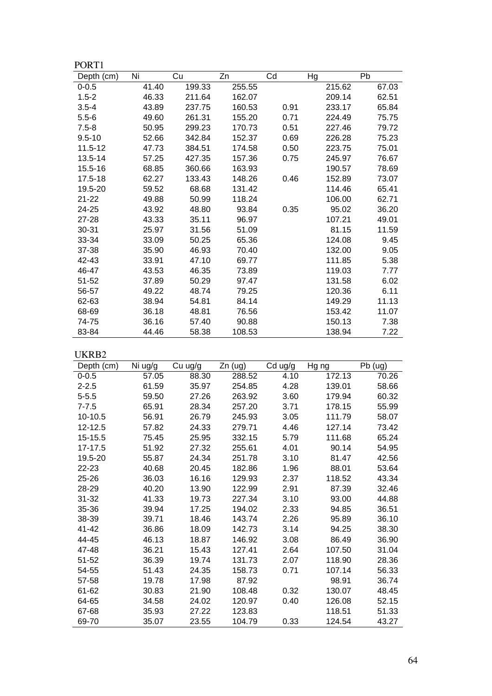| PORT <sub>1</sub> |       |        |        |      |        |       |
|-------------------|-------|--------|--------|------|--------|-------|
| Depth (cm)        | Ni    | Cu     | Zn     | Cd   | Hg     | Pb    |
| $0 - 0.5$         | 41.40 | 199.33 | 255.55 |      | 215.62 | 67.03 |
| $1.5 - 2$         | 46.33 | 211.64 | 162.07 |      | 209.14 | 62.51 |
| $3.5 - 4$         | 43.89 | 237.75 | 160.53 | 0.91 | 233.17 | 65.84 |
| $5.5 - 6$         | 49.60 | 261.31 | 155.20 | 0.71 | 224.49 | 75.75 |
| $7.5 - 8$         | 50.95 | 299.23 | 170.73 | 0.51 | 227.46 | 79.72 |
| $9.5 - 10$        | 52.66 | 342.84 | 152.37 | 0.69 | 226.28 | 75.23 |
| $11.5 - 12$       | 47.73 | 384.51 | 174.58 | 0.50 | 223.75 | 75.01 |
| 13.5-14           | 57.25 | 427.35 | 157.36 | 0.75 | 245.97 | 76.67 |
| 15.5-16           | 68.85 | 360.66 | 163.93 |      | 190.57 | 78.69 |
| 17.5-18           | 62.27 | 133.43 | 148.26 | 0.46 | 152.89 | 73.07 |
| 19.5-20           | 59.52 | 68.68  | 131.42 |      | 114.46 | 65.41 |
| $21 - 22$         | 49.88 | 50.99  | 118.24 |      | 106.00 | 62.71 |
| 24-25             | 43.92 | 48.80  | 93.84  | 0.35 | 95.02  | 36.20 |
| $27 - 28$         | 43.33 | 35.11  | 96.97  |      | 107.21 | 49.01 |
| 30-31             | 25.97 | 31.56  | 51.09  |      | 81.15  | 11.59 |
| 33-34             | 33.09 | 50.25  | 65.36  |      | 124.08 | 9.45  |
| 37-38             | 35.90 | 46.93  | 70.40  |      | 132.00 | 9.05  |
| 42-43             | 33.91 | 47.10  | 69.77  |      | 111.85 | 5.38  |
| 46-47             | 43.53 | 46.35  | 73.89  |      | 119.03 | 7.77  |
| 51-52             | 37.89 | 50.29  | 97.47  |      | 131.58 | 6.02  |
| 56-57             | 49.22 | 48.74  | 79.25  |      | 120.36 | 6.11  |
| 62-63             | 38.94 | 54.81  | 84.14  |      | 149.29 | 11.13 |
| 68-69             | 36.18 | 48.81  | 76.56  |      | 153.42 | 11.07 |
| 74-75             | 36.16 | 57.40  | 90.88  |      | 150.13 | 7.38  |
| 83-84             | 44.46 | 58.38  | 108.53 |      | 138.94 | 7.22  |

UKRB2

| Depth (cm) | Ni ug/g | Cu ug/g | Zn (ug) | Cd ug/g | Hg ng  | Pb (ug) |
|------------|---------|---------|---------|---------|--------|---------|
| $0 - 0.5$  | 57.05   | 88.30   | 288.52  | 4.10    | 172.13 | 70.26   |
| $2 - 2.5$  | 61.59   | 35.97   | 254.85  | 4.28    | 139.01 | 58.66   |
| $5 - 5.5$  | 59.50   | 27.26   | 263.92  | 3.60    | 179.94 | 60.32   |
| $7 - 7.5$  | 65.91   | 28.34   | 257.20  | 3.71    | 178.15 | 55.99   |
| 10-10.5    | 56.91   | 26.79   | 245.93  | 3.05    | 111.79 | 58.07   |
| 12-12.5    | 57.82   | 24.33   | 279.71  | 4.46    | 127.14 | 73.42   |
| 15-15.5    | 75.45   | 25.95   | 332.15  | 5.79    | 111.68 | 65.24   |
| 17-17.5    | 51.92   | 27.32   | 255.61  | 4.01    | 90.14  | 54.95   |
| 19.5-20    | 55.87   | 24.34   | 251.78  | 3.10    | 81.47  | 42.56   |
| $22 - 23$  | 40.68   | 20.45   | 182.86  | 1.96    | 88.01  | 53.64   |
| $25 - 26$  | 36.03   | 16.16   | 129.93  | 2.37    | 118.52 | 43.34   |
| 28-29      | 40.20   | 13.90   | 122.99  | 2.91    | 87.39  | 32.46   |
| $31 - 32$  | 41.33   | 19.73   | 227.34  | 3.10    | 93.00  | 44.88   |
| 35-36      | 39.94   | 17.25   | 194.02  | 2.33    | 94.85  | 36.51   |
| 38-39      | 39.71   | 18.46   | 143.74  | 2.26    | 95.89  | 36.10   |
| 41-42      | 36.86   | 18.09   | 142.73  | 3.14    | 94.25  | 38.30   |
| 44-45      | 46.13   | 18.87   | 146.92  | 3.08    | 86.49  | 36.90   |
| 47-48      | 36.21   | 15.43   | 127.41  | 2.64    | 107.50 | 31.04   |
| 51-52      | 36.39   | 19.74   | 131.73  | 2.07    | 118.90 | 28.36   |
| 54-55      | 51.43   | 24.35   | 158.73  | 0.71    | 107.14 | 56.33   |
| 57-58      | 19.78   | 17.98   | 87.92   |         | 98.91  | 36.74   |
| 61-62      | 30.83   | 21.90   | 108.48  | 0.32    | 130.07 | 48.45   |
| 64-65      | 34.58   | 24.02   | 120.97  | 0.40    | 126.08 | 52.15   |
| 67-68      | 35.93   | 27.22   | 123.83  |         | 118.51 | 51.33   |
| 69-70      | 35.07   | 23.55   | 104.79  | 0.33    | 124.54 | 43.27   |